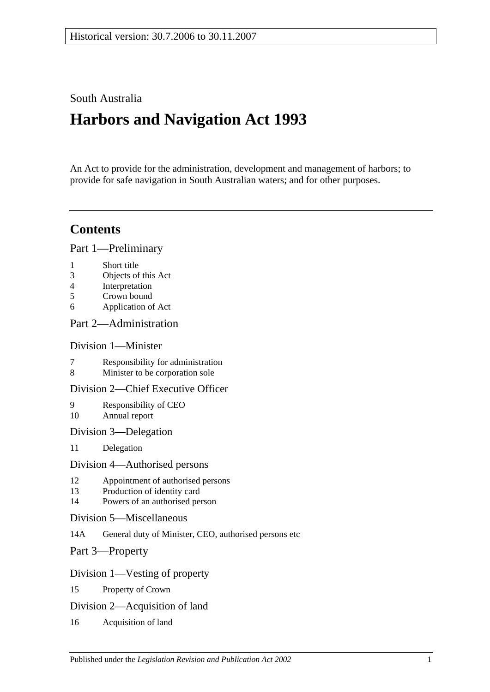# South Australia

# **Harbors and Navigation Act 1993**

An Act to provide for the administration, development and management of harbors; to provide for safe navigation in South Australian waters; and for other purposes.

# **Contents**

[Part 1—Preliminary](#page-6-0)

- 1 [Short title](#page-6-1)
- 3 [Objects of this Act](#page-6-2)
- 4 [Interpretation](#page-6-3)
- 5 [Crown bound](#page-9-0)
- 6 [Application of Act](#page-9-1)

## [Part 2—Administration](#page-10-0)

## [Division 1—Minister](#page-10-1)

- 7 [Responsibility for administration](#page-10-2)<br>8 Minister to be corporation sole
- [Minister to be corporation sole](#page-10-3)

## [Division 2—Chief Executive Officer](#page-10-4)

- 9 [Responsibility of CEO](#page-10-5) 10 [Annual report](#page-10-6)
- [Division 3—Delegation](#page-10-7)
- 11 [Delegation](#page-10-8)

#### [Division 4—Authorised persons](#page-10-9)

- 12 [Appointment of authorised persons](#page-10-10)
- 13 [Production of identity card](#page-11-0)
- 14 [Powers of an authorised person](#page-11-1)
- [Division 5—Miscellaneous](#page-13-0)
- 14A [General duty of Minister, CEO, authorised persons etc](#page-13-1)
- [Part 3—Property](#page-14-0)

## [Division 1—Vesting of property](#page-14-1)

- 15 [Property of Crown](#page-14-2)
- [Division 2—Acquisition of land](#page-14-3)
- 16 [Acquisition of land](#page-14-4)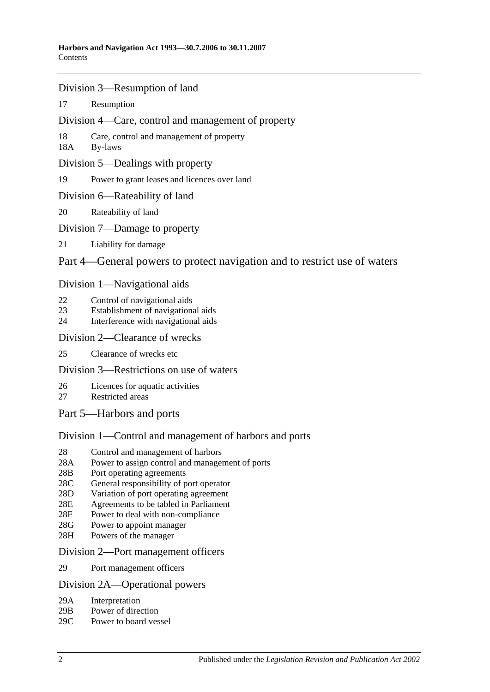- [Division 3—Resumption of land](#page-14-5)
- 17 [Resumption](#page-14-6)
- [Division 4—Care, control and management of property](#page-15-0)
- 18 [Care, control and management of property](#page-15-1)
- 18A [By-laws](#page-15-2)
- [Division 5—Dealings with property](#page-16-0)
- 19 [Power to grant leases and licences over land](#page-16-1)
- [Division 6—Rateability of land](#page-16-2)
- 20 [Rateability of land](#page-16-3)
- [Division 7—Damage to property](#page-16-4)
- 21 [Liability for damage](#page-16-5)

## [Part 4—General powers to protect navigation and to restrict use of waters](#page-18-0)

#### [Division 1—Navigational aids](#page-18-1)

- 22 [Control of navigational aids](#page-18-2)
- 23 [Establishment of navigational aids](#page-18-3)
- 24 [Interference with navigational aids](#page-18-4)

#### [Division 2—Clearance of wrecks](#page-19-0)

25 [Clearance of wrecks etc](#page-19-1)

## [Division 3—Restrictions on use of waters](#page-19-2)

- 26 [Licences for aquatic activities](#page-19-3)
- 27 [Restricted areas](#page-20-0)
- [Part 5—Harbors and ports](#page-22-0)

## [Division 1—Control and management of harbors and ports](#page-22-1)

- 28 [Control and management of harbors](#page-22-2)
- 28A [Power to assign control and management of ports](#page-22-3)
- 28B [Port operating agreements](#page-22-4)
- 28C [General responsibility of port operator](#page-23-0)
- 28D [Variation of port operating agreement](#page-23-1)
- 28E [Agreements to be tabled in Parliament](#page-23-2)
- 28F [Power to deal with non-compliance](#page-23-3)
- 28G [Power to appoint manager](#page-24-0)
- 28H [Powers of the manager](#page-24-1)

#### [Division 2—Port management officers](#page-25-0)

29 [Port management officers](#page-25-1)

#### [Division 2A—Operational powers](#page-25-2)

- 29A [Interpretation](#page-25-3)
- 29B [Power of direction](#page-25-4)
- 29C [Power to board vessel](#page-26-0)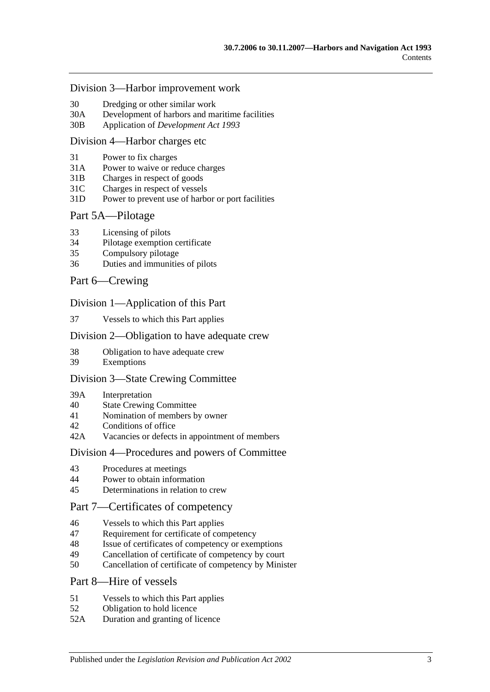#### [Division 3—Harbor improvement work](#page-26-1)

- 30 [Dredging or other similar work](#page-26-2)
- 30A [Development of harbors and maritime facilities](#page-26-3)
- 30B Application of *[Development Act](#page-27-0) 1993*

#### [Division 4—Harbor charges etc](#page-27-1)

- 31 [Power to fix charges](#page-27-2)
- 31A Power to waive [or reduce charges](#page-27-3)
- 31B [Charges in respect of goods](#page-27-4)
- 31C [Charges in respect of vessels](#page-28-0)
- 31D [Power to prevent use of harbor or port facilities](#page-28-1)

#### [Part 5A—Pilotage](#page-30-0)

- 33 [Licensing of pilots](#page-30-1)
- 34 [Pilotage exemption certificate](#page-30-2)
- 35 [Compulsory pilotage](#page-31-0)
- 36 [Duties and immunities of pilots](#page-31-1)

#### [Part 6—Crewing](#page-32-0)

#### [Division 1—Application of this Part](#page-32-1)

37 [Vessels to which this Part applies](#page-32-2)

#### [Division 2—Obligation to have adequate crew](#page-32-3)

- 38 [Obligation to have adequate crew](#page-32-4)
- 39 [Exemptions](#page-32-5)

#### [Division 3—State Crewing Committee](#page-32-6)

- 39A [Interpretation](#page-32-7)
- 40 [State Crewing Committee](#page-33-0)
- 41 [Nomination of members by owner](#page-33-1)
- 42 [Conditions of office](#page-34-0)
- 42A [Vacancies or defects in appointment of members](#page-34-1)

#### [Division 4—Procedures and powers of Committee](#page-34-2)

- 43 [Procedures at meetings](#page-34-3)
- 44 [Power to obtain information](#page-35-0)
- 45 [Determinations in relation to crew](#page-35-1)

## [Part 7—Certificates of competency](#page-36-0)

- 46 [Vessels to which this Part applies](#page-36-1)
- 47 [Requirement for certificate of competency](#page-36-2)
- 48 [Issue of certificates of competency or exemptions](#page-37-0)
- 49 [Cancellation of certificate of competency by court](#page-38-0)
- 50 [Cancellation of certificate of competency by Minister](#page-38-1)

#### [Part 8—Hire of vessels](#page-40-0)

- 51 [Vessels to which this Part applies](#page-40-1)
- 52 [Obligation to hold licence](#page-40-2)
- 52A [Duration and granting of licence](#page-40-3)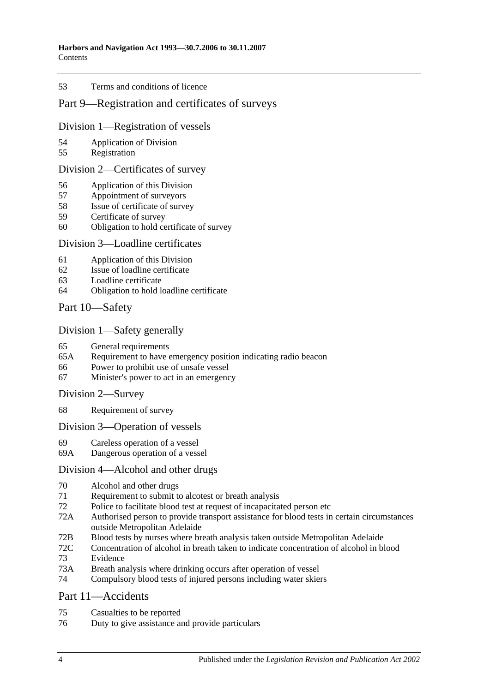#### 53 [Terms and conditions of licence](#page-40-4)

## [Part 9—Registration and certificates of surveys](#page-42-0)

#### [Division 1—Registration of vessels](#page-42-1)

- 54 [Application of Division](#page-42-2)
- 55 [Registration](#page-42-3)

#### [Division 2—Certificates of survey](#page-42-4)

- 56 [Application of this Division](#page-42-5)
- 57 [Appointment of surveyors](#page-42-6)
- 58 [Issue of certificate of survey](#page-43-0)
- 59 [Certificate of survey](#page-43-1)
- 60 [Obligation to hold certificate of survey](#page-43-2)

#### [Division 3—Loadline certificates](#page-44-0)

- 61 [Application of this Division](#page-44-1)
- 62 [Issue of loadline certificate](#page-44-2)
- 63 [Loadline certificate](#page-44-3)
- 64 [Obligation to hold loadline certificate](#page-44-4)

## [Part 10—Safety](#page-46-0)

#### [Division 1—Safety generally](#page-46-1)

- 65 [General requirements](#page-46-2)<br>65A Requirement to have
- [Requirement to have emergency position indicating radio beacon](#page-46-3)
- 66 [Power to prohibit use of unsafe vessel](#page-46-4)
- 67 [Minister's power to act in an emergency](#page-47-0)

#### [Division 2—Survey](#page-47-1)

68 [Requirement of survey](#page-47-2)

#### [Division 3—Operation of vessels](#page-48-0)

- 69 [Careless operation of a vessel](#page-48-1)
- 69A [Dangerous operation of a vessel](#page-48-2)

#### [Division 4—Alcohol and other drugs](#page-48-3)

- 70 [Alcohol and other drugs](#page-48-4)
- 71 [Requirement to submit to alcotest or breath analysis](#page-50-0)
- 72 [Police to facilitate blood test at request of incapacitated person etc](#page-51-0)
- 72A [Authorised person to provide transport assistance for blood tests in certain circumstances](#page-52-0)  [outside Metropolitan Adelaide](#page-52-0)
- 72B [Blood tests by nurses where breath analysis taken outside Metropolitan Adelaide](#page-52-1)
- 72C [Concentration of alcohol in breath taken to indicate concentration of alcohol in blood](#page-53-0)
- 73 [Evidence](#page-53-1)
- 73A [Breath analysis where drinking occurs after operation of vessel](#page-55-0)
- 74 [Compulsory blood tests of injured persons including water skiers](#page-56-0)

#### [Part 11—Accidents](#page-60-0)

- 75 [Casualties to be reported](#page-60-1)
- 76 [Duty to give assistance and provide particulars](#page-60-2)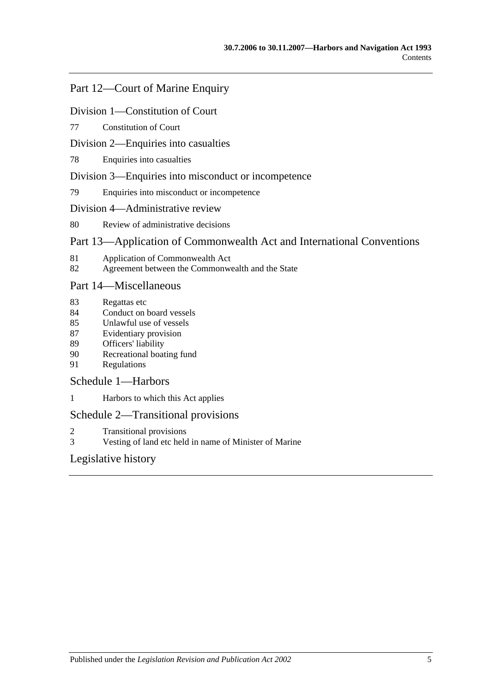# [Part 12—Court of Marine Enquiry](#page-62-0)

#### [Division 1—Constitution of Court](#page-62-1)

#### 77 [Constitution of Court](#page-62-2)

#### [Division 2—Enquiries into casualties](#page-62-3)

78 [Enquiries into casualties](#page-62-4)

#### [Division 3—Enquiries into misconduct or incompetence](#page-62-5)

79 [Enquiries into misconduct or incompetence](#page-62-6)

#### [Division 4—Administrative review](#page-63-0)

80 [Review of administrative decisions](#page-63-1)

# [Part 13—Application of Commonwealth Act and International Conventions](#page-64-0)

- 81 [Application of Commonwealth Act](#page-64-1)
- 82 [Agreement between the Commonwealth and the State](#page-64-2)

## [Part 14—Miscellaneous](#page-66-0)

- 83 [Regattas etc](#page-66-1)
- 84 [Conduct on board vessels](#page-66-2)
- 85 [Unlawful use of vessels](#page-66-3)
- 87 [Evidentiary provision](#page-66-4)
- 89 [Officers' liability](#page-67-0)
- 90 [Recreational boating fund](#page-68-0)
- 91 [Regulations](#page-68-1)

## [Schedule 1—Harbors](#page-72-0)

1 [Harbors to which this Act applies](#page-72-1)

## [Schedule 2—Transitional provisions](#page-73-0)

- 2 [Transitional provisions](#page-73-1)
- 3 [Vesting of land etc held in name of Minister of Marine](#page-73-2)

# [Legislative history](#page-76-0)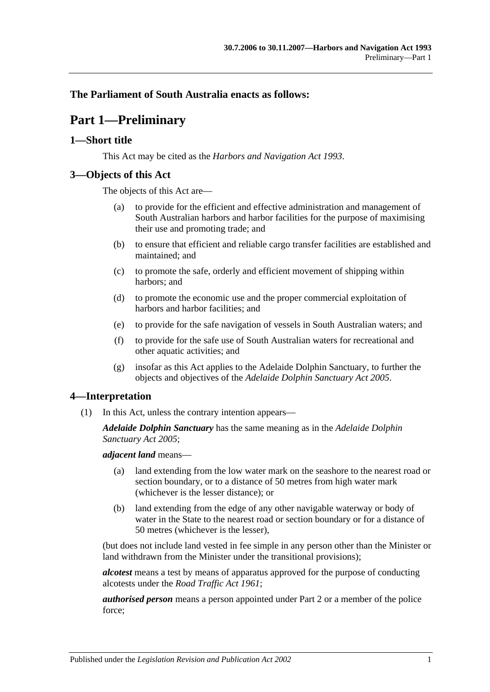## <span id="page-6-0"></span>**The Parliament of South Australia enacts as follows:**

# **Part 1—Preliminary**

## <span id="page-6-1"></span>**1—Short title**

This Act may be cited as the *Harbors and Navigation Act 1993*.

## <span id="page-6-2"></span>**3—Objects of this Act**

The objects of this Act are—

- (a) to provide for the efficient and effective administration and management of South Australian harbors and harbor facilities for the purpose of maximising their use and promoting trade; and
- (b) to ensure that efficient and reliable cargo transfer facilities are established and maintained; and
- (c) to promote the safe, orderly and efficient movement of shipping within harbors; and
- (d) to promote the economic use and the proper commercial exploitation of harbors and harbor facilities; and
- (e) to provide for the safe navigation of vessels in South Australian waters; and
- (f) to provide for the safe use of South Australian waters for recreational and other aquatic activities; and
- (g) insofar as this Act applies to the Adelaide Dolphin Sanctuary, to further the objects and objectives of the *[Adelaide Dolphin Sanctuary Act](http://www.legislation.sa.gov.au/index.aspx?action=legref&type=act&legtitle=Adelaide%20Dolphin%20Sanctuary%20Act%202005) 2005*.

## <span id="page-6-3"></span>**4—Interpretation**

(1) In this Act, unless the contrary intention appears—

*Adelaide Dolphin Sanctuary* has the same meaning as in the *[Adelaide Dolphin](http://www.legislation.sa.gov.au/index.aspx?action=legref&type=act&legtitle=Adelaide%20Dolphin%20Sanctuary%20Act%202005)  [Sanctuary Act](http://www.legislation.sa.gov.au/index.aspx?action=legref&type=act&legtitle=Adelaide%20Dolphin%20Sanctuary%20Act%202005) 2005*;

*adjacent land* means—

- (a) land extending from the low water mark on the seashore to the nearest road or section boundary, or to a distance of 50 metres from high water mark (whichever is the lesser distance); or
- (b) land extending from the edge of any other navigable waterway or body of water in the State to the nearest road or section boundary or for a distance of 50 metres (whichever is the lesser),

(but does not include land vested in fee simple in any person other than the Minister or land withdrawn from the Minister under the transitional provisions);

*alcotest* means a test by means of apparatus approved for the purpose of conducting alcotests under the *[Road Traffic Act](http://www.legislation.sa.gov.au/index.aspx?action=legref&type=act&legtitle=Road%20Traffic%20Act%201961) 1961*;

*authorised person* means a person appointed under [Part 2](#page-10-0) or a member of the police force;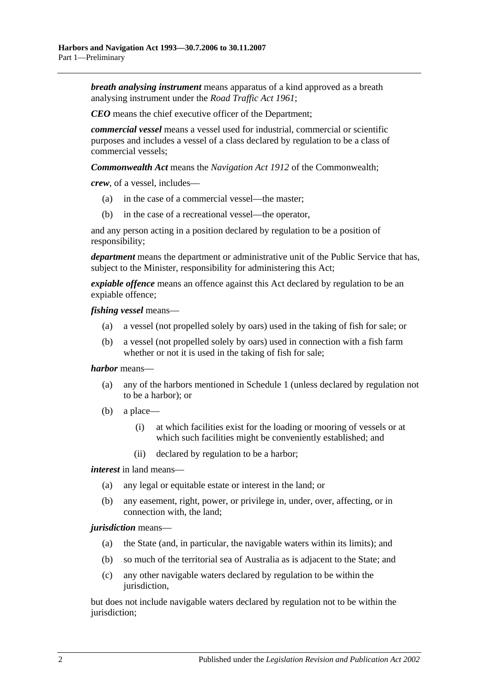*breath analysing instrument* means apparatus of a kind approved as a breath analysing instrument under the *[Road Traffic Act](http://www.legislation.sa.gov.au/index.aspx?action=legref&type=act&legtitle=Road%20Traffic%20Act%201961) 1961*;

*CEO* means the chief executive officer of the Department;

*commercial vessel* means a vessel used for industrial, commercial or scientific purposes and includes a vessel of a class declared by regulation to be a class of commercial vessels;

*Commonwealth Act* means the *Navigation Act 1912* of the Commonwealth;

*crew*, of a vessel, includes—

- (a) in the case of a commercial vessel—the master;
- (b) in the case of a recreational vessel—the operator,

and any person acting in a position declared by regulation to be a position of responsibility;

*department* means the department or administrative unit of the Public Service that has, subject to the Minister, responsibility for administering this Act;

*expiable offence* means an offence against this Act declared by regulation to be an expiable offence;

*fishing vessel* means—

- (a) a vessel (not propelled solely by oars) used in the taking of fish for sale; or
- (b) a vessel (not propelled solely by oars) used in connection with a fish farm whether or not it is used in the taking of fish for sale;

#### *harbor* means—

- (a) any of the harbors mentioned in [Schedule 1](#page-72-0) (unless declared by regulation not to be a harbor); or
- (b) a place—
	- (i) at which facilities exist for the loading or mooring of vessels or at which such facilities might be conveniently established; and
	- (ii) declared by regulation to be a harbor;

*interest* in land means—

- (a) any legal or equitable estate or interest in the land; or
- (b) any easement, right, power, or privilege in, under, over, affecting, or in connection with, the land;

#### *jurisdiction* means—

- (a) the State (and, in particular, the navigable waters within its limits); and
- (b) so much of the territorial sea of Australia as is adjacent to the State; and
- (c) any other navigable waters declared by regulation to be within the jurisdiction,

but does not include navigable waters declared by regulation not to be within the jurisdiction;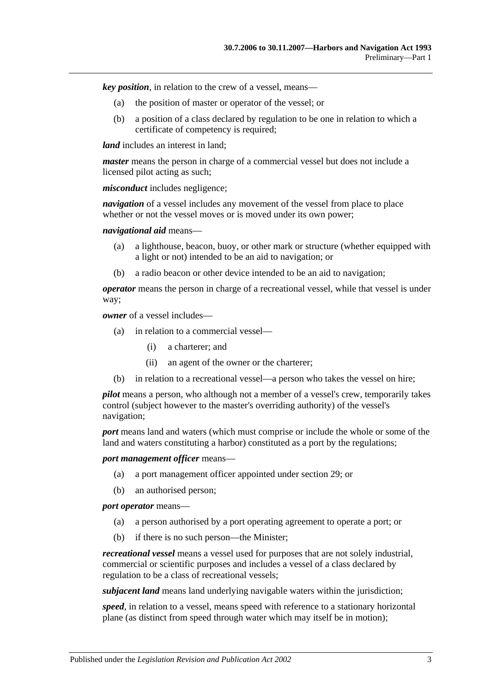*key position*, in relation to the crew of a vessel, means—

- (a) the position of master or operator of the vessel; or
- (b) a position of a class declared by regulation to be one in relation to which a certificate of competency is required;

*land* includes an interest in land:

*master* means the person in charge of a commercial vessel but does not include a licensed pilot acting as such;

*misconduct* includes negligence;

*navigation* of a vessel includes any movement of the vessel from place to place whether or not the vessel moves or is moved under its own power:

*navigational aid* means—

- (a) a lighthouse, beacon, buoy, or other mark or structure (whether equipped with a light or not) intended to be an aid to navigation; or
- (b) a radio beacon or other device intended to be an aid to navigation;

*operator* means the person in charge of a recreational vessel, while that vessel is under way;

*owner* of a vessel includes—

- (a) in relation to a commercial vessel—
	- (i) a charterer; and
	- (ii) an agent of the owner or the charterer;
- (b) in relation to a recreational vessel—a person who takes the vessel on hire;

*pilot* means a person, who although not a member of a vessel's crew, temporarily takes control (subject however to the master's overriding authority) of the vessel's navigation;

*port* means land and waters (which must comprise or include the whole or some of the land and waters constituting a harbor) constituted as a port by the regulations;

*port management officer* means—

- (a) a port management officer appointed under [section](#page-25-1) 29; or
- (b) an authorised person;

*port operator* means—

- (a) a person authorised by a port operating agreement to operate a port; or
- (b) if there is no such person—the Minister;

*recreational vessel* means a vessel used for purposes that are not solely industrial, commercial or scientific purposes and includes a vessel of a class declared by regulation to be a class of recreational vessels;

*subjacent land* means land underlying navigable waters within the jurisdiction;

*speed*, in relation to a vessel, means speed with reference to a stationary horizontal plane (as distinct from speed through water which may itself be in motion);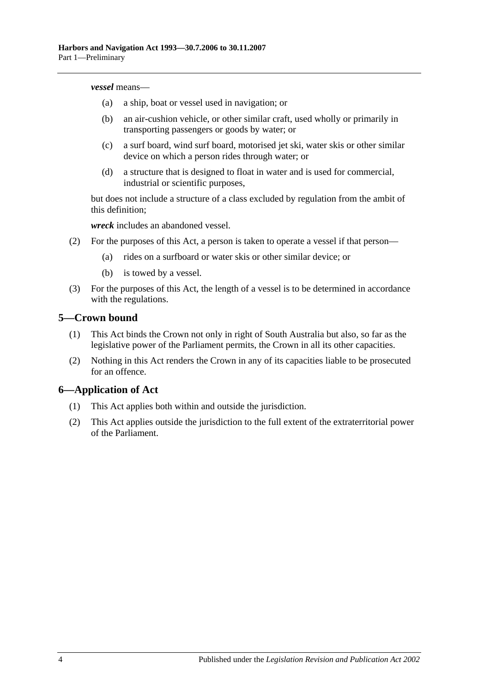#### *vessel* means—

- (a) a ship, boat or vessel used in navigation; or
- (b) an air-cushion vehicle, or other similar craft, used wholly or primarily in transporting passengers or goods by water; or
- (c) a surf board, wind surf board, motorised jet ski, water skis or other similar device on which a person rides through water; or
- (d) a structure that is designed to float in water and is used for commercial, industrial or scientific purposes,

but does not include a structure of a class excluded by regulation from the ambit of this definition;

*wreck* includes an abandoned vessel.

- (2) For the purposes of this Act, a person is taken to operate a vessel if that person—
	- (a) rides on a surfboard or water skis or other similar device; or
	- (b) is towed by a vessel.
- (3) For the purposes of this Act, the length of a vessel is to be determined in accordance with the regulations.

#### <span id="page-9-0"></span>**5—Crown bound**

- (1) This Act binds the Crown not only in right of South Australia but also, so far as the legislative power of the Parliament permits, the Crown in all its other capacities.
- (2) Nothing in this Act renders the Crown in any of its capacities liable to be prosecuted for an offence.

## <span id="page-9-1"></span>**6—Application of Act**

- (1) This Act applies both within and outside the jurisdiction.
- (2) This Act applies outside the jurisdiction to the full extent of the extraterritorial power of the Parliament.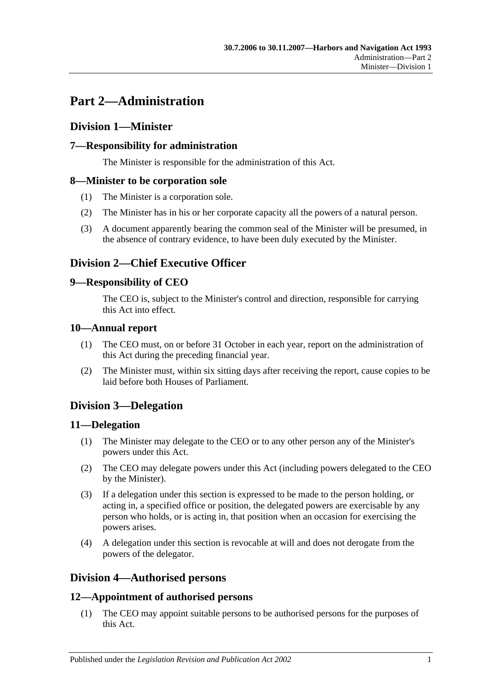# <span id="page-10-0"></span>**Part 2—Administration**

# <span id="page-10-1"></span>**Division 1—Minister**

# <span id="page-10-2"></span>**7—Responsibility for administration**

The Minister is responsible for the administration of this Act.

## <span id="page-10-3"></span>**8—Minister to be corporation sole**

- (1) The Minister is a corporation sole.
- (2) The Minister has in his or her corporate capacity all the powers of a natural person.
- (3) A document apparently bearing the common seal of the Minister will be presumed, in the absence of contrary evidence, to have been duly executed by the Minister.

# <span id="page-10-4"></span>**Division 2—Chief Executive Officer**

## <span id="page-10-5"></span>**9—Responsibility of CEO**

The CEO is, subject to the Minister's control and direction, responsible for carrying this Act into effect.

## <span id="page-10-6"></span>**10—Annual report**

- (1) The CEO must, on or before 31 October in each year, report on the administration of this Act during the preceding financial year.
- (2) The Minister must, within six sitting days after receiving the report, cause copies to be laid before both Houses of Parliament.

# <span id="page-10-7"></span>**Division 3—Delegation**

## <span id="page-10-8"></span>**11—Delegation**

- (1) The Minister may delegate to the CEO or to any other person any of the Minister's powers under this Act.
- (2) The CEO may delegate powers under this Act (including powers delegated to the CEO by the Minister).
- (3) If a delegation under this section is expressed to be made to the person holding, or acting in, a specified office or position, the delegated powers are exercisable by any person who holds, or is acting in, that position when an occasion for exercising the powers arises.
- (4) A delegation under this section is revocable at will and does not derogate from the powers of the delegator.

# <span id="page-10-9"></span>**Division 4—Authorised persons**

## <span id="page-10-10"></span>**12—Appointment of authorised persons**

(1) The CEO may appoint suitable persons to be authorised persons for the purposes of this Act.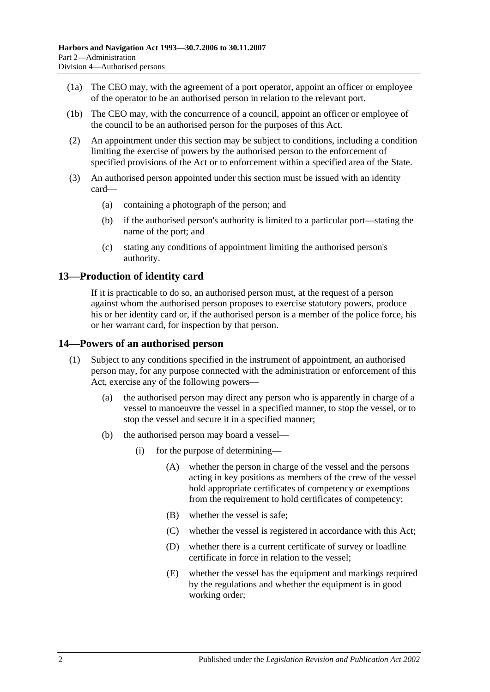- (1a) The CEO may, with the agreement of a port operator, appoint an officer or employee of the operator to be an authorised person in relation to the relevant port.
- (1b) The CEO may, with the concurrence of a council, appoint an officer or employee of the council to be an authorised person for the purposes of this Act.
- (2) An appointment under this section may be subject to conditions, including a condition limiting the exercise of powers by the authorised person to the enforcement of specified provisions of the Act or to enforcement within a specified area of the State.
- (3) An authorised person appointed under this section must be issued with an identity card—
	- (a) containing a photograph of the person; and
	- (b) if the authorised person's authority is limited to a particular port—stating the name of the port; and
	- (c) stating any conditions of appointment limiting the authorised person's authority.

## <span id="page-11-0"></span>**13—Production of identity card**

If it is practicable to do so, an authorised person must, at the request of a person against whom the authorised person proposes to exercise statutory powers, produce his or her identity card or, if the authorised person is a member of the police force, his or her warrant card, for inspection by that person.

#### <span id="page-11-1"></span>**14—Powers of an authorised person**

- (1) Subject to any conditions specified in the instrument of appointment, an authorised person may, for any purpose connected with the administration or enforcement of this Act, exercise any of the following powers—
	- (a) the authorised person may direct any person who is apparently in charge of a vessel to manoeuvre the vessel in a specified manner, to stop the vessel, or to stop the vessel and secure it in a specified manner;
	- (b) the authorised person may board a vessel—
		- (i) for the purpose of determining—
			- (A) whether the person in charge of the vessel and the persons acting in key positions as members of the crew of the vessel hold appropriate certificates of competency or exemptions from the requirement to hold certificates of competency;
			- (B) whether the vessel is safe;
			- (C) whether the vessel is registered in accordance with this Act;
			- (D) whether there is a current certificate of survey or loadline certificate in force in relation to the vessel;
			- (E) whether the vessel has the equipment and markings required by the regulations and whether the equipment is in good working order;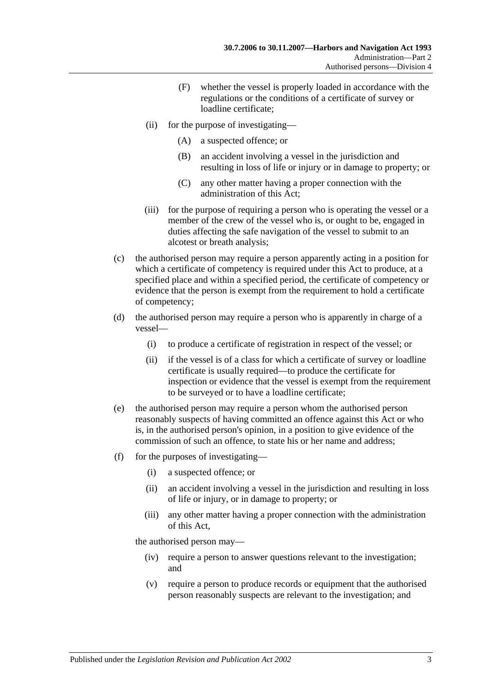- (F) whether the vessel is properly loaded in accordance with the regulations or the conditions of a certificate of survey or loadline certificate;
- (ii) for the purpose of investigating—
	- (A) a suspected offence; or
	- (B) an accident involving a vessel in the jurisdiction and resulting in loss of life or injury or in damage to property; or
	- (C) any other matter having a proper connection with the administration of this Act;
- (iii) for the purpose of requiring a person who is operating the vessel or a member of the crew of the vessel who is, or ought to be, engaged in duties affecting the safe navigation of the vessel to submit to an alcotest or breath analysis;
- (c) the authorised person may require a person apparently acting in a position for which a certificate of competency is required under this Act to produce, at a specified place and within a specified period, the certificate of competency or evidence that the person is exempt from the requirement to hold a certificate of competency;
- (d) the authorised person may require a person who is apparently in charge of a vessel—
	- (i) to produce a certificate of registration in respect of the vessel; or
	- (ii) if the vessel is of a class for which a certificate of survey or loadline certificate is usually required—to produce the certificate for inspection or evidence that the vessel is exempt from the requirement to be surveyed or to have a loadline certificate;
- (e) the authorised person may require a person whom the authorised person reasonably suspects of having committed an offence against this Act or who is, in the authorised person's opinion, in a position to give evidence of the commission of such an offence, to state his or her name and address;
- (f) for the purposes of investigating—
	- (i) a suspected offence; or
	- (ii) an accident involving a vessel in the jurisdiction and resulting in loss of life or injury, or in damage to property; or
	- (iii) any other matter having a proper connection with the administration of this Act,

the authorised person may—

- (iv) require a person to answer questions relevant to the investigation; and
- (v) require a person to produce records or equipment that the authorised person reasonably suspects are relevant to the investigation; and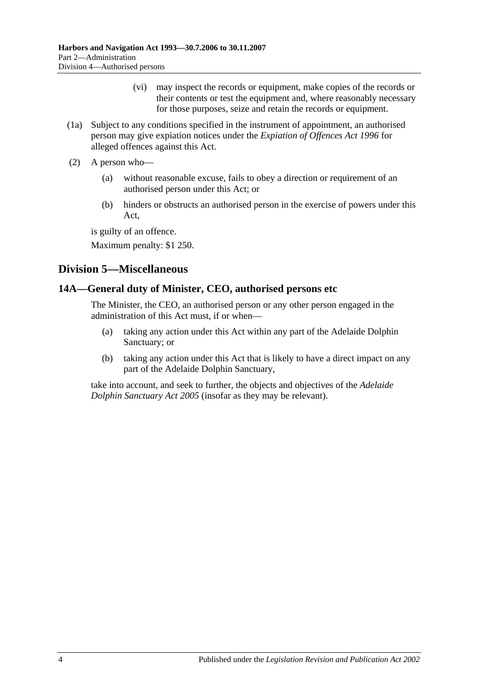- (vi) may inspect the records or equipment, make copies of the records or their contents or test the equipment and, where reasonably necessary for those purposes, seize and retain the records or equipment.
- (1a) Subject to any conditions specified in the instrument of appointment, an authorised person may give expiation notices under the *[Expiation of Offences Act](http://www.legislation.sa.gov.au/index.aspx?action=legref&type=act&legtitle=Expiation%20of%20Offences%20Act%201996) 1996* for alleged offences against this Act.
- (2) A person who—
	- (a) without reasonable excuse, fails to obey a direction or requirement of an authorised person under this Act; or
	- (b) hinders or obstructs an authorised person in the exercise of powers under this Act,

is guilty of an offence.

Maximum penalty: \$1 250.

# <span id="page-13-0"></span>**Division 5—Miscellaneous**

## <span id="page-13-1"></span>**14A—General duty of Minister, CEO, authorised persons etc**

The Minister, the CEO, an authorised person or any other person engaged in the administration of this Act must, if or when—

- (a) taking any action under this Act within any part of the Adelaide Dolphin Sanctuary; or
- (b) taking any action under this Act that is likely to have a direct impact on any part of the Adelaide Dolphin Sanctuary,

take into account, and seek to further, the objects and objectives of the *[Adelaide](http://www.legislation.sa.gov.au/index.aspx?action=legref&type=act&legtitle=Adelaide%20Dolphin%20Sanctuary%20Act%202005)  [Dolphin Sanctuary Act](http://www.legislation.sa.gov.au/index.aspx?action=legref&type=act&legtitle=Adelaide%20Dolphin%20Sanctuary%20Act%202005) 2005* (insofar as they may be relevant).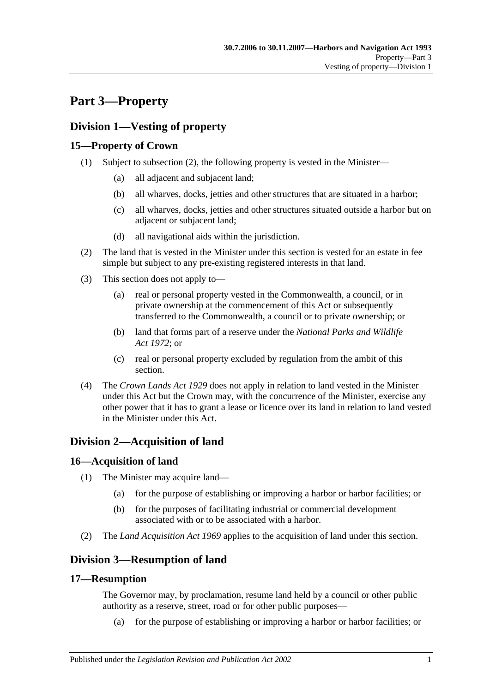# <span id="page-14-0"></span>**Part 3—Property**

# <span id="page-14-1"></span>**Division 1—Vesting of property**

# <span id="page-14-2"></span>**15—Property of Crown**

- (1) Subject to [subsection](#page-14-7) (2), the following property is vested in the Minister—
	- (a) all adjacent and subjacent land;
	- (b) all wharves, docks, jetties and other structures that are situated in a harbor;
	- (c) all wharves, docks, jetties and other structures situated outside a harbor but on adjacent or subjacent land;
	- (d) all navigational aids within the jurisdiction.
- <span id="page-14-7"></span>(2) The land that is vested in the Minister under this section is vested for an estate in fee simple but subject to any pre-existing registered interests in that land.
- (3) This section does not apply to—
	- (a) real or personal property vested in the Commonwealth, a council, or in private ownership at the commencement of this Act or subsequently transferred to the Commonwealth, a council or to private ownership; or
	- (b) land that forms part of a reserve under the *[National Parks and Wildlife](http://www.legislation.sa.gov.au/index.aspx?action=legref&type=act&legtitle=National%20Parks%20and%20Wildlife%20Act%201972)  Act [1972](http://www.legislation.sa.gov.au/index.aspx?action=legref&type=act&legtitle=National%20Parks%20and%20Wildlife%20Act%201972)*; or
	- (c) real or personal property excluded by regulation from the ambit of this section.
- (4) The *[Crown Lands Act](http://www.legislation.sa.gov.au/index.aspx?action=legref&type=act&legtitle=Crown%20Lands%20Act%201929) 1929* does not apply in relation to land vested in the Minister under this Act but the Crown may, with the concurrence of the Minister, exercise any other power that it has to grant a lease or licence over its land in relation to land vested in the Minister under this Act.

# <span id="page-14-3"></span>**Division 2—Acquisition of land**

# <span id="page-14-4"></span>**16—Acquisition of land**

- (1) The Minister may acquire land—
	- (a) for the purpose of establishing or improving a harbor or harbor facilities; or
	- (b) for the purposes of facilitating industrial or commercial development associated with or to be associated with a harbor.
- (2) The *[Land Acquisition Act](http://www.legislation.sa.gov.au/index.aspx?action=legref&type=act&legtitle=Land%20Acquisition%20Act%201969) 1969* applies to the acquisition of land under this section.

# <span id="page-14-5"></span>**Division 3—Resumption of land**

## <span id="page-14-6"></span>**17—Resumption**

The Governor may, by proclamation, resume land held by a council or other public authority as a reserve, street, road or for other public purposes—

(a) for the purpose of establishing or improving a harbor or harbor facilities; or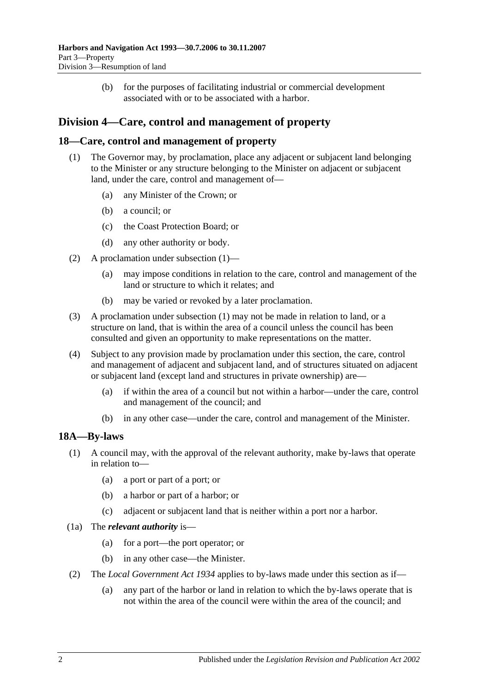(b) for the purposes of facilitating industrial or commercial development associated with or to be associated with a harbor.

# <span id="page-15-0"></span>**Division 4—Care, control and management of property**

## <span id="page-15-3"></span><span id="page-15-1"></span>**18—Care, control and management of property**

- (1) The Governor may, by proclamation, place any adjacent or subjacent land belonging to the Minister or any structure belonging to the Minister on adjacent or subjacent land, under the care, control and management of—
	- (a) any Minister of the Crown; or
	- (b) a council; or
	- (c) the Coast Protection Board; or
	- (d) any other authority or body.
- (2) A proclamation under [subsection](#page-15-3) (1)—
	- (a) may impose conditions in relation to the care, control and management of the land or structure to which it relates; and
	- (b) may be varied or revoked by a later proclamation.
- (3) A proclamation under [subsection](#page-15-3) (1) may not be made in relation to land, or a structure on land, that is within the area of a council unless the council has been consulted and given an opportunity to make representations on the matter.
- (4) Subject to any provision made by proclamation under this section, the care, control and management of adjacent and subjacent land, and of structures situated on adjacent or subjacent land (except land and structures in private ownership) are—
	- (a) if within the area of a council but not within a harbor—under the care, control and management of the council; and
	- (b) in any other case—under the care, control and management of the Minister.

# <span id="page-15-2"></span>**18A—By-laws**

- (1) A council may, with the approval of the relevant authority, make by-laws that operate in relation to—
	- (a) a port or part of a port; or
	- (b) a harbor or part of a harbor; or
	- (c) adjacent or subjacent land that is neither within a port nor a harbor.
- (1a) The *relevant authority* is—
	- (a) for a port—the port operator; or
	- (b) in any other case—the Minister.
- (2) The *[Local Government Act](http://www.legislation.sa.gov.au/index.aspx?action=legref&type=act&legtitle=Local%20Government%20Act%201934) 1934* applies to by-laws made under this section as if—
	- (a) any part of the harbor or land in relation to which the by-laws operate that is not within the area of the council were within the area of the council; and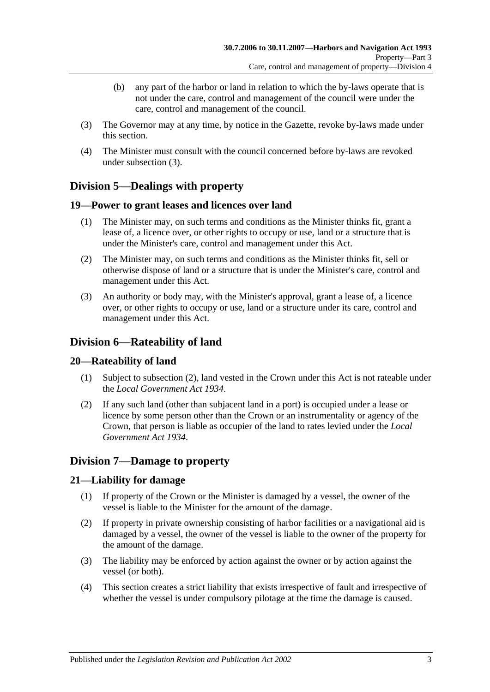- (b) any part of the harbor or land in relation to which the by-laws operate that is not under the care, control and management of the council were under the care, control and management of the council.
- <span id="page-16-6"></span>(3) The Governor may at any time, by notice in the Gazette, revoke by-laws made under this section.
- (4) The Minister must consult with the council concerned before by-laws are revoked under [subsection](#page-16-6) (3).

# <span id="page-16-0"></span>**Division 5—Dealings with property**

## <span id="page-16-1"></span>**19—Power to grant leases and licences over land**

- (1) The Minister may, on such terms and conditions as the Minister thinks fit, grant a lease of, a licence over, or other rights to occupy or use, land or a structure that is under the Minister's care, control and management under this Act.
- (2) The Minister may, on such terms and conditions as the Minister thinks fit, sell or otherwise dispose of land or a structure that is under the Minister's care, control and management under this Act.
- (3) An authority or body may, with the Minister's approval, grant a lease of, a licence over, or other rights to occupy or use, land or a structure under its care, control and management under this Act.

# <span id="page-16-2"></span>**Division 6—Rateability of land**

## <span id="page-16-3"></span>**20—Rateability of land**

- (1) Subject to [subsection](#page-16-7) (2), land vested in the Crown under this Act is not rateable under the *[Local Government Act](http://www.legislation.sa.gov.au/index.aspx?action=legref&type=act&legtitle=Local%20Government%20Act%201934) 1934*.
- <span id="page-16-7"></span>(2) If any such land (other than subjacent land in a port) is occupied under a lease or licence by some person other than the Crown or an instrumentality or agency of the Crown, that person is liable as occupier of the land to rates levied under the *[Local](http://www.legislation.sa.gov.au/index.aspx?action=legref&type=act&legtitle=Local%20Government%20Act%201934)  [Government Act](http://www.legislation.sa.gov.au/index.aspx?action=legref&type=act&legtitle=Local%20Government%20Act%201934) 1934*.

# <span id="page-16-4"></span>**Division 7—Damage to property**

## <span id="page-16-5"></span>**21—Liability for damage**

- (1) If property of the Crown or the Minister is damaged by a vessel, the owner of the vessel is liable to the Minister for the amount of the damage.
- (2) If property in private ownership consisting of harbor facilities or a navigational aid is damaged by a vessel, the owner of the vessel is liable to the owner of the property for the amount of the damage.
- (3) The liability may be enforced by action against the owner or by action against the vessel (or both).
- (4) This section creates a strict liability that exists irrespective of fault and irrespective of whether the vessel is under compulsory pilotage at the time the damage is caused.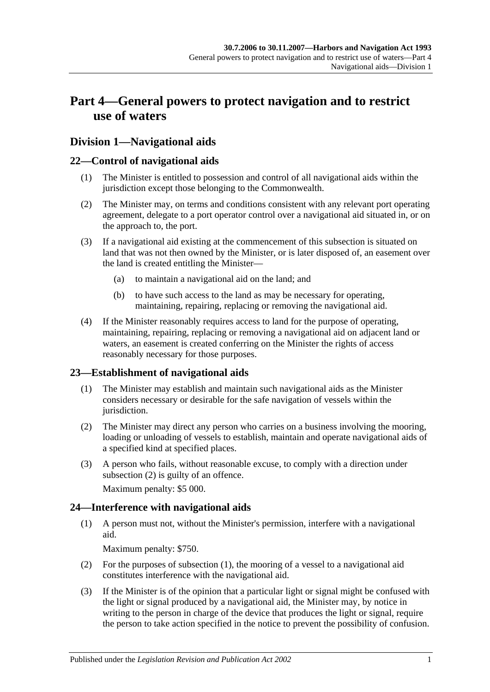# <span id="page-18-0"></span>**Part 4—General powers to protect navigation and to restrict use of waters**

# <span id="page-18-1"></span>**Division 1—Navigational aids**

## <span id="page-18-2"></span>**22—Control of navigational aids**

- (1) The Minister is entitled to possession and control of all navigational aids within the jurisdiction except those belonging to the Commonwealth.
- (2) The Minister may, on terms and conditions consistent with any relevant port operating agreement, delegate to a port operator control over a navigational aid situated in, or on the approach to, the port.
- (3) If a navigational aid existing at the commencement of this subsection is situated on land that was not then owned by the Minister, or is later disposed of, an easement over the land is created entitling the Minister—
	- (a) to maintain a navigational aid on the land; and
	- (b) to have such access to the land as may be necessary for operating, maintaining, repairing, replacing or removing the navigational aid.
- (4) If the Minister reasonably requires access to land for the purpose of operating, maintaining, repairing, replacing or removing a navigational aid on adjacent land or waters, an easement is created conferring on the Minister the rights of access reasonably necessary for those purposes.

## <span id="page-18-3"></span>**23—Establishment of navigational aids**

- (1) The Minister may establish and maintain such navigational aids as the Minister considers necessary or desirable for the safe navigation of vessels within the jurisdiction.
- <span id="page-18-5"></span>(2) The Minister may direct any person who carries on a business involving the mooring, loading or unloading of vessels to establish, maintain and operate navigational aids of a specified kind at specified places.
- (3) A person who fails, without reasonable excuse, to comply with a direction under [subsection](#page-18-5) (2) is guilty of an offence.

Maximum penalty: \$5 000.

# <span id="page-18-6"></span><span id="page-18-4"></span>**24—Interference with navigational aids**

(1) A person must not, without the Minister's permission, interfere with a navigational aid.

Maximum penalty: \$750.

- (2) For the purposes of [subsection](#page-18-6) (1), the mooring of a vessel to a navigational aid constitutes interference with the navigational aid.
- <span id="page-18-7"></span>(3) If the Minister is of the opinion that a particular light or signal might be confused with the light or signal produced by a navigational aid, the Minister may, by notice in writing to the person in charge of the device that produces the light or signal, require the person to take action specified in the notice to prevent the possibility of confusion.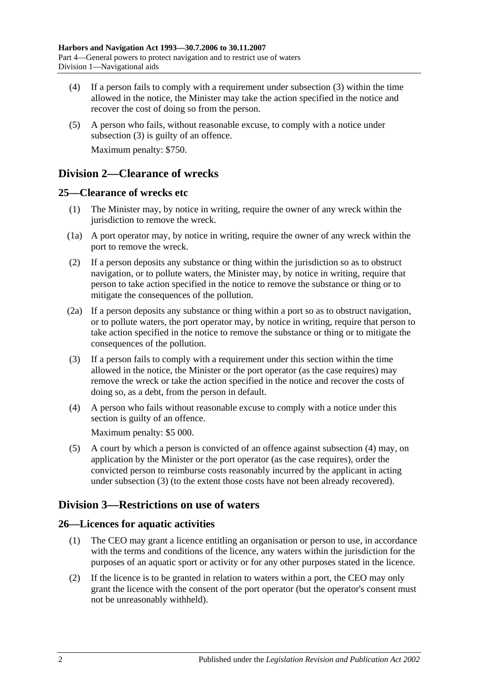- (4) If a person fails to comply with a requirement under [subsection](#page-18-7) (3) within the time allowed in the notice, the Minister may take the action specified in the notice and recover the cost of doing so from the person.
- (5) A person who fails, without reasonable excuse, to comply with a notice under [subsection](#page-18-7) (3) is guilty of an offence. Maximum penalty: \$750.

# <span id="page-19-0"></span>**Division 2—Clearance of wrecks**

## <span id="page-19-1"></span>**25—Clearance of wrecks etc**

- (1) The Minister may, by notice in writing, require the owner of any wreck within the jurisdiction to remove the wreck.
- (1a) A port operator may, by notice in writing, require the owner of any wreck within the port to remove the wreck.
- (2) If a person deposits any substance or thing within the jurisdiction so as to obstruct navigation, or to pollute waters, the Minister may, by notice in writing, require that person to take action specified in the notice to remove the substance or thing or to mitigate the consequences of the pollution.
- (2a) If a person deposits any substance or thing within a port so as to obstruct navigation, or to pollute waters, the port operator may, by notice in writing, require that person to take action specified in the notice to remove the substance or thing or to mitigate the consequences of the pollution.
- <span id="page-19-5"></span>(3) If a person fails to comply with a requirement under this section within the time allowed in the notice, the Minister or the port operator (as the case requires) may remove the wreck or take the action specified in the notice and recover the costs of doing so, as a debt, from the person in default.
- <span id="page-19-4"></span>(4) A person who fails without reasonable excuse to comply with a notice under this section is guilty of an offence.

Maximum penalty: \$5 000.

(5) A court by which a person is convicted of an offence against [subsection](#page-19-4) (4) may, on application by the Minister or the port operator (as the case requires), order the convicted person to reimburse costs reasonably incurred by the applicant in acting under [subsection](#page-19-5) (3) (to the extent those costs have not been already recovered).

# <span id="page-19-2"></span>**Division 3—Restrictions on use of waters**

# <span id="page-19-3"></span>**26—Licences for aquatic activities**

- (1) The CEO may grant a licence entitling an organisation or person to use, in accordance with the terms and conditions of the licence, any waters within the jurisdiction for the purposes of an aquatic sport or activity or for any other purposes stated in the licence.
- (2) If the licence is to be granted in relation to waters within a port, the CEO may only grant the licence with the consent of the port operator (but the operator's consent must not be unreasonably withheld).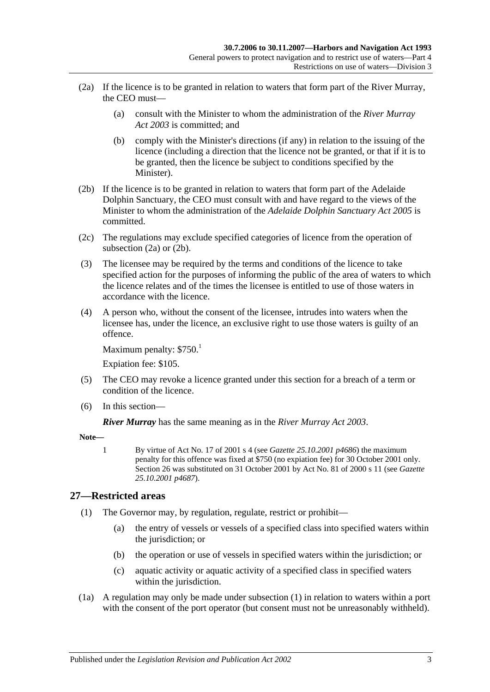- <span id="page-20-1"></span>(2a) If the licence is to be granted in relation to waters that form part of the River Murray, the CEO must—
	- (a) consult with the Minister to whom the administration of the *[River Murray](http://www.legislation.sa.gov.au/index.aspx?action=legref&type=act&legtitle=River%20Murray%20Act%202003)  Act [2003](http://www.legislation.sa.gov.au/index.aspx?action=legref&type=act&legtitle=River%20Murray%20Act%202003)* is committed; and
	- (b) comply with the Minister's directions (if any) in relation to the issuing of the licence (including a direction that the licence not be granted, or that if it is to be granted, then the licence be subject to conditions specified by the Minister).
- <span id="page-20-2"></span>(2b) If the licence is to be granted in relation to waters that form part of the Adelaide Dolphin Sanctuary, the CEO must consult with and have regard to the views of the Minister to whom the administration of the *[Adelaide Dolphin](http://www.legislation.sa.gov.au/index.aspx?action=legref&type=act&legtitle=Adelaide%20Dolphin%20Sanctuary%20Act%202005) Sanctuary Act 2005* is committed.
- (2c) The regulations may exclude specified categories of licence from the operation of [subsection](#page-20-1) (2a) or [\(2b\).](#page-20-2)
- (3) The licensee may be required by the terms and conditions of the licence to take specified action for the purposes of informing the public of the area of waters to which the licence relates and of the times the licensee is entitled to use of those waters in accordance with the licence.
- (4) A person who, without the consent of the licensee, intrudes into waters when the licensee has, under the licence, an exclusive right to use those waters is guilty of an offence.

Maximum penalty:  $$750.<sup>1</sup>$ 

Expiation fee: \$105.

- (5) The CEO may revoke a licence granted under this section for a breach of a term or condition of the licence.
- (6) In this section—

*River Murray* has the same meaning as in the *[River Murray Act](http://www.legislation.sa.gov.au/index.aspx?action=legref&type=act&legtitle=River%20Murray%20Act%202003) 2003*.

**Note—**

1 By virtue of Act No. 17 of 2001 s 4 (see *Gazette 25.10.2001 p4686*) the maximum penalty for this offence was fixed at \$750 (no expiation fee) for 30 October 2001 only. Section 26 was substituted on 31 October 2001 by Act No. 81 of 2000 s 11 (see *Gazette 25.10.2001 p4687*).

## <span id="page-20-3"></span><span id="page-20-0"></span>**27—Restricted areas**

- (1) The Governor may, by regulation, regulate, restrict or prohibit—
	- (a) the entry of vessels or vessels of a specified class into specified waters within the jurisdiction; or
	- (b) the operation or use of vessels in specified waters within the jurisdiction; or
	- (c) aquatic activity or aquatic activity of a specified class in specified waters within the jurisdiction.
- (1a) A regulation may only be made under [subsection](#page-20-3) (1) in relation to waters within a port with the consent of the port operator (but consent must not be unreasonably withheld).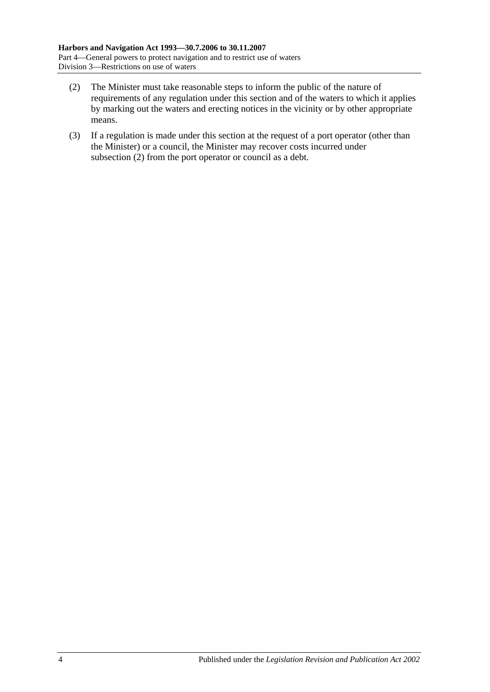- <span id="page-21-0"></span>(2) The Minister must take reasonable steps to inform the public of the nature of requirements of any regulation under this section and of the waters to which it applies by marking out the waters and erecting notices in the vicinity or by other appropriate means.
- (3) If a regulation is made under this section at the request of a port operator (other than the Minister) or a council, the Minister may recover costs incurred under [subsection](#page-21-0) (2) from the port operator or council as a debt.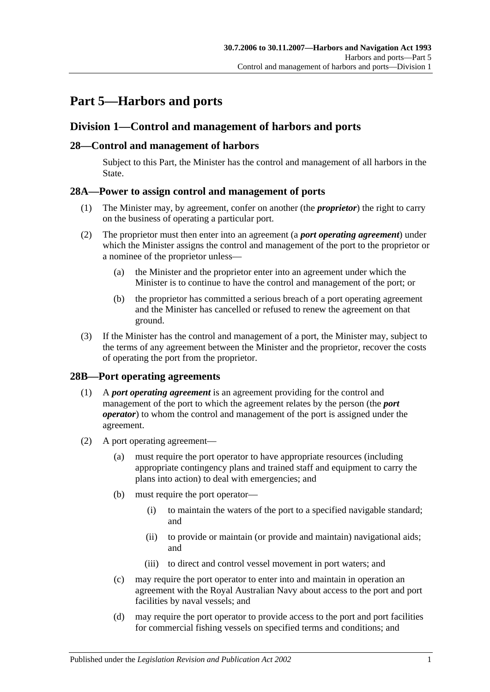# <span id="page-22-0"></span>**Part 5—Harbors and ports**

# <span id="page-22-1"></span>**Division 1—Control and management of harbors and ports**

## <span id="page-22-2"></span>**28—Control and management of harbors**

Subject to this Part, the Minister has the control and management of all harbors in the State.

## <span id="page-22-3"></span>**28A—Power to assign control and management of ports**

- (1) The Minister may, by agreement, confer on another (the *proprietor*) the right to carry on the business of operating a particular port.
- (2) The proprietor must then enter into an agreement (a *port operating agreement*) under which the Minister assigns the control and management of the port to the proprietor or a nominee of the proprietor unless—
	- (a) the Minister and the proprietor enter into an agreement under which the Minister is to continue to have the control and management of the port; or
	- (b) the proprietor has committed a serious breach of a port operating agreement and the Minister has cancelled or refused to renew the agreement on that ground.
- (3) If the Minister has the control and management of a port, the Minister may, subject to the terms of any agreement between the Minister and the proprietor, recover the costs of operating the port from the proprietor.

## <span id="page-22-4"></span>**28B—Port operating agreements**

- (1) A *port operating agreement* is an agreement providing for the control and management of the port to which the agreement relates by the person (the *port operator*) to whom the control and management of the port is assigned under the agreement.
- (2) A port operating agreement—
	- (a) must require the port operator to have appropriate resources (including appropriate contingency plans and trained staff and equipment to carry the plans into action) to deal with emergencies; and
	- (b) must require the port operator—
		- (i) to maintain the waters of the port to a specified navigable standard; and
		- (ii) to provide or maintain (or provide and maintain) navigational aids; and
		- (iii) to direct and control vessel movement in port waters; and
	- (c) may require the port operator to enter into and maintain in operation an agreement with the Royal Australian Navy about access to the port and port facilities by naval vessels; and
	- (d) may require the port operator to provide access to the port and port facilities for commercial fishing vessels on specified terms and conditions; and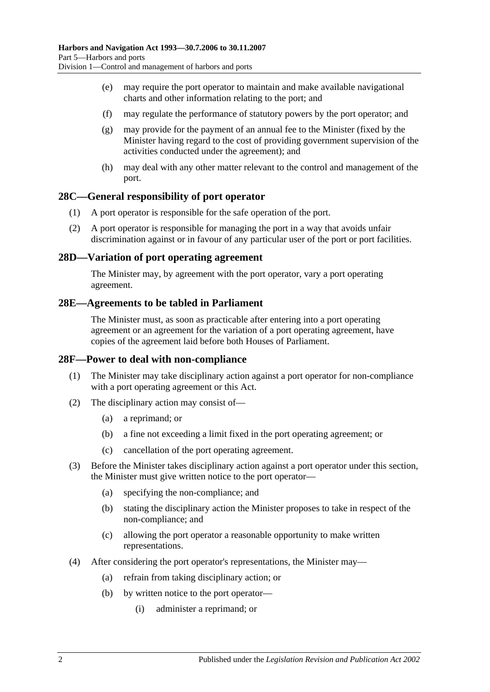- (e) may require the port operator to maintain and make available navigational charts and other information relating to the port; and
- (f) may regulate the performance of statutory powers by the port operator; and
- (g) may provide for the payment of an annual fee to the Minister (fixed by the Minister having regard to the cost of providing government supervision of the activities conducted under the agreement); and
- (h) may deal with any other matter relevant to the control and management of the port.

#### <span id="page-23-0"></span>**28C—General responsibility of port operator**

- (1) A port operator is responsible for the safe operation of the port.
- (2) A port operator is responsible for managing the port in a way that avoids unfair discrimination against or in favour of any particular user of the port or port facilities.

#### <span id="page-23-1"></span>**28D—Variation of port operating agreement**

The Minister may, by agreement with the port operator, vary a port operating agreement.

#### <span id="page-23-2"></span>**28E—Agreements to be tabled in Parliament**

The Minister must, as soon as practicable after entering into a port operating agreement or an agreement for the variation of a port operating agreement, have copies of the agreement laid before both Houses of Parliament.

#### <span id="page-23-3"></span>**28F—Power to deal with non-compliance**

- (1) The Minister may take disciplinary action against a port operator for non-compliance with a port operating agreement or this Act.
- (2) The disciplinary action may consist of—
	- (a) a reprimand; or
	- (b) a fine not exceeding a limit fixed in the port operating agreement; or
	- (c) cancellation of the port operating agreement.
- (3) Before the Minister takes disciplinary action against a port operator under this section, the Minister must give written notice to the port operator—
	- (a) specifying the non-compliance; and
	- (b) stating the disciplinary action the Minister proposes to take in respect of the non-compliance; and
	- (c) allowing the port operator a reasonable opportunity to make written representations.
- (4) After considering the port operator's representations, the Minister may—
	- (a) refrain from taking disciplinary action; or
	- (b) by written notice to the port operator—
		- (i) administer a reprimand; or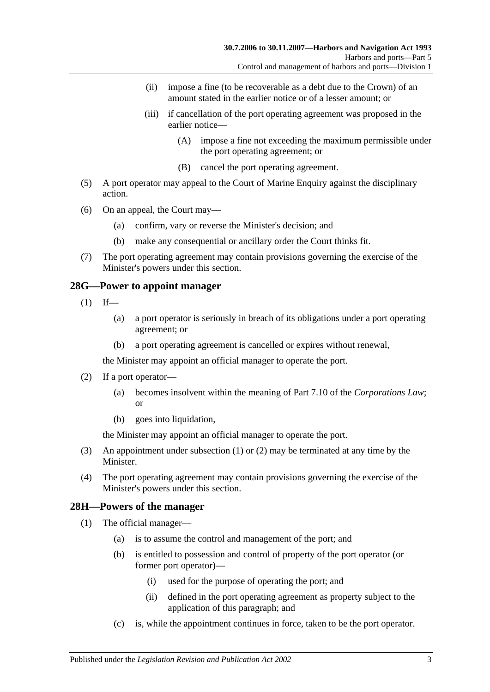- (ii) impose a fine (to be recoverable as a debt due to the Crown) of an amount stated in the earlier notice or of a lesser amount; or
- (iii) if cancellation of the port operating agreement was proposed in the earlier notice—
	- (A) impose a fine not exceeding the maximum permissible under the port operating agreement; or
	- (B) cancel the port operating agreement.
- (5) A port operator may appeal to the Court of Marine Enquiry against the disciplinary action.
- (6) On an appeal, the Court may—
	- (a) confirm, vary or reverse the Minister's decision; and
	- (b) make any consequential or ancillary order the Court thinks fit.
- (7) The port operating agreement may contain provisions governing the exercise of the Minister's powers under this section.

#### <span id="page-24-2"></span><span id="page-24-0"></span>**28G—Power to appoint manager**

- $(1)$  If—
	- (a) a port operator is seriously in breach of its obligations under a port operating agreement; or
	- (b) a port operating agreement is cancelled or expires without renewal,

the Minister may appoint an official manager to operate the port.

- <span id="page-24-3"></span>(2) If a port operator—
	- (a) becomes insolvent within the meaning of Part 7.10 of the *Corporations Law*; or
	- (b) goes into liquidation,

the Minister may appoint an official manager to operate the port.

- (3) An appointment under [subsection](#page-24-2) (1) or [\(2\)](#page-24-3) may be terminated at any time by the Minister.
- (4) The port operating agreement may contain provisions governing the exercise of the Minister's powers under this section.

## <span id="page-24-4"></span><span id="page-24-1"></span>**28H—Powers of the manager**

- (1) The official manager—
	- (a) is to assume the control and management of the port; and
	- (b) is entitled to possession and control of property of the port operator (or former port operator)—
		- (i) used for the purpose of operating the port; and
		- (ii) defined in the port operating agreement as property subject to the application of this paragraph; and
	- (c) is, while the appointment continues in force, taken to be the port operator.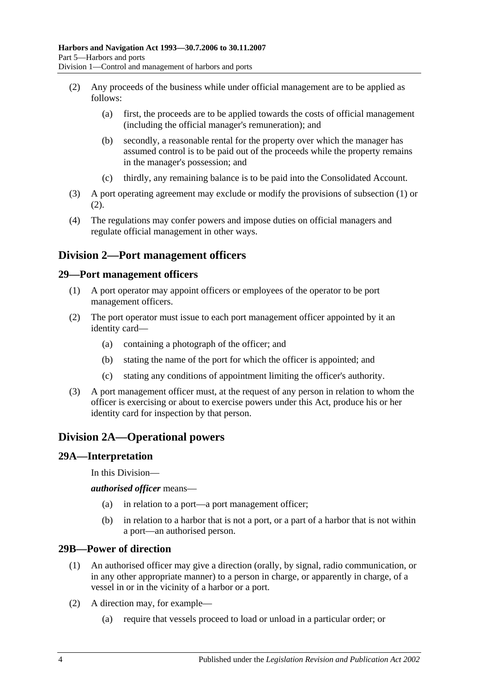- <span id="page-25-5"></span>(2) Any proceeds of the business while under official management are to be applied as follows:
	- (a) first, the proceeds are to be applied towards the costs of official management (including the official manager's remuneration); and
	- (b) secondly, a reasonable rental for the property over which the manager has assumed control is to be paid out of the proceeds while the property remains in the manager's possession; and
	- (c) thirdly, any remaining balance is to be paid into the Consolidated Account.
- (3) A port operating agreement may exclude or modify the provisions of [subsection](#page-24-4) (1) or [\(2\).](#page-25-5)
- (4) The regulations may confer powers and impose duties on official managers and regulate official management in other ways.

# <span id="page-25-0"></span>**Division 2—Port management officers**

#### <span id="page-25-1"></span>**29—Port management officers**

- (1) A port operator may appoint officers or employees of the operator to be port management officers.
- (2) The port operator must issue to each port management officer appointed by it an identity card—
	- (a) containing a photograph of the officer; and
	- (b) stating the name of the port for which the officer is appointed; and
	- (c) stating any conditions of appointment limiting the officer's authority.
- (3) A port management officer must, at the request of any person in relation to whom the officer is exercising or about to exercise powers under this Act, produce his or her identity card for inspection by that person.

# <span id="page-25-2"></span>**Division 2A—Operational powers**

#### <span id="page-25-3"></span>**29A—Interpretation**

In this Division—

*authorised officer* means—

- (a) in relation to a port—a port management officer;
- (b) in relation to a harbor that is not a port, or a part of a harbor that is not within a port—an authorised person.

#### <span id="page-25-4"></span>**29B—Power of direction**

- (1) An authorised officer may give a direction (orally, by signal, radio communication, or in any other appropriate manner) to a person in charge, or apparently in charge, of a vessel in or in the vicinity of a harbor or a port.
- (2) A direction may, for example—
	- (a) require that vessels proceed to load or unload in a particular order; or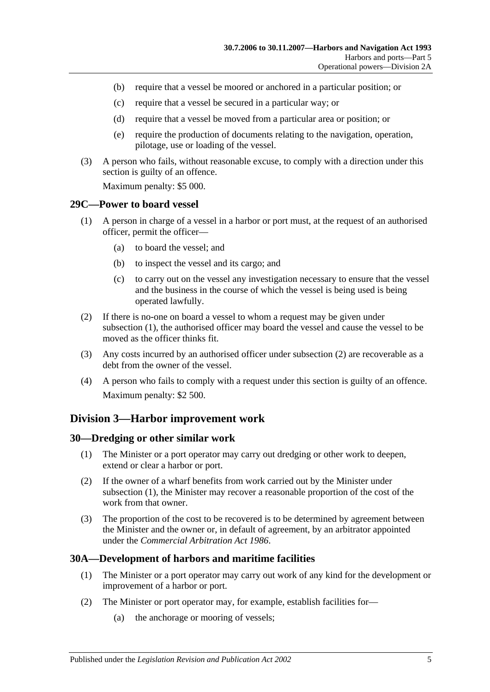- (b) require that a vessel be moored or anchored in a particular position; or
- (c) require that a vessel be secured in a particular way; or
- (d) require that a vessel be moved from a particular area or position; or
- (e) require the production of documents relating to the navigation, operation, pilotage, use or loading of the vessel.
- (3) A person who fails, without reasonable excuse, to comply with a direction under this section is guilty of an offence.

Maximum penalty: \$5 000.

#### <span id="page-26-4"></span><span id="page-26-0"></span>**29C—Power to board vessel**

- (1) A person in charge of a vessel in a harbor or port must, at the request of an authorised officer, permit the officer—
	- (a) to board the vessel; and
	- (b) to inspect the vessel and its cargo; and
	- (c) to carry out on the vessel any investigation necessary to ensure that the vessel and the business in the course of which the vessel is being used is being operated lawfully.
- <span id="page-26-5"></span>(2) If there is no-one on board a vessel to whom a request may be given under [subsection](#page-26-4) (1), the authorised officer may board the vessel and cause the vessel to be moved as the officer thinks fit.
- (3) Any costs incurred by an authorised officer under [subsection](#page-26-5) (2) are recoverable as a debt from the owner of the vessel.
- (4) A person who fails to comply with a request under this section is guilty of an offence. Maximum penalty: \$2 500.

## <span id="page-26-1"></span>**Division 3—Harbor improvement work**

#### <span id="page-26-6"></span><span id="page-26-2"></span>**30—Dredging or other similar work**

- (1) The Minister or a port operator may carry out dredging or other work to deepen, extend or clear a harbor or port.
- (2) If the owner of a wharf benefits from work carried out by the Minister under [subsection](#page-26-6) (1), the Minister may recover a reasonable proportion of the cost of the work from that owner.
- (3) The proportion of the cost to be recovered is to be determined by agreement between the Minister and the owner or, in default of agreement, by an arbitrator appointed under the *[Commercial Arbitration Act](http://www.legislation.sa.gov.au/index.aspx?action=legref&type=act&legtitle=Commercial%20Arbitration%20Act%201986) 1986*.

## <span id="page-26-3"></span>**30A—Development of harbors and maritime facilities**

- (1) The Minister or a port operator may carry out work of any kind for the development or improvement of a harbor or port.
- (2) The Minister or port operator may, for example, establish facilities for—
	- (a) the anchorage or mooring of vessels;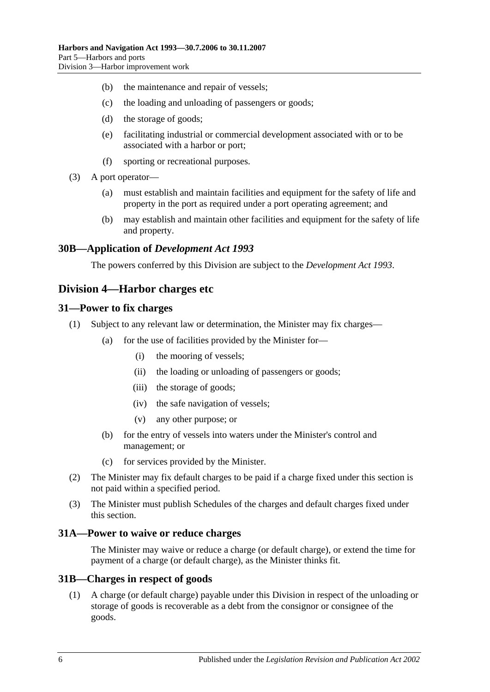- (b) the maintenance and repair of vessels;
- (c) the loading and unloading of passengers or goods;
- (d) the storage of goods;
- (e) facilitating industrial or commercial development associated with or to be associated with a harbor or port;
- (f) sporting or recreational purposes.
- (3) A port operator—
	- (a) must establish and maintain facilities and equipment for the safety of life and property in the port as required under a port operating agreement; and
	- (b) may establish and maintain other facilities and equipment for the safety of life and property.

#### <span id="page-27-0"></span>**30B—Application of** *Development Act 1993*

The powers conferred by this Division are subject to the *[Development Act](http://www.legislation.sa.gov.au/index.aspx?action=legref&type=act&legtitle=Development%20Act%201993) 1993*.

## <span id="page-27-1"></span>**Division 4—Harbor charges etc**

#### <span id="page-27-2"></span>**31—Power to fix charges**

- (1) Subject to any relevant law or determination, the Minister may fix charges—
	- (a) for the use of facilities provided by the Minister for—
		- (i) the mooring of vessels;
		- (ii) the loading or unloading of passengers or goods;
		- (iii) the storage of goods;
		- (iv) the safe navigation of vessels;
		- (v) any other purpose; or
	- (b) for the entry of vessels into waters under the Minister's control and management; or
	- (c) for services provided by the Minister.
- (2) The Minister may fix default charges to be paid if a charge fixed under this section is not paid within a specified period.
- (3) The Minister must publish Schedules of the charges and default charges fixed under this section.

#### <span id="page-27-3"></span>**31A—Power to waive or reduce charges**

The Minister may waive or reduce a charge (or default charge), or extend the time for payment of a charge (or default charge), as the Minister thinks fit.

#### <span id="page-27-4"></span>**31B—Charges in respect of goods**

(1) A charge (or default charge) payable under this Division in respect of the unloading or storage of goods is recoverable as a debt from the consignor or consignee of the goods.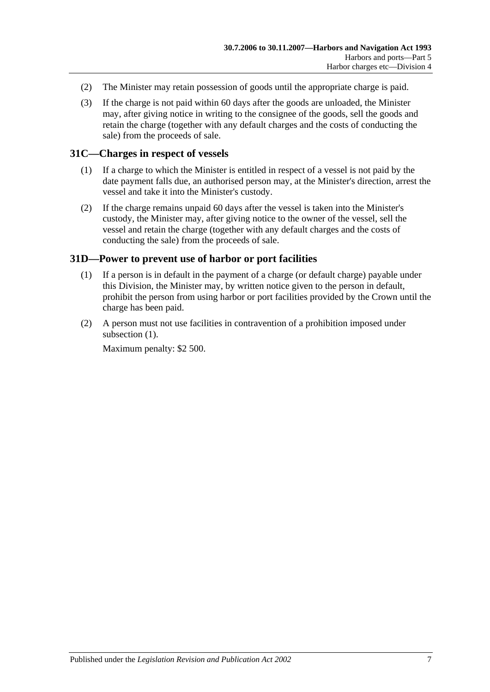- (2) The Minister may retain possession of goods until the appropriate charge is paid.
- (3) If the charge is not paid within 60 days after the goods are unloaded, the Minister may, after giving notice in writing to the consignee of the goods, sell the goods and retain the charge (together with any default charges and the costs of conducting the sale) from the proceeds of sale.

## <span id="page-28-0"></span>**31C—Charges in respect of vessels**

- (1) If a charge to which the Minister is entitled in respect of a vessel is not paid by the date payment falls due, an authorised person may, at the Minister's direction, arrest the vessel and take it into the Minister's custody.
- (2) If the charge remains unpaid 60 days after the vessel is taken into the Minister's custody, the Minister may, after giving notice to the owner of the vessel, sell the vessel and retain the charge (together with any default charges and the costs of conducting the sale) from the proceeds of sale.

## <span id="page-28-2"></span><span id="page-28-1"></span>**31D—Power to prevent use of harbor or port facilities**

- (1) If a person is in default in the payment of a charge (or default charge) payable under this Division, the Minister may, by written notice given to the person in default, prohibit the person from using harbor or port facilities provided by the Crown until the charge has been paid.
- (2) A person must not use facilities in contravention of a prohibition imposed under [subsection](#page-28-2)  $(1)$ .

Maximum penalty: \$2 500.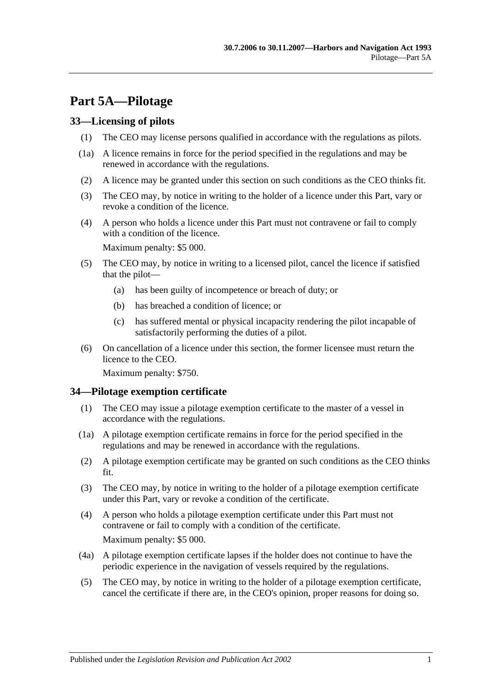# <span id="page-30-0"></span>**Part 5A—Pilotage**

## <span id="page-30-1"></span>**33—Licensing of pilots**

- (1) The CEO may license persons qualified in accordance with the regulations as pilots.
- (1a) A licence remains in force for the period specified in the regulations and may be renewed in accordance with the regulations.
- (2) A licence may be granted under this section on such conditions as the CEO thinks fit.
- (3) The CEO may, by notice in writing to the holder of a licence under this Part, vary or revoke a condition of the licence.
- (4) A person who holds a licence under this Part must not contravene or fail to comply with a condition of the licence.

Maximum penalty: \$5 000.

- (5) The CEO may, by notice in writing to a licensed pilot, cancel the licence if satisfied that the pilot—
	- (a) has been guilty of incompetence or breach of duty; or
	- (b) has breached a condition of licence; or
	- (c) has suffered mental or physical incapacity rendering the pilot incapable of satisfactorily performing the duties of a pilot.
- (6) On cancellation of a licence under this section, the former licensee must return the licence to the CEO.

Maximum penalty: \$750.

## <span id="page-30-2"></span>**34—Pilotage exemption certificate**

- (1) The CEO may issue a pilotage exemption certificate to the master of a vessel in accordance with the regulations.
- (1a) A pilotage exemption certificate remains in force for the period specified in the regulations and may be renewed in accordance with the regulations.
- (2) A pilotage exemption certificate may be granted on such conditions as the CEO thinks fit.
- (3) The CEO may, by notice in writing to the holder of a pilotage exemption certificate under this Part, vary or revoke a condition of the certificate.
- (4) A person who holds a pilotage exemption certificate under this Part must not contravene or fail to comply with a condition of the certificate. Maximum penalty: \$5 000.
- (4a) A pilotage exemption certificate lapses if the holder does not continue to have the periodic experience in the navigation of vessels required by the regulations.
- (5) The CEO may, by notice in writing to the holder of a pilotage exemption certificate, cancel the certificate if there are, in the CEO's opinion, proper reasons for doing so.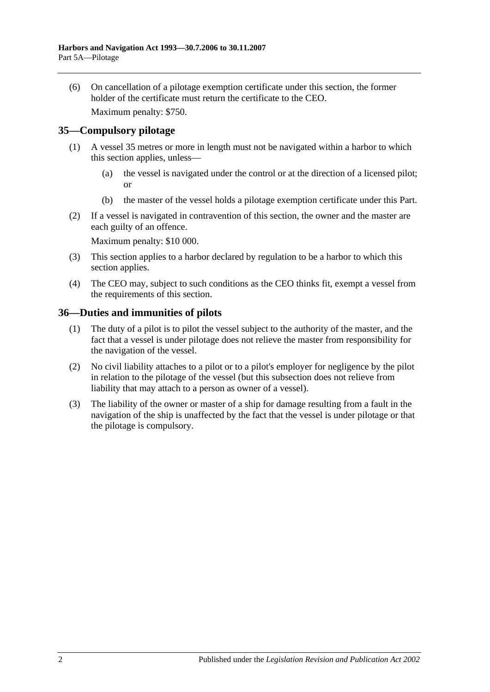(6) On cancellation of a pilotage exemption certificate under this section, the former holder of the certificate must return the certificate to the CEO.

Maximum penalty: \$750.

## <span id="page-31-0"></span>**35—Compulsory pilotage**

- (1) A vessel 35 metres or more in length must not be navigated within a harbor to which this section applies, unless—
	- (a) the vessel is navigated under the control or at the direction of a licensed pilot; or
	- (b) the master of the vessel holds a pilotage exemption certificate under this Part.
- (2) If a vessel is navigated in contravention of this section, the owner and the master are each guilty of an offence.

Maximum penalty: \$10 000.

- (3) This section applies to a harbor declared by regulation to be a harbor to which this section applies.
- (4) The CEO may, subject to such conditions as the CEO thinks fit, exempt a vessel from the requirements of this section.

#### <span id="page-31-1"></span>**36—Duties and immunities of pilots**

- (1) The duty of a pilot is to pilot the vessel subject to the authority of the master, and the fact that a vessel is under pilotage does not relieve the master from responsibility for the navigation of the vessel.
- (2) No civil liability attaches to a pilot or to a pilot's employer for negligence by the pilot in relation to the pilotage of the vessel (but this subsection does not relieve from liability that may attach to a person as owner of a vessel).
- (3) The liability of the owner or master of a ship for damage resulting from a fault in the navigation of the ship is unaffected by the fact that the vessel is under pilotage or that the pilotage is compulsory.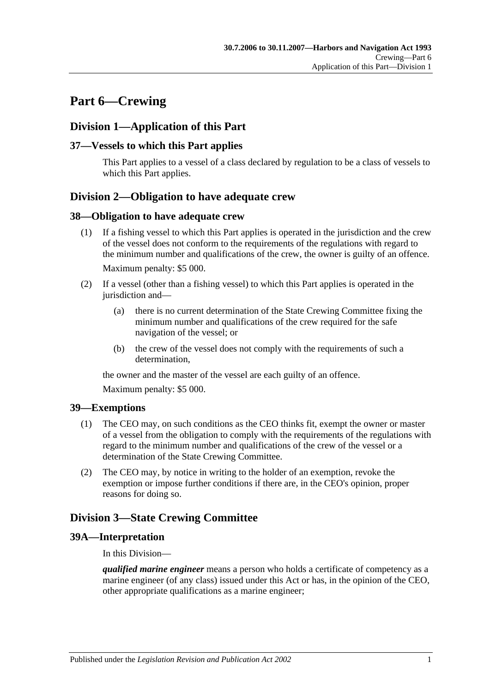# <span id="page-32-0"></span>**Part 6—Crewing**

# <span id="page-32-1"></span>**Division 1—Application of this Part**

## <span id="page-32-2"></span>**37—Vessels to which this Part applies**

This Part applies to a vessel of a class declared by regulation to be a class of vessels to which this Part applies.

# <span id="page-32-3"></span>**Division 2—Obligation to have adequate crew**

#### <span id="page-32-4"></span>**38—Obligation to have adequate crew**

- (1) If a fishing vessel to which this Part applies is operated in the jurisdiction and the crew of the vessel does not conform to the requirements of the regulations with regard to the minimum number and qualifications of the crew, the owner is guilty of an offence. Maximum penalty: \$5 000.
- (2) If a vessel (other than a fishing vessel) to which this Part applies is operated in the jurisdiction and—
	- (a) there is no current determination of the State Crewing Committee fixing the minimum number and qualifications of the crew required for the safe navigation of the vessel; or
	- (b) the crew of the vessel does not comply with the requirements of such a determination,

the owner and the master of the vessel are each guilty of an offence.

Maximum penalty: \$5 000.

## <span id="page-32-5"></span>**39—Exemptions**

- (1) The CEO may, on such conditions as the CEO thinks fit, exempt the owner or master of a vessel from the obligation to comply with the requirements of the regulations with regard to the minimum number and qualifications of the crew of the vessel or a determination of the State Crewing Committee.
- (2) The CEO may, by notice in writing to the holder of an exemption, revoke the exemption or impose further conditions if there are, in the CEO's opinion, proper reasons for doing so.

# <span id="page-32-6"></span>**Division 3—State Crewing Committee**

## <span id="page-32-7"></span>**39A—Interpretation**

In this Division—

*qualified marine engineer* means a person who holds a certificate of competency as a marine engineer (of any class) issued under this Act or has, in the opinion of the CEO, other appropriate qualifications as a marine engineer;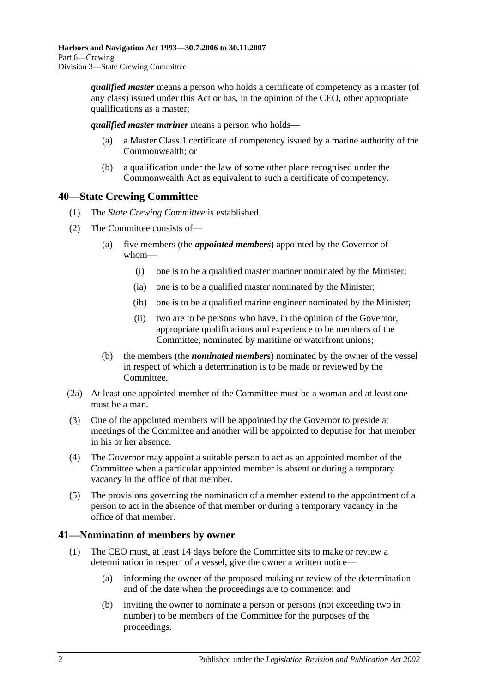*qualified master* means a person who holds a certificate of competency as a master (of any class) issued under this Act or has, in the opinion of the CEO, other appropriate qualifications as a master;

*qualified master mariner* means a person who holds—

- (a) a Master Class 1 certificate of competency issued by a marine authority of the Commonwealth; or
- (b) a qualification under the law of some other place recognised under the Commonwealth Act as equivalent to such a certificate of competency.

# <span id="page-33-0"></span>**40—State Crewing Committee**

- (1) The *State Crewing Committee* is established.
- (2) The Committee consists of—
	- (a) five members (the *appointed members*) appointed by the Governor of whom—
		- (i) one is to be a qualified master mariner nominated by the Minister;
		- (ia) one is to be a qualified master nominated by the Minister;
		- (ib) one is to be a qualified marine engineer nominated by the Minister;
		- (ii) two are to be persons who have, in the opinion of the Governor, appropriate qualifications and experience to be members of the Committee, nominated by maritime or waterfront unions;
	- (b) the members (the *nominated members*) nominated by the owner of the vessel in respect of which a determination is to be made or reviewed by the Committee.
- (2a) At least one appointed member of the Committee must be a woman and at least one must be a man.
- (3) One of the appointed members will be appointed by the Governor to preside at meetings of the Committee and another will be appointed to deputise for that member in his or her absence.
- (4) The Governor may appoint a suitable person to act as an appointed member of the Committee when a particular appointed member is absent or during a temporary vacancy in the office of that member.
- (5) The provisions governing the nomination of a member extend to the appointment of a person to act in the absence of that member or during a temporary vacancy in the office of that member.

## <span id="page-33-1"></span>**41—Nomination of members by owner**

- (1) The CEO must, at least 14 days before the Committee sits to make or review a determination in respect of a vessel, give the owner a written notice—
	- (a) informing the owner of the proposed making or review of the determination and of the date when the proceedings are to commence; and
	- (b) inviting the owner to nominate a person or persons (not exceeding two in number) to be members of the Committee for the purposes of the proceedings.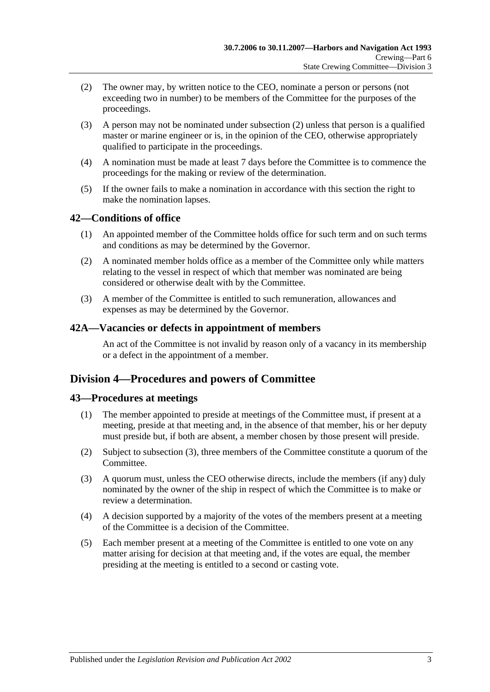- <span id="page-34-4"></span>(2) The owner may, by written notice to the CEO, nominate a person or persons (not exceeding two in number) to be members of the Committee for the purposes of the proceedings.
- (3) A person may not be nominated under [subsection](#page-34-4) (2) unless that person is a qualified master or marine engineer or is, in the opinion of the CEO, otherwise appropriately qualified to participate in the proceedings.
- (4) A nomination must be made at least 7 days before the Committee is to commence the proceedings for the making or review of the determination.
- (5) If the owner fails to make a nomination in accordance with this section the right to make the nomination lapses.

## <span id="page-34-0"></span>**42—Conditions of office**

- (1) An appointed member of the Committee holds office for such term and on such terms and conditions as may be determined by the Governor.
- (2) A nominated member holds office as a member of the Committee only while matters relating to the vessel in respect of which that member was nominated are being considered or otherwise dealt with by the Committee.
- (3) A member of the Committee is entitled to such remuneration, allowances and expenses as may be determined by the Governor.

#### <span id="page-34-1"></span>**42A—Vacancies or defects in appointment of members**

An act of the Committee is not invalid by reason only of a vacancy in its membership or a defect in the appointment of a member.

# <span id="page-34-2"></span>**Division 4—Procedures and powers of Committee**

## <span id="page-34-3"></span>**43—Procedures at meetings**

- (1) The member appointed to preside at meetings of the Committee must, if present at a meeting, preside at that meeting and, in the absence of that member, his or her deputy must preside but, if both are absent, a member chosen by those present will preside.
- (2) Subject to [subsection](#page-34-5) (3), three members of the Committee constitute a quorum of the Committee.
- <span id="page-34-5"></span>(3) A quorum must, unless the CEO otherwise directs, include the members (if any) duly nominated by the owner of the ship in respect of which the Committee is to make or review a determination.
- (4) A decision supported by a majority of the votes of the members present at a meeting of the Committee is a decision of the Committee.
- (5) Each member present at a meeting of the Committee is entitled to one vote on any matter arising for decision at that meeting and, if the votes are equal, the member presiding at the meeting is entitled to a second or casting vote.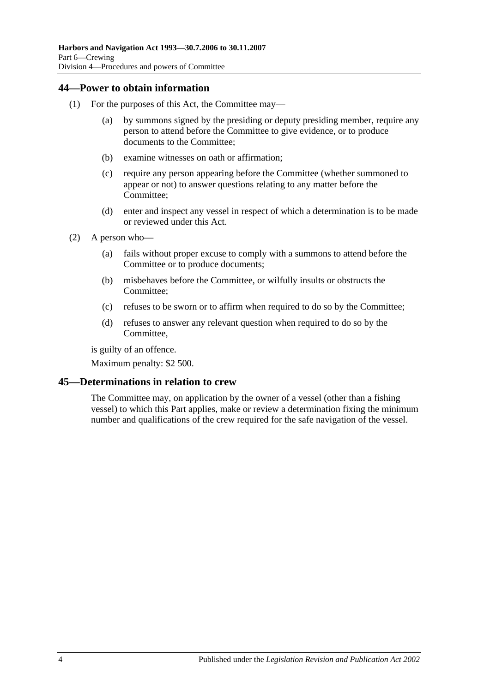## <span id="page-35-0"></span>**44—Power to obtain information**

- (1) For the purposes of this Act, the Committee may—
	- (a) by summons signed by the presiding or deputy presiding member, require any person to attend before the Committee to give evidence, or to produce documents to the Committee;
	- (b) examine witnesses on oath or affirmation;
	- (c) require any person appearing before the Committee (whether summoned to appear or not) to answer questions relating to any matter before the Committee;
	- (d) enter and inspect any vessel in respect of which a determination is to be made or reviewed under this Act.
- (2) A person who—
	- (a) fails without proper excuse to comply with a summons to attend before the Committee or to produce documents;
	- (b) misbehaves before the Committee, or wilfully insults or obstructs the Committee;
	- (c) refuses to be sworn or to affirm when required to do so by the Committee;
	- (d) refuses to answer any relevant question when required to do so by the Committee,

is guilty of an offence.

Maximum penalty: \$2 500.

## <span id="page-35-1"></span>**45—Determinations in relation to crew**

The Committee may, on application by the owner of a vessel (other than a fishing vessel) to which this Part applies, make or review a determination fixing the minimum number and qualifications of the crew required for the safe navigation of the vessel.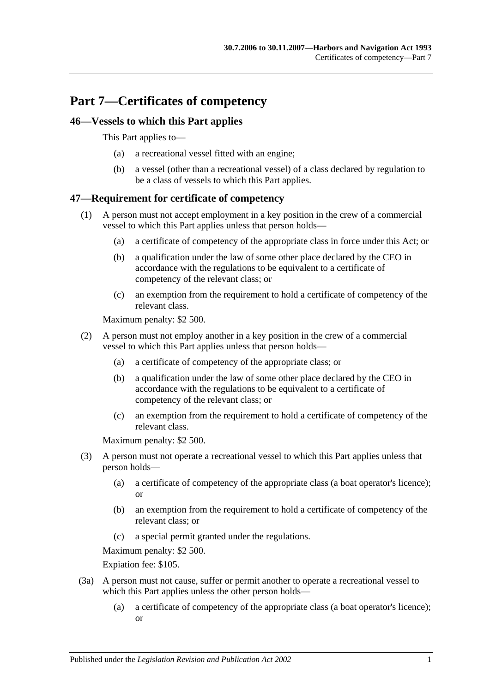# **Part 7—Certificates of competency**

## **46—Vessels to which this Part applies**

This Part applies to—

- (a) a recreational vessel fitted with an engine;
- (b) a vessel (other than a recreational vessel) of a class declared by regulation to be a class of vessels to which this Part applies.

## **47—Requirement for certificate of competency**

- (1) A person must not accept employment in a key position in the crew of a commercial vessel to which this Part applies unless that person holds—
	- (a) a certificate of competency of the appropriate class in force under this Act; or
	- (b) a qualification under the law of some other place declared by the CEO in accordance with the regulations to be equivalent to a certificate of competency of the relevant class; or
	- (c) an exemption from the requirement to hold a certificate of competency of the relevant class.

Maximum penalty: \$2 500.

- (2) A person must not employ another in a key position in the crew of a commercial vessel to which this Part applies unless that person holds—
	- (a) a certificate of competency of the appropriate class; or
	- (b) a qualification under the law of some other place declared by the CEO in accordance with the regulations to be equivalent to a certificate of competency of the relevant class; or
	- (c) an exemption from the requirement to hold a certificate of competency of the relevant class.

Maximum penalty: \$2 500.

- (3) A person must not operate a recreational vessel to which this Part applies unless that person holds—
	- (a) a certificate of competency of the appropriate class (a boat operator's licence); or
	- (b) an exemption from the requirement to hold a certificate of competency of the relevant class; or
	- (c) a special permit granted under the regulations.

Maximum penalty: \$2 500.

Expiation fee: \$105.

- (3a) A person must not cause, suffer or permit another to operate a recreational vessel to which this Part applies unless the other person holds—
	- (a) a certificate of competency of the appropriate class (a boat operator's licence); or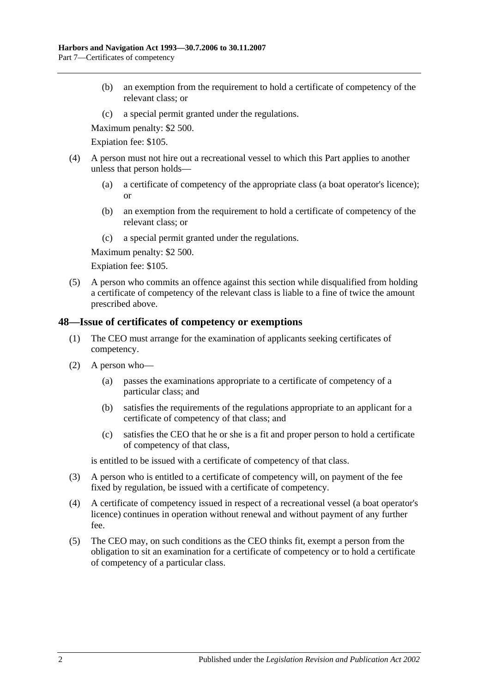- (b) an exemption from the requirement to hold a certificate of competency of the relevant class; or
- (c) a special permit granted under the regulations.

Maximum penalty: \$2 500.

Expiation fee: \$105.

- (4) A person must not hire out a recreational vessel to which this Part applies to another unless that person holds—
	- (a) a certificate of competency of the appropriate class (a boat operator's licence); or
	- (b) an exemption from the requirement to hold a certificate of competency of the relevant class; or
	- (c) a special permit granted under the regulations.

Maximum penalty: \$2 500.

Expiation fee: \$105.

(5) A person who commits an offence against this section while disqualified from holding a certificate of competency of the relevant class is liable to a fine of twice the amount prescribed above.

#### **48—Issue of certificates of competency or exemptions**

- (1) The CEO must arrange for the examination of applicants seeking certificates of competency.
- (2) A person who—
	- (a) passes the examinations appropriate to a certificate of competency of a particular class; and
	- (b) satisfies the requirements of the regulations appropriate to an applicant for a certificate of competency of that class; and
	- (c) satisfies the CEO that he or she is a fit and proper person to hold a certificate of competency of that class,

is entitled to be issued with a certificate of competency of that class.

- (3) A person who is entitled to a certificate of competency will, on payment of the fee fixed by regulation, be issued with a certificate of competency.
- (4) A certificate of competency issued in respect of a recreational vessel (a boat operator's licence) continues in operation without renewal and without payment of any further fee.
- (5) The CEO may, on such conditions as the CEO thinks fit, exempt a person from the obligation to sit an examination for a certificate of competency or to hold a certificate of competency of a particular class.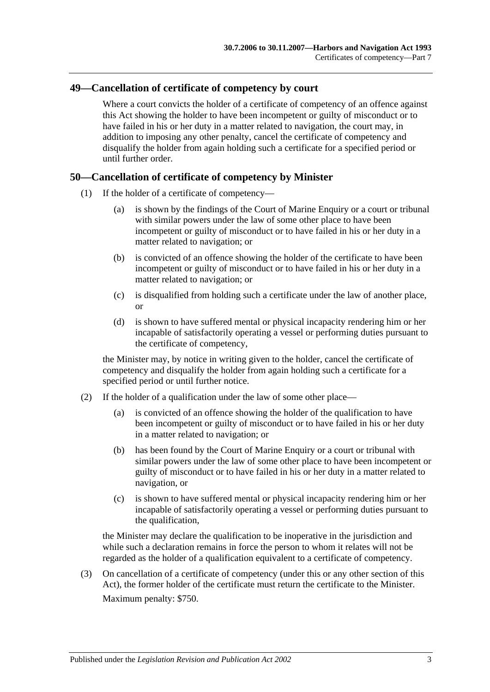## **49—Cancellation of certificate of competency by court**

Where a court convicts the holder of a certificate of competency of an offence against this Act showing the holder to have been incompetent or guilty of misconduct or to have failed in his or her duty in a matter related to navigation, the court may, in addition to imposing any other penalty, cancel the certificate of competency and disqualify the holder from again holding such a certificate for a specified period or until further order.

## **50—Cancellation of certificate of competency by Minister**

- (1) If the holder of a certificate of competency—
	- (a) is shown by the findings of the Court of Marine Enquiry or a court or tribunal with similar powers under the law of some other place to have been incompetent or guilty of misconduct or to have failed in his or her duty in a matter related to navigation; or
	- (b) is convicted of an offence showing the holder of the certificate to have been incompetent or guilty of misconduct or to have failed in his or her duty in a matter related to navigation; or
	- (c) is disqualified from holding such a certificate under the law of another place, or
	- (d) is shown to have suffered mental or physical incapacity rendering him or her incapable of satisfactorily operating a vessel or performing duties pursuant to the certificate of competency,

the Minister may, by notice in writing given to the holder, cancel the certificate of competency and disqualify the holder from again holding such a certificate for a specified period or until further notice.

- (2) If the holder of a qualification under the law of some other place—
	- (a) is convicted of an offence showing the holder of the qualification to have been incompetent or guilty of misconduct or to have failed in his or her duty in a matter related to navigation; or
	- (b) has been found by the Court of Marine Enquiry or a court or tribunal with similar powers under the law of some other place to have been incompetent or guilty of misconduct or to have failed in his or her duty in a matter related to navigation, or
	- (c) is shown to have suffered mental or physical incapacity rendering him or her incapable of satisfactorily operating a vessel or performing duties pursuant to the qualification,

the Minister may declare the qualification to be inoperative in the jurisdiction and while such a declaration remains in force the person to whom it relates will not be regarded as the holder of a qualification equivalent to a certificate of competency.

(3) On cancellation of a certificate of competency (under this or any other section of this Act), the former holder of the certificate must return the certificate to the Minister. Maximum penalty: \$750.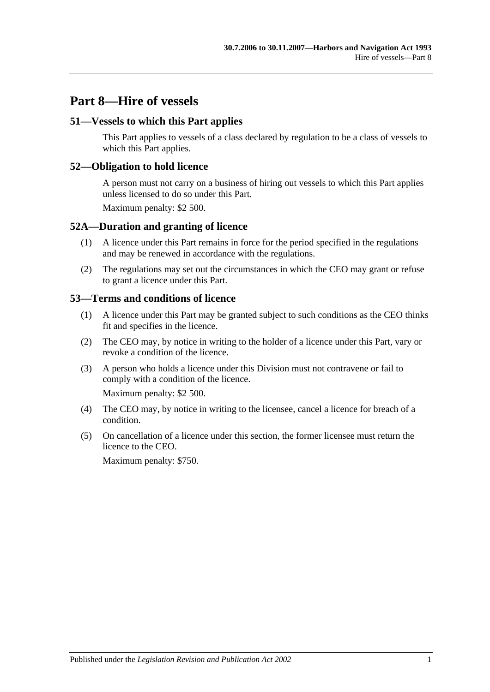# **Part 8—Hire of vessels**

### **51—Vessels to which this Part applies**

This Part applies to vessels of a class declared by regulation to be a class of vessels to which this Part applies.

### **52—Obligation to hold licence**

A person must not carry on a business of hiring out vessels to which this Part applies unless licensed to do so under this Part.

Maximum penalty: \$2 500.

#### **52A—Duration and granting of licence**

- (1) A licence under this Part remains in force for the period specified in the regulations and may be renewed in accordance with the regulations.
- (2) The regulations may set out the circumstances in which the CEO may grant or refuse to grant a licence under this Part.

#### **53—Terms and conditions of licence**

- (1) A licence under this Part may be granted subject to such conditions as the CEO thinks fit and specifies in the licence.
- (2) The CEO may, by notice in writing to the holder of a licence under this Part, vary or revoke a condition of the licence.
- (3) A person who holds a licence under this Division must not contravene or fail to comply with a condition of the licence.

Maximum penalty: \$2 500.

- (4) The CEO may, by notice in writing to the licensee, cancel a licence for breach of a condition.
- (5) On cancellation of a licence under this section, the former licensee must return the licence to the CEO.

Maximum penalty: \$750.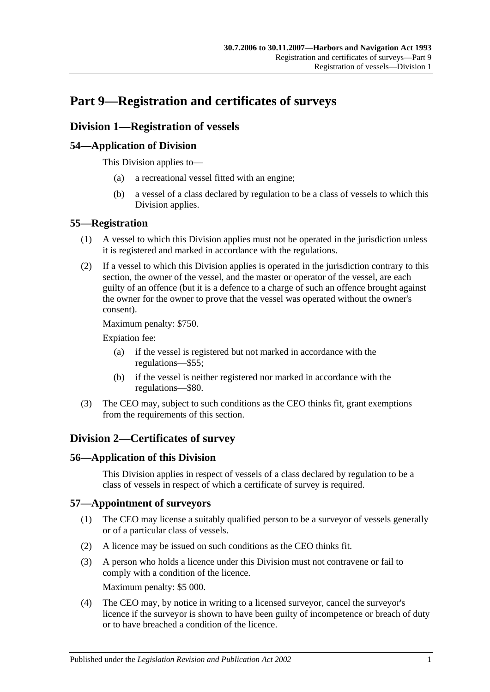# **Part 9—Registration and certificates of surveys**

## **Division 1—Registration of vessels**

## **54—Application of Division**

This Division applies to—

- (a) a recreational vessel fitted with an engine;
- (b) a vessel of a class declared by regulation to be a class of vessels to which this Division applies.

## **55—Registration**

- (1) A vessel to which this Division applies must not be operated in the jurisdiction unless it is registered and marked in accordance with the regulations.
- (2) If a vessel to which this Division applies is operated in the jurisdiction contrary to this section, the owner of the vessel, and the master or operator of the vessel, are each guilty of an offence (but it is a defence to a charge of such an offence brought against the owner for the owner to prove that the vessel was operated without the owner's consent).

Maximum penalty: \$750.

Expiation fee:

- (a) if the vessel is registered but not marked in accordance with the regulations—\$55;
- (b) if the vessel is neither registered nor marked in accordance with the regulations—\$80.
- (3) The CEO may, subject to such conditions as the CEO thinks fit, grant exemptions from the requirements of this section.

# **Division 2—Certificates of survey**

## **56—Application of this Division**

This Division applies in respect of vessels of a class declared by regulation to be a class of vessels in respect of which a certificate of survey is required.

## **57—Appointment of surveyors**

- (1) The CEO may license a suitably qualified person to be a surveyor of vessels generally or of a particular class of vessels.
- (2) A licence may be issued on such conditions as the CEO thinks fit.
- (3) A person who holds a licence under this Division must not contravene or fail to comply with a condition of the licence. Maximum penalty: \$5 000.
- (4) The CEO may, by notice in writing to a licensed surveyor, cancel the surveyor's licence if the surveyor is shown to have been guilty of incompetence or breach of duty or to have breached a condition of the licence.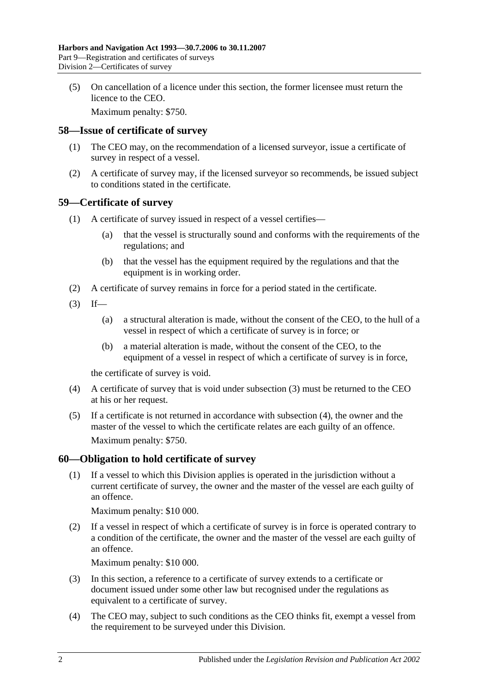(5) On cancellation of a licence under this section, the former licensee must return the licence to the CEO.

Maximum penalty: \$750.

#### **58—Issue of certificate of survey**

- (1) The CEO may, on the recommendation of a licensed surveyor, issue a certificate of survey in respect of a vessel.
- (2) A certificate of survey may, if the licensed surveyor so recommends, be issued subject to conditions stated in the certificate.

#### **59—Certificate of survey**

- (1) A certificate of survey issued in respect of a vessel certifies—
	- (a) that the vessel is structurally sound and conforms with the requirements of the regulations; and
	- (b) that the vessel has the equipment required by the regulations and that the equipment is in working order.
- (2) A certificate of survey remains in force for a period stated in the certificate.
- <span id="page-43-0"></span> $(3)$  If—
	- (a) a structural alteration is made, without the consent of the CEO, to the hull of a vessel in respect of which a certificate of survey is in force; or
	- (b) a material alteration is made, without the consent of the CEO, to the equipment of a vessel in respect of which a certificate of survey is in force,

the certificate of survey is void.

- <span id="page-43-1"></span>(4) A certificate of survey that is void under [subsection](#page-43-0) (3) must be returned to the CEO at his or her request.
- (5) If a certificate is not returned in accordance with [subsection](#page-43-1) (4), the owner and the master of the vessel to which the certificate relates are each guilty of an offence. Maximum penalty: \$750.

## **60—Obligation to hold certificate of survey**

(1) If a vessel to which this Division applies is operated in the jurisdiction without a current certificate of survey, the owner and the master of the vessel are each guilty of an offence.

Maximum penalty: \$10 000.

(2) If a vessel in respect of which a certificate of survey is in force is operated contrary to a condition of the certificate, the owner and the master of the vessel are each guilty of an offence.

Maximum penalty: \$10 000.

- (3) In this section, a reference to a certificate of survey extends to a certificate or document issued under some other law but recognised under the regulations as equivalent to a certificate of survey.
- (4) The CEO may, subject to such conditions as the CEO thinks fit, exempt a vessel from the requirement to be surveyed under this Division.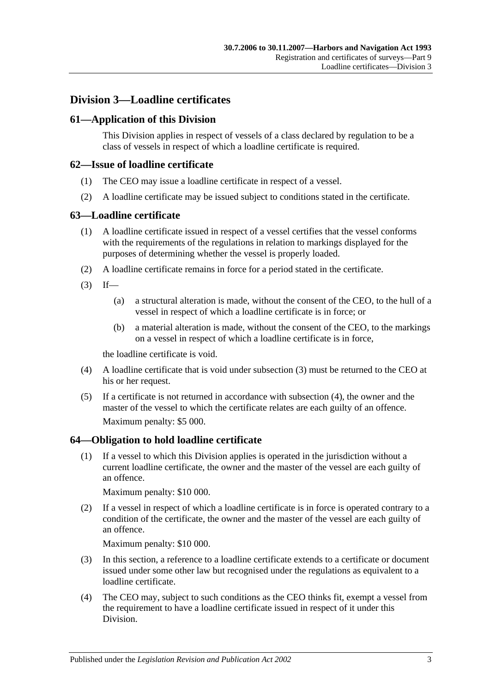## **Division 3—Loadline certificates**

## **61—Application of this Division**

This Division applies in respect of vessels of a class declared by regulation to be a class of vessels in respect of which a loadline certificate is required.

### **62—Issue of loadline certificate**

- (1) The CEO may issue a loadline certificate in respect of a vessel.
- (2) A loadline certificate may be issued subject to conditions stated in the certificate.

#### **63—Loadline certificate**

- (1) A loadline certificate issued in respect of a vessel certifies that the vessel conforms with the requirements of the regulations in relation to markings displayed for the purposes of determining whether the vessel is properly loaded.
- (2) A loadline certificate remains in force for a period stated in the certificate.
- <span id="page-44-0"></span> $(3)$  If—
	- (a) a structural alteration is made, without the consent of the CEO, to the hull of a vessel in respect of which a loadline certificate is in force; or
	- (b) a material alteration is made, without the consent of the CEO, to the markings on a vessel in respect of which a loadline certificate is in force,

the loadline certificate is void.

- <span id="page-44-1"></span>(4) A loadline certificate that is void under [subsection](#page-44-0) (3) must be returned to the CEO at his or her request.
- (5) If a certificate is not returned in accordance with [subsection](#page-44-1) (4), the owner and the master of the vessel to which the certificate relates are each guilty of an offence. Maximum penalty: \$5 000.

## **64—Obligation to hold loadline certificate**

(1) If a vessel to which this Division applies is operated in the jurisdiction without a current loadline certificate, the owner and the master of the vessel are each guilty of an offence.

Maximum penalty: \$10 000.

(2) If a vessel in respect of which a loadline certificate is in force is operated contrary to a condition of the certificate, the owner and the master of the vessel are each guilty of an offence.

Maximum penalty: \$10 000.

- (3) In this section, a reference to a loadline certificate extends to a certificate or document issued under some other law but recognised under the regulations as equivalent to a loadline certificate.
- (4) The CEO may, subject to such conditions as the CEO thinks fit, exempt a vessel from the requirement to have a loadline certificate issued in respect of it under this Division.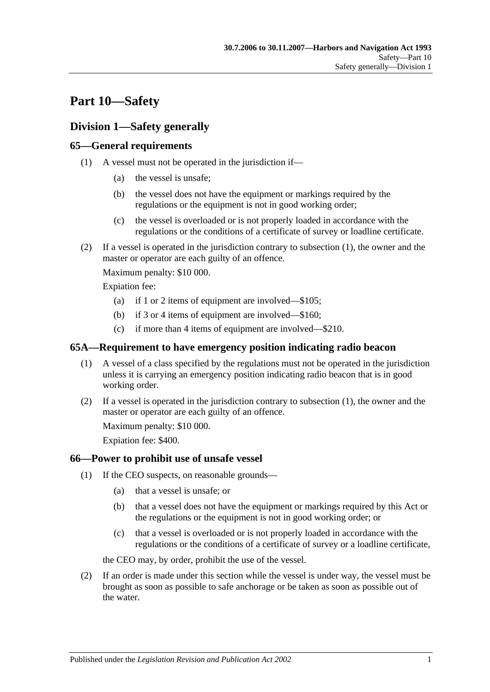# **Part 10—Safety**

# **Division 1—Safety generally**

## <span id="page-46-0"></span>**65—General requirements**

- (1) A vessel must not be operated in the jurisdiction if—
	- (a) the vessel is unsafe;
	- (b) the vessel does not have the equipment or markings required by the regulations or the equipment is not in good working order;
	- (c) the vessel is overloaded or is not properly loaded in accordance with the regulations or the conditions of a certificate of survey or loadline certificate.
- (2) If a vessel is operated in the jurisdiction contrary to [subsection](#page-46-0) (1), the owner and the master or operator are each guilty of an offence.

Maximum penalty: \$10 000.

Expiation fee:

- (a) if 1 or 2 items of equipment are involved—\$105;
- (b) if 3 or 4 items of equipment are involved—\$160;
- (c) if more than 4 items of equipment are involved—\$210.

## <span id="page-46-1"></span>**65A—Requirement to have emergency position indicating radio beacon**

- (1) A vessel of a class specified by the regulations must not be operated in the jurisdiction unless it is carrying an emergency position indicating radio beacon that is in good working order.
- (2) If a vessel is operated in the jurisdiction contrary to [subsection](#page-46-1) (1), the owner and the master or operator are each guilty of an offence.

Maximum penalty: \$10 000.

Expiation fee: \$400.

## <span id="page-46-3"></span>**66—Power to prohibit use of unsafe vessel**

- (1) If the CEO suspects, on reasonable grounds—
	- (a) that a vessel is unsafe; or
	- (b) that a vessel does not have the equipment or markings required by this Act or the regulations or the equipment is not in good working order; or
	- (c) that a vessel is overloaded or is not properly loaded in accordance with the regulations or the conditions of a certificate of survey or a loadline certificate,

the CEO may, by order, prohibit the use of the vessel.

<span id="page-46-2"></span>(2) If an order is made under this section while the vessel is under way, the vessel must be brought as soon as possible to safe anchorage or be taken as soon as possible out of the water.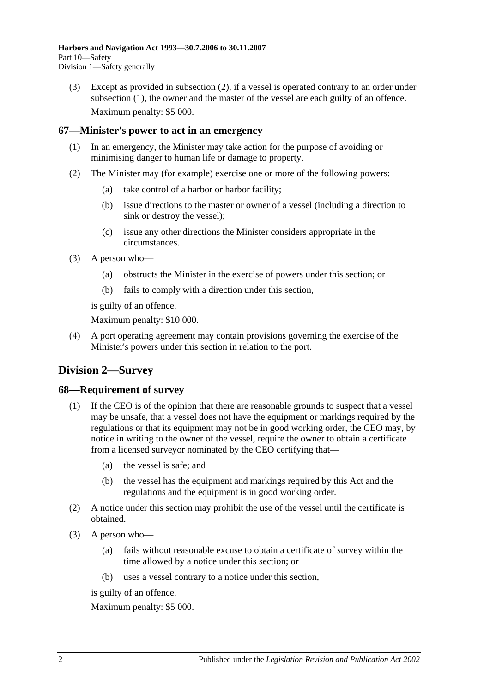(3) Except as provided in [subsection](#page-46-2) (2), if a vessel is operated contrary to an order under [subsection](#page-46-3) (1), the owner and the master of the vessel are each guilty of an offence. Maximum penalty: \$5 000.

## **67—Minister's power to act in an emergency**

- (1) In an emergency, the Minister may take action for the purpose of avoiding or minimising danger to human life or damage to property.
- (2) The Minister may (for example) exercise one or more of the following powers:
	- (a) take control of a harbor or harbor facility;
	- (b) issue directions to the master or owner of a vessel (including a direction to sink or destroy the vessel);
	- (c) issue any other directions the Minister considers appropriate in the circumstances.
- (3) A person who—
	- (a) obstructs the Minister in the exercise of powers under this section; or
	- (b) fails to comply with a direction under this section,

is guilty of an offence.

Maximum penalty: \$10 000.

(4) A port operating agreement may contain provisions governing the exercise of the Minister's powers under this section in relation to the port.

# **Division 2—Survey**

#### **68—Requirement of survey**

- (1) If the CEO is of the opinion that there are reasonable grounds to suspect that a vessel may be unsafe, that a vessel does not have the equipment or markings required by the regulations or that its equipment may not be in good working order, the CEO may, by notice in writing to the owner of the vessel, require the owner to obtain a certificate from a licensed surveyor nominated by the CEO certifying that—
	- (a) the vessel is safe; and
	- (b) the vessel has the equipment and markings required by this Act and the regulations and the equipment is in good working order.
- (2) A notice under this section may prohibit the use of the vessel until the certificate is obtained.
- (3) A person who—
	- (a) fails without reasonable excuse to obtain a certificate of survey within the time allowed by a notice under this section; or
	- (b) uses a vessel contrary to a notice under this section,

is guilty of an offence.

Maximum penalty: \$5 000.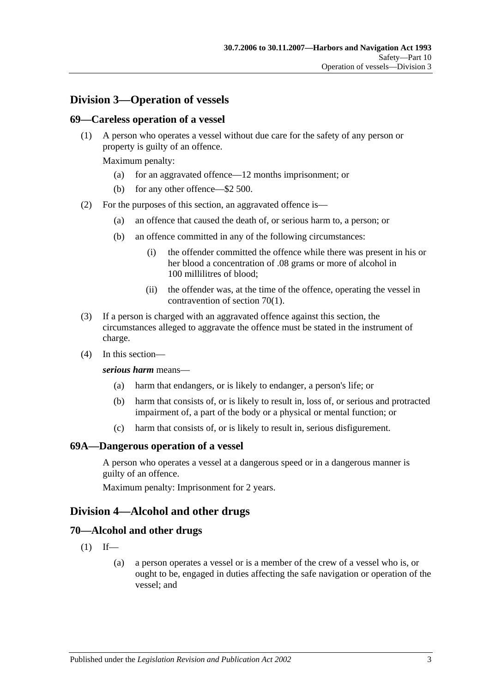## **Division 3—Operation of vessels**

#### **69—Careless operation of a vessel**

(1) A person who operates a vessel without due care for the safety of any person or property is guilty of an offence.

Maximum penalty:

- (a) for an aggravated offence—12 months imprisonment; or
- (b) for any other offence—\$2 500.
- (2) For the purposes of this section, an aggravated offence is—
	- (a) an offence that caused the death of, or serious harm to, a person; or
	- (b) an offence committed in any of the following circumstances:
		- (i) the offender committed the offence while there was present in his or her blood a concentration of .08 grams or more of alcohol in 100 millilitres of blood;
		- (ii) the offender was, at the time of the offence, operating the vessel in contravention of [section](#page-48-0) 70(1).
- (3) If a person is charged with an aggravated offence against this section, the circumstances alleged to aggravate the offence must be stated in the instrument of charge.
- (4) In this section—

#### *serious harm* means—

- (a) harm that endangers, or is likely to endanger, a person's life; or
- (b) harm that consists of, or is likely to result in, loss of, or serious and protracted impairment of, a part of the body or a physical or mental function; or
- (c) harm that consists of, or is likely to result in, serious disfigurement.

#### **69A—Dangerous operation of a vessel**

A person who operates a vessel at a dangerous speed or in a dangerous manner is guilty of an offence.

Maximum penalty: Imprisonment for 2 years.

## **Division 4—Alcohol and other drugs**

#### <span id="page-48-0"></span>**70—Alcohol and other drugs**

- $(1)$  If—
	- (a) a person operates a vessel or is a member of the crew of a vessel who is, or ought to be, engaged in duties affecting the safe navigation or operation of the vessel; and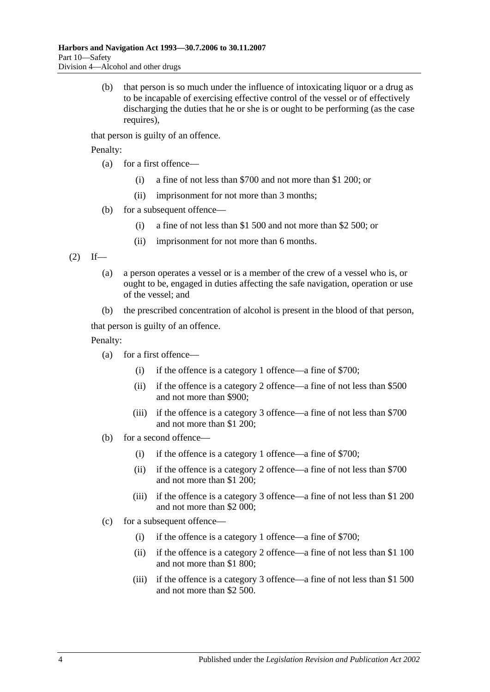(b) that person is so much under the influence of intoxicating liquor or a drug as to be incapable of exercising effective control of the vessel or of effectively discharging the duties that he or she is or ought to be performing (as the case requires).

that person is guilty of an offence.

Penalty:

- (a) for a first offence—
	- (i) a fine of not less than \$700 and not more than \$1 200; or
	- (ii) imprisonment for not more than 3 months;
- (b) for a subsequent offence—
	- (i) a fine of not less than \$1 500 and not more than \$2 500; or
	- (ii) imprisonment for not more than 6 months.

<span id="page-49-0"></span> $(2)$  If—

- (a) a person operates a vessel or is a member of the crew of a vessel who is, or ought to be, engaged in duties affecting the safe navigation, operation or use of the vessel; and
- (b) the prescribed concentration of alcohol is present in the blood of that person,

that person is guilty of an offence.

Penalty:

- (a) for a first offence—
	- (i) if the offence is a category 1 offence—a fine of \$700;
	- (ii) if the offence is a category 2 offence—a fine of not less than \$500 and not more than \$900;
	- (iii) if the offence is a category 3 offence—a fine of not less than \$700 and not more than \$1 200;
- (b) for a second offence—
	- (i) if the offence is a category 1 offence—a fine of \$700;
	- (ii) if the offence is a category 2 offence—a fine of not less than \$700 and not more than \$1 200;
	- (iii) if the offence is a category 3 offence—a fine of not less than \$1 200 and not more than \$2 000;
- (c) for a subsequent offence—
	- (i) if the offence is a category 1 offence—a fine of \$700;
	- (ii) if the offence is a category 2 offence—a fine of not less than \$1 100 and not more than \$1 800;
	- (iii) if the offence is a category 3 offence—a fine of not less than \$1 500 and not more than \$2 500.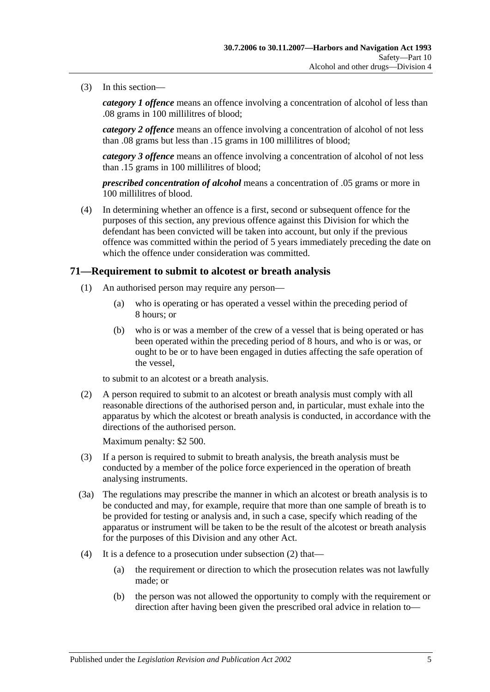(3) In this section—

*category 1 offence* means an offence involving a concentration of alcohol of less than .08 grams in 100 millilitres of blood;

*category 2 offence* means an offence involving a concentration of alcohol of not less than .08 grams but less than .15 grams in 100 millilitres of blood;

*category 3 offence* means an offence involving a concentration of alcohol of not less than .15 grams in 100 millilitres of blood;

*prescribed concentration of alcohol* means a concentration of .05 grams or more in 100 millilitres of blood.

(4) In determining whether an offence is a first, second or subsequent offence for the purposes of this section, any previous offence against this Division for which the defendant has been convicted will be taken into account, but only if the previous offence was committed within the period of 5 years immediately preceding the date on which the offence under consideration was committed.

#### <span id="page-50-1"></span>**71—Requirement to submit to alcotest or breath analysis**

- (1) An authorised person may require any person—
	- (a) who is operating or has operated a vessel within the preceding period of 8 hours; or
	- (b) who is or was a member of the crew of a vessel that is being operated or has been operated within the preceding period of 8 hours, and who is or was, or ought to be or to have been engaged in duties affecting the safe operation of the vessel,

to submit to an alcotest or a breath analysis.

<span id="page-50-0"></span>(2) A person required to submit to an alcotest or breath analysis must comply with all reasonable directions of the authorised person and, in particular, must exhale into the apparatus by which the alcotest or breath analysis is conducted, in accordance with the directions of the authorised person.

Maximum penalty: \$2 500.

- (3) If a person is required to submit to breath analysis, the breath analysis must be conducted by a member of the police force experienced in the operation of breath analysing instruments.
- (3a) The regulations may prescribe the manner in which an alcotest or breath analysis is to be conducted and may, for example, require that more than one sample of breath is to be provided for testing or analysis and, in such a case, specify which reading of the apparatus or instrument will be taken to be the result of the alcotest or breath analysis for the purposes of this Division and any other Act.
- (4) It is a defence to a prosecution under [subsection](#page-50-0) (2) that—
	- (a) the requirement or direction to which the prosecution relates was not lawfully made; or
	- (b) the person was not allowed the opportunity to comply with the requirement or direction after having been given the prescribed oral advice in relation to—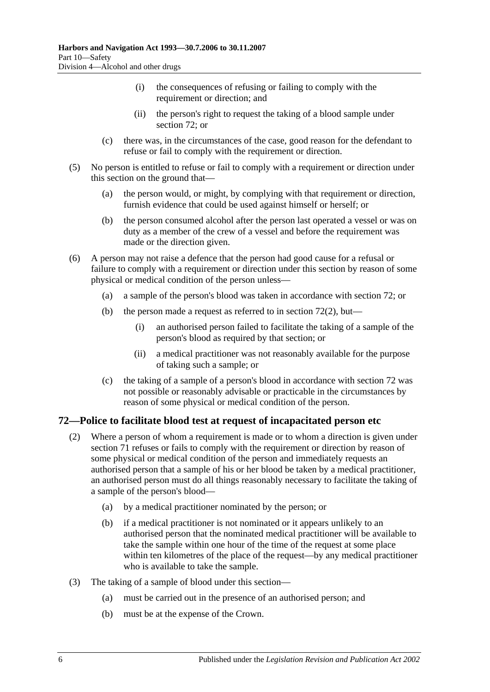- (i) the consequences of refusing or failing to comply with the requirement or direction; and
- (ii) the person's right to request the taking of a blood sample under [section](#page-51-0) 72; or
- (c) there was, in the circumstances of the case, good reason for the defendant to refuse or fail to comply with the requirement or direction.
- (5) No person is entitled to refuse or fail to comply with a requirement or direction under this section on the ground that—
	- (a) the person would, or might, by complying with that requirement or direction, furnish evidence that could be used against himself or herself; or
	- (b) the person consumed alcohol after the person last operated a vessel or was on duty as a member of the crew of a vessel and before the requirement was made or the direction given.
- (6) A person may not raise a defence that the person had good cause for a refusal or failure to comply with a requirement or direction under this section by reason of some physical or medical condition of the person unless—
	- (a) a sample of the person's blood was taken in accordance with [section](#page-51-0) 72; or
	- (b) the person made a request as referred to in [section](#page-51-1)  $72(2)$ , but—
		- (i) an authorised person failed to facilitate the taking of a sample of the person's blood as required by that section; or
		- (ii) a medical practitioner was not reasonably available for the purpose of taking such a sample; or
	- (c) the taking of a sample of a person's blood in accordance with [section](#page-51-0) 72 was not possible or reasonably advisable or practicable in the circumstances by reason of some physical or medical condition of the person.

## <span id="page-51-1"></span><span id="page-51-0"></span>**72—Police to facilitate blood test at request of incapacitated person etc**

- (2) Where a person of whom a requirement is made or to whom a direction is given under [section](#page-50-1) 71 refuses or fails to comply with the requirement or direction by reason of some physical or medical condition of the person and immediately requests an authorised person that a sample of his or her blood be taken by a medical practitioner, an authorised person must do all things reasonably necessary to facilitate the taking of a sample of the person's blood—
	- (a) by a medical practitioner nominated by the person; or
	- (b) if a medical practitioner is not nominated or it appears unlikely to an authorised person that the nominated medical practitioner will be available to take the sample within one hour of the time of the request at some place within ten kilometres of the place of the request—by any medical practitioner who is available to take the sample.
- (3) The taking of a sample of blood under this section—
	- (a) must be carried out in the presence of an authorised person; and
	- (b) must be at the expense of the Crown.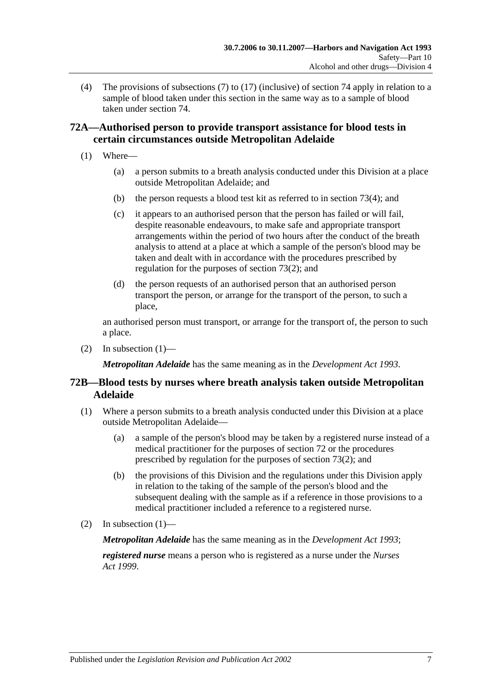(4) The provisions of [subsections](#page-56-0) (7) to [\(17\)](#page-58-0) (inclusive) of [section](#page-56-1) 74 apply in relation to a sample of blood taken under this section in the same way as to a sample of blood taken under [section](#page-56-1) 74.

## **72A—Authorised person to provide transport assistance for blood tests in certain circumstances outside Metropolitan Adelaide**

- <span id="page-52-0"></span>(1) Where—
	- (a) a person submits to a breath analysis conducted under this Division at a place outside Metropolitan Adelaide; and
	- (b) the person requests a blood test kit as referred to in [section](#page-54-0) 73(4); and
	- (c) it appears to an authorised person that the person has failed or will fail, despite reasonable endeavours, to make safe and appropriate transport arrangements within the period of two hours after the conduct of the breath analysis to attend at a place at which a sample of the person's blood may be taken and dealt with in accordance with the procedures prescribed by regulation for the purposes of [section](#page-53-0) 73(2); and
	- (d) the person requests of an authorised person that an authorised person transport the person, or arrange for the transport of the person, to such a place,

an authorised person must transport, or arrange for the transport of, the person to such a place.

(2) In [subsection](#page-52-0)  $(1)$ —

*Metropolitan Adelaide* has the same meaning as in the *[Development Act](http://www.legislation.sa.gov.au/index.aspx?action=legref&type=act&legtitle=Development%20Act%201993) 1993*.

## **72B—Blood tests by nurses where breath analysis taken outside Metropolitan Adelaide**

- <span id="page-52-1"></span>(1) Where a person submits to a breath analysis conducted under this Division at a place outside Metropolitan Adelaide—
	- (a) a sample of the person's blood may be taken by a registered nurse instead of a medical practitioner for the purposes of [section](#page-51-0) 72 or the procedures prescribed by regulation for the purposes of [section](#page-53-0) 73(2); and
	- (b) the provisions of this Division and the regulations under this Division apply in relation to the taking of the sample of the person's blood and the subsequent dealing with the sample as if a reference in those provisions to a medical practitioner included a reference to a registered nurse.
- (2) In [subsection](#page-52-1)  $(1)$ —

*Metropolitan Adelaide* has the same meaning as in the *[Development Act](http://www.legislation.sa.gov.au/index.aspx?action=legref&type=act&legtitle=Development%20Act%201993) 1993*;

*registered nurse* means a person who is registered as a nurse under the *[Nurses](http://www.legislation.sa.gov.au/index.aspx?action=legref&type=act&legtitle=Nurses%20Act%201999)  Act [1999](http://www.legislation.sa.gov.au/index.aspx?action=legref&type=act&legtitle=Nurses%20Act%201999)*.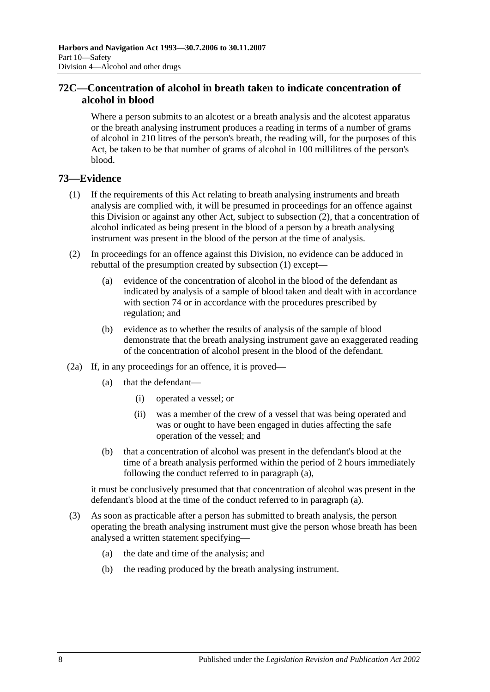## **72C—Concentration of alcohol in breath taken to indicate concentration of alcohol in blood**

Where a person submits to an alcotest or a breath analysis and the alcotest apparatus or the breath analysing instrument produces a reading in terms of a number of grams of alcohol in 210 litres of the person's breath, the reading will, for the purposes of this Act, be taken to be that number of grams of alcohol in 100 millilitres of the person's blood.

## <span id="page-53-1"></span>**73—Evidence**

- (1) If the requirements of this Act relating to breath analysing instruments and breath analysis are complied with, it will be presumed in proceedings for an offence against this Division or against any other Act, subject to [subsection](#page-53-0) (2), that a concentration of alcohol indicated as being present in the blood of a person by a breath analysing instrument was present in the blood of the person at the time of analysis.
- <span id="page-53-0"></span>(2) In proceedings for an offence against this Division, no evidence can be adduced in rebuttal of the presumption created by [subsection](#page-53-1) (1) except—
	- (a) evidence of the concentration of alcohol in the blood of the defendant as indicated by analysis of a sample of blood taken and dealt with in accordance with [section](#page-56-1) 74 or in accordance with the procedures prescribed by regulation; and
	- (b) evidence as to whether the results of analysis of the sample of blood demonstrate that the breath analysing instrument gave an exaggerated reading of the concentration of alcohol present in the blood of the defendant.
- <span id="page-53-2"></span>(2a) If, in any proceedings for an offence, it is proved—
	- (a) that the defendant—
		- (i) operated a vessel; or
		- (ii) was a member of the crew of a vessel that was being operated and was or ought to have been engaged in duties affecting the safe operation of the vessel; and
	- (b) that a concentration of alcohol was present in the defendant's blood at the time of a breath analysis performed within the period of 2 hours immediately following the conduct referred to in [paragraph](#page-53-2) (a),

it must be conclusively presumed that that concentration of alcohol was present in the defendant's blood at the time of the conduct referred to in [paragraph](#page-53-2) (a).

- <span id="page-53-3"></span>(3) As soon as practicable after a person has submitted to breath analysis, the person operating the breath analysing instrument must give the person whose breath has been analysed a written statement specifying—
	- (a) the date and time of the analysis; and
	- (b) the reading produced by the breath analysing instrument.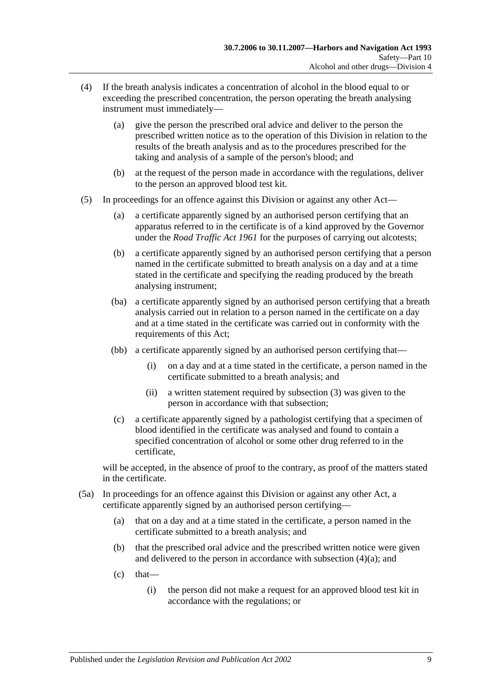- <span id="page-54-1"></span><span id="page-54-0"></span>(4) If the breath analysis indicates a concentration of alcohol in the blood equal to or exceeding the prescribed concentration, the person operating the breath analysing instrument must immediately—
	- (a) give the person the prescribed oral advice and deliver to the person the prescribed written notice as to the operation of this Division in relation to the results of the breath analysis and as to the procedures prescribed for the taking and analysis of a sample of the person's blood; and
	- (b) at the request of the person made in accordance with the regulations, deliver to the person an approved blood test kit.
- <span id="page-54-2"></span>(5) In proceedings for an offence against this Division or against any other Act—
	- (a) a certificate apparently signed by an authorised person certifying that an apparatus referred to in the certificate is of a kind approved by the Governor under the *[Road Traffic Act](http://www.legislation.sa.gov.au/index.aspx?action=legref&type=act&legtitle=Road%20Traffic%20Act%201961) 1961* for the purposes of carrying out alcotests;
	- (b) a certificate apparently signed by an authorised person certifying that a person named in the certificate submitted to breath analysis on a day and at a time stated in the certificate and specifying the reading produced by the breath analysing instrument;
	- (ba) a certificate apparently signed by an authorised person certifying that a breath analysis carried out in relation to a person named in the certificate on a day and at a time stated in the certificate was carried out in conformity with the requirements of this Act;
	- (bb) a certificate apparently signed by an authorised person certifying that—
		- (i) on a day and at a time stated in the certificate, a person named in the certificate submitted to a breath analysis; and
		- (ii) a written statement required by [subsection](#page-53-3) (3) was given to the person in accordance with that subsection;
	- (c) a certificate apparently signed by a pathologist certifying that a specimen of blood identified in the certificate was analysed and found to contain a specified concentration of alcohol or some other drug referred to in the certificate,

will be accepted, in the absence of proof to the contrary, as proof of the matters stated in the certificate.

- (5a) In proceedings for an offence against this Division or against any other Act, a certificate apparently signed by an authorised person certifying—
	- (a) that on a day and at a time stated in the certificate, a person named in the certificate submitted to a breath analysis; and
	- (b) that the prescribed oral advice and the prescribed written notice were given and delivered to the person in accordance with [subsection](#page-54-1) (4)(a); and
	- $(c)$  that—
		- (i) the person did not make a request for an approved blood test kit in accordance with the regulations; or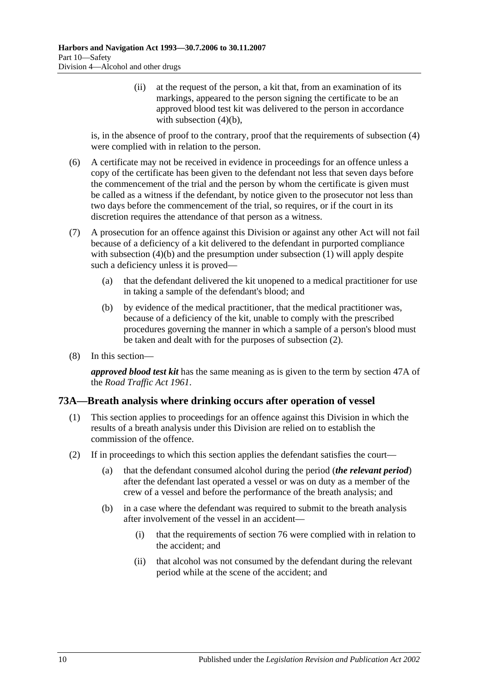(ii) at the request of the person, a kit that, from an examination of its markings, appeared to the person signing the certificate to be an approved blood test kit was delivered to the person in accordance with [subsection](#page-54-2)  $(4)(b)$ ,

is, in the absence of proof to the contrary, proof that the requirements of [subsection](#page-54-0) (4) were complied with in relation to the person.

- (6) A certificate may not be received in evidence in proceedings for an offence unless a copy of the certificate has been given to the defendant not less that seven days before the commencement of the trial and the person by whom the certificate is given must be called as a witness if the defendant, by notice given to the prosecutor not less than two days before the commencement of the trial, so requires, or if the court in its discretion requires the attendance of that person as a witness.
- (7) A prosecution for an offence against this Division or against any other Act will not fail because of a deficiency of a kit delivered to the defendant in purported compliance with [subsection](#page-53-1) (4)(b) and the presumption under subsection (1) will apply despite such a deficiency unless it is proved—
	- (a) that the defendant delivered the kit unopened to a medical practitioner for use in taking a sample of the defendant's blood; and
	- (b) by evidence of the medical practitioner, that the medical practitioner was, because of a deficiency of the kit, unable to comply with the prescribed procedures governing the manner in which a sample of a person's blood must be taken and dealt with for the purposes of [subsection](#page-53-0) (2).
- (8) In this section—

*approved blood test kit* has the same meaning as is given to the term by section 47A of the *[Road Traffic Act](http://www.legislation.sa.gov.au/index.aspx?action=legref&type=act&legtitle=Road%20Traffic%20Act%201961) 1961*.

## **73A—Breath analysis where drinking occurs after operation of vessel**

- (1) This section applies to proceedings for an offence against this Division in which the results of a breath analysis under this Division are relied on to establish the commission of the offence.
- (2) If in proceedings to which this section applies the defendant satisfies the court—
	- (a) that the defendant consumed alcohol during the period (*the relevant period*) after the defendant last operated a vessel or was on duty as a member of the crew of a vessel and before the performance of the breath analysis; and
	- (b) in a case where the defendant was required to submit to the breath analysis after involvement of the vessel in an accident—
		- (i) that the requirements of [section](#page-60-0) 76 were complied with in relation to the accident; and
		- (ii) that alcohol was not consumed by the defendant during the relevant period while at the scene of the accident; and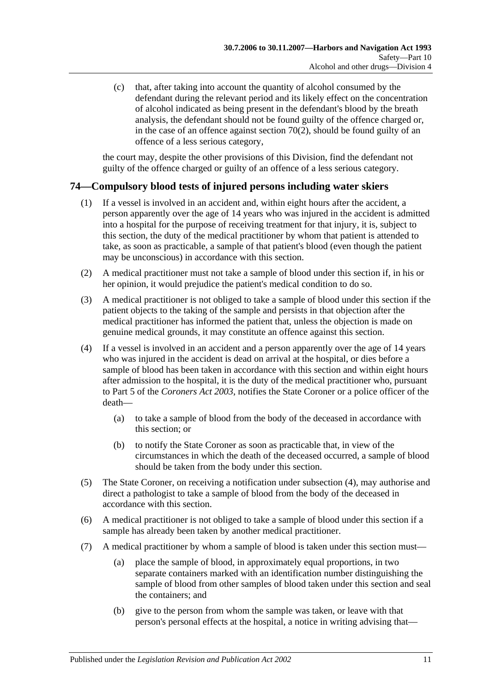(c) that, after taking into account the quantity of alcohol consumed by the defendant during the relevant period and its likely effect on the concentration of alcohol indicated as being present in the defendant's blood by the breath analysis, the defendant should not be found guilty of the offence charged or, in the case of an offence against [section](#page-49-0)  $70(2)$ , should be found guilty of an offence of a less serious category,

the court may, despite the other provisions of this Division, find the defendant not guilty of the offence charged or guilty of an offence of a less serious category.

## <span id="page-56-1"></span>**74—Compulsory blood tests of injured persons including water skiers**

- (1) If a vessel is involved in an accident and, within eight hours after the accident, a person apparently over the age of 14 years who was injured in the accident is admitted into a hospital for the purpose of receiving treatment for that injury, it is, subject to this section, the duty of the medical practitioner by whom that patient is attended to take, as soon as practicable, a sample of that patient's blood (even though the patient may be unconscious) in accordance with this section.
- (2) A medical practitioner must not take a sample of blood under this section if, in his or her opinion, it would prejudice the patient's medical condition to do so.
- (3) A medical practitioner is not obliged to take a sample of blood under this section if the patient objects to the taking of the sample and persists in that objection after the medical practitioner has informed the patient that, unless the objection is made on genuine medical grounds, it may constitute an offence against this section.
- (4) If a vessel is involved in an accident and a person apparently over the age of 14 years who was injured in the accident is dead on arrival at the hospital, or dies before a sample of blood has been taken in accordance with this section and within eight hours after admission to the hospital, it is the duty of the medical practitioner who, pursuant to Part 5 of the *[Coroners Act](http://www.legislation.sa.gov.au/index.aspx?action=legref&type=act&legtitle=Coroners%20Act%202003) 2003*, notifies the State Coroner or a police officer of the death—
	- (a) to take a sample of blood from the body of the deceased in accordance with this section; or
	- (b) to notify the State Coroner as soon as practicable that, in view of the circumstances in which the death of the deceased occurred, a sample of blood should be taken from the body under this section.
- (5) The State Coroner, on receiving a notification under subsection (4), may authorise and direct a pathologist to take a sample of blood from the body of the deceased in accordance with this section.
- (6) A medical practitioner is not obliged to take a sample of blood under this section if a sample has already been taken by another medical practitioner.
- <span id="page-56-0"></span>(7) A medical practitioner by whom a sample of blood is taken under this section must—
	- (a) place the sample of blood, in approximately equal proportions, in two separate containers marked with an identification number distinguishing the sample of blood from other samples of blood taken under this section and seal the containers; and
	- (b) give to the person from whom the sample was taken, or leave with that person's personal effects at the hospital, a notice in writing advising that—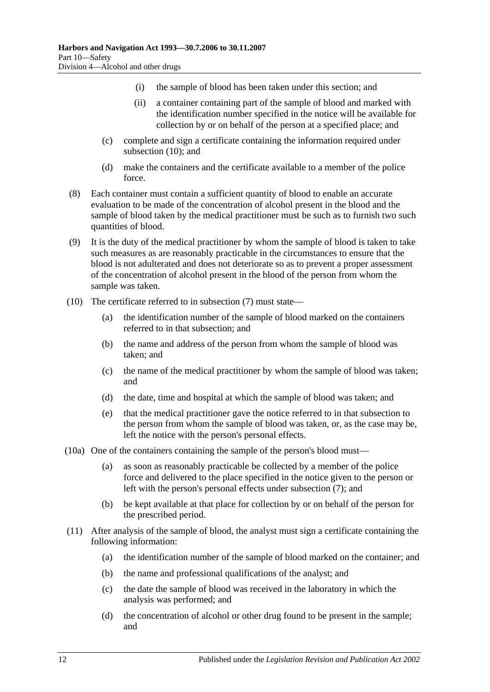- (i) the sample of blood has been taken under this section; and
- (ii) a container containing part of the sample of blood and marked with the identification number specified in the notice will be available for collection by or on behalf of the person at a specified place; and
- (c) complete and sign a certificate containing the information required under [subsection](#page-57-0) (10); and
- (d) make the containers and the certificate available to a member of the police force.
- (8) Each container must contain a sufficient quantity of blood to enable an accurate evaluation to be made of the concentration of alcohol present in the blood and the sample of blood taken by the medical practitioner must be such as to furnish two such quantities of blood.
- (9) It is the duty of the medical practitioner by whom the sample of blood is taken to take such measures as are reasonably practicable in the circumstances to ensure that the blood is not adulterated and does not deteriorate so as to prevent a proper assessment of the concentration of alcohol present in the blood of the person from whom the sample was taken.
- <span id="page-57-0"></span>(10) The certificate referred to in [subsection](#page-56-0) (7) must state—
	- (a) the identification number of the sample of blood marked on the containers referred to in that subsection; and
	- (b) the name and address of the person from whom the sample of blood was taken; and
	- (c) the name of the medical practitioner by whom the sample of blood was taken; and
	- (d) the date, time and hospital at which the sample of blood was taken; and
	- (e) that the medical practitioner gave the notice referred to in that subsection to the person from whom the sample of blood was taken, or, as the case may be, left the notice with the person's personal effects.
- (10a) One of the containers containing the sample of the person's blood must—
	- (a) as soon as reasonably practicable be collected by a member of the police force and delivered to the place specified in the notice given to the person or left with the person's personal effects under [subsection](#page-56-0) (7); and
	- (b) be kept available at that place for collection by or on behalf of the person for the prescribed period.
- (11) After analysis of the sample of blood, the analyst must sign a certificate containing the following information:
	- (a) the identification number of the sample of blood marked on the container; and
	- (b) the name and professional qualifications of the analyst; and
	- (c) the date the sample of blood was received in the laboratory in which the analysis was performed; and
	- (d) the concentration of alcohol or other drug found to be present in the sample; and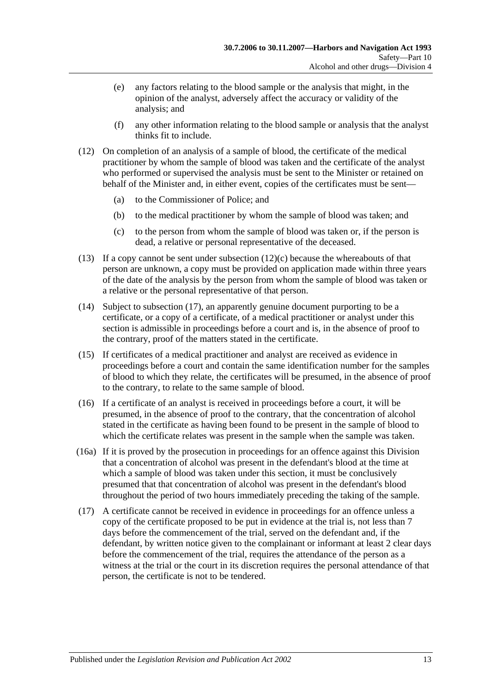- (e) any factors relating to the blood sample or the analysis that might, in the opinion of the analyst, adversely affect the accuracy or validity of the analysis; and
- (f) any other information relating to the blood sample or analysis that the analyst thinks fit to include.
- (12) On completion of an analysis of a sample of blood, the certificate of the medical practitioner by whom the sample of blood was taken and the certificate of the analyst who performed or supervised the analysis must be sent to the Minister or retained on behalf of the Minister and, in either event, copies of the certificates must be sent—
	- (a) to the Commissioner of Police; and
	- (b) to the medical practitioner by whom the sample of blood was taken; and
	- (c) to the person from whom the sample of blood was taken or, if the person is dead, a relative or personal representative of the deceased.
- <span id="page-58-1"></span>(13) If a copy cannot be sent under [subsection](#page-58-1)  $(12)(c)$  because the whereabouts of that person are unknown, a copy must be provided on application made within three years of the date of the analysis by the person from whom the sample of blood was taken or a relative or the personal representative of that person.
- (14) Subject to [subsection](#page-58-0) (17), an apparently genuine document purporting to be a certificate, or a copy of a certificate, of a medical practitioner or analyst under this section is admissible in proceedings before a court and is, in the absence of proof to the contrary, proof of the matters stated in the certificate.
- (15) If certificates of a medical practitioner and analyst are received as evidence in proceedings before a court and contain the same identification number for the samples of blood to which they relate, the certificates will be presumed, in the absence of proof to the contrary, to relate to the same sample of blood.
- (16) If a certificate of an analyst is received in proceedings before a court, it will be presumed, in the absence of proof to the contrary, that the concentration of alcohol stated in the certificate as having been found to be present in the sample of blood to which the certificate relates was present in the sample when the sample was taken.
- (16a) If it is proved by the prosecution in proceedings for an offence against this Division that a concentration of alcohol was present in the defendant's blood at the time at which a sample of blood was taken under this section, it must be conclusively presumed that that concentration of alcohol was present in the defendant's blood throughout the period of two hours immediately preceding the taking of the sample.
- <span id="page-58-0"></span>(17) A certificate cannot be received in evidence in proceedings for an offence unless a copy of the certificate proposed to be put in evidence at the trial is, not less than 7 days before the commencement of the trial, served on the defendant and, if the defendant, by written notice given to the complainant or informant at least 2 clear days before the commencement of the trial, requires the attendance of the person as a witness at the trial or the court in its discretion requires the personal attendance of that person, the certificate is not to be tendered.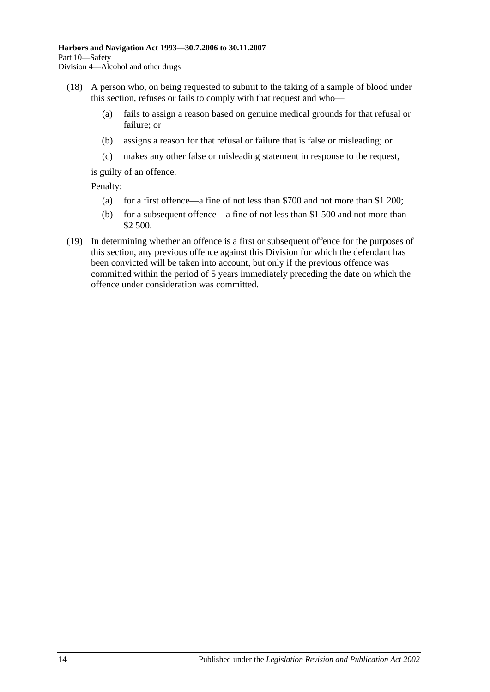- (18) A person who, on being requested to submit to the taking of a sample of blood under this section, refuses or fails to comply with that request and who—
	- (a) fails to assign a reason based on genuine medical grounds for that refusal or failure; or
	- (b) assigns a reason for that refusal or failure that is false or misleading; or
	- (c) makes any other false or misleading statement in response to the request,

is guilty of an offence.

Penalty:

- (a) for a first offence—a fine of not less than \$700 and not more than \$1 200;
- (b) for a subsequent offence—a fine of not less than \$1 500 and not more than \$2 500.
- (19) In determining whether an offence is a first or subsequent offence for the purposes of this section, any previous offence against this Division for which the defendant has been convicted will be taken into account, but only if the previous offence was committed within the period of 5 years immediately preceding the date on which the offence under consideration was committed.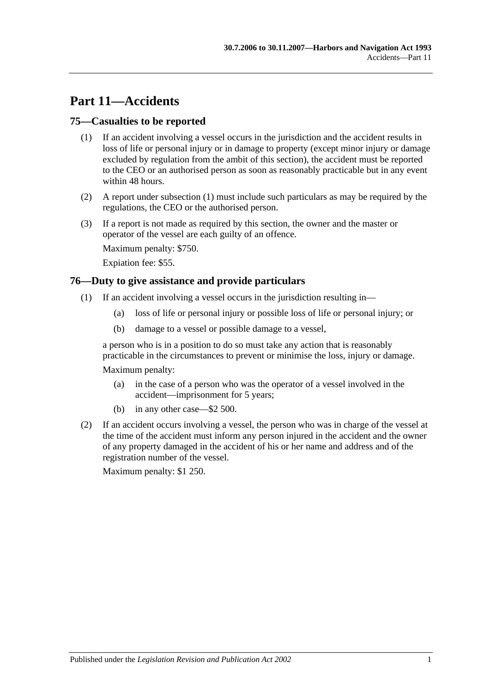# **Part 11—Accidents**

## <span id="page-60-1"></span>**75—Casualties to be reported**

- (1) If an accident involving a vessel occurs in the jurisdiction and the accident results in loss of life or personal injury or in damage to property (except minor injury or damage excluded by regulation from the ambit of this section), the accident must be reported to the CEO or an authorised person as soon as reasonably practicable but in any event within 48 hours.
- (2) A report under [subsection](#page-60-1) (1) must include such particulars as may be required by the regulations, the CEO or the authorised person.
- (3) If a report is not made as required by this section, the owner and the master or operator of the vessel are each guilty of an offence.

Maximum penalty: \$750.

Expiation fee: \$55.

## <span id="page-60-0"></span>**76—Duty to give assistance and provide particulars**

- (1) If an accident involving a vessel occurs in the jurisdiction resulting in—
	- (a) loss of life or personal injury or possible loss of life or personal injury; or
	- (b) damage to a vessel or possible damage to a vessel,

a person who is in a position to do so must take any action that is reasonably practicable in the circumstances to prevent or minimise the loss, injury or damage.

Maximum penalty:

- (a) in the case of a person who was the operator of a vessel involved in the accident—imprisonment for 5 years;
- (b) in any other case—\$2 500.
- (2) If an accident occurs involving a vessel, the person who was in charge of the vessel at the time of the accident must inform any person injured in the accident and the owner of any property damaged in the accident of his or her name and address and of the registration number of the vessel.

Maximum penalty: \$1 250.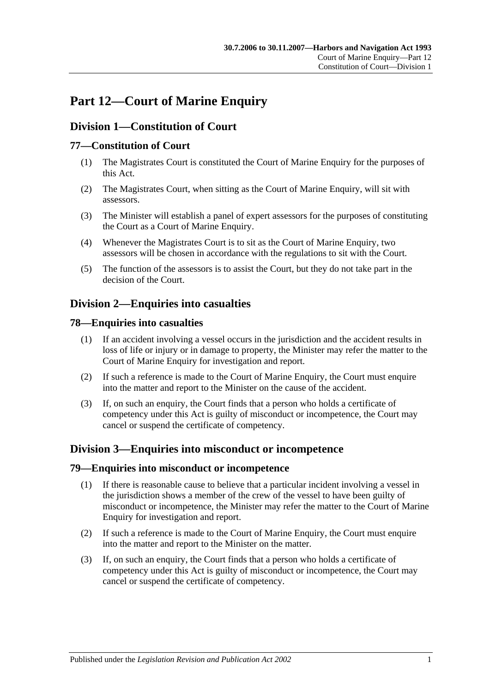# **Part 12—Court of Marine Enquiry**

# **Division 1—Constitution of Court**

## **77—Constitution of Court**

- (1) The Magistrates Court is constituted the Court of Marine Enquiry for the purposes of this Act.
- (2) The Magistrates Court, when sitting as the Court of Marine Enquiry, will sit with assessors.
- (3) The Minister will establish a panel of expert assessors for the purposes of constituting the Court as a Court of Marine Enquiry.
- (4) Whenever the Magistrates Court is to sit as the Court of Marine Enquiry, two assessors will be chosen in accordance with the regulations to sit with the Court.
- (5) The function of the assessors is to assist the Court, but they do not take part in the decision of the Court.

# **Division 2—Enquiries into casualties**

## **78—Enquiries into casualties**

- (1) If an accident involving a vessel occurs in the jurisdiction and the accident results in loss of life or injury or in damage to property, the Minister may refer the matter to the Court of Marine Enquiry for investigation and report.
- (2) If such a reference is made to the Court of Marine Enquiry, the Court must enquire into the matter and report to the Minister on the cause of the accident.
- (3) If, on such an enquiry, the Court finds that a person who holds a certificate of competency under this Act is guilty of misconduct or incompetence, the Court may cancel or suspend the certificate of competency.

# **Division 3—Enquiries into misconduct or incompetence**

## **79—Enquiries into misconduct or incompetence**

- (1) If there is reasonable cause to believe that a particular incident involving a vessel in the jurisdiction shows a member of the crew of the vessel to have been guilty of misconduct or incompetence, the Minister may refer the matter to the Court of Marine Enquiry for investigation and report.
- (2) If such a reference is made to the Court of Marine Enquiry, the Court must enquire into the matter and report to the Minister on the matter.
- (3) If, on such an enquiry, the Court finds that a person who holds a certificate of competency under this Act is guilty of misconduct or incompetence, the Court may cancel or suspend the certificate of competency.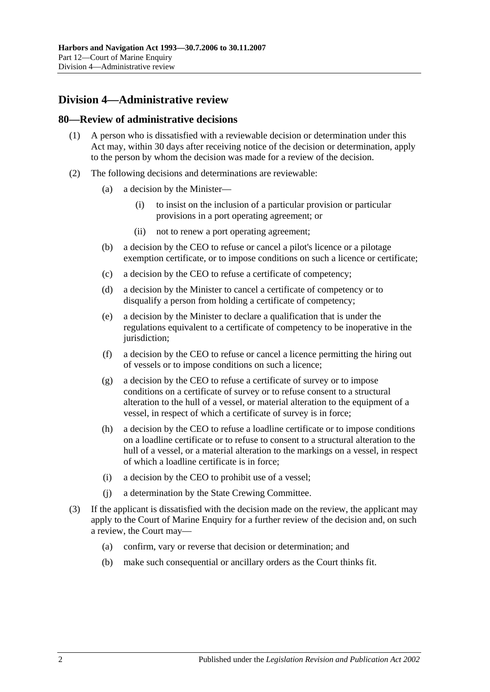# **Division 4—Administrative review**

#### **80—Review of administrative decisions**

- (1) A person who is dissatisfied with a reviewable decision or determination under this Act may, within 30 days after receiving notice of the decision or determination, apply to the person by whom the decision was made for a review of the decision.
- (2) The following decisions and determinations are reviewable:
	- (a) a decision by the Minister—
		- (i) to insist on the inclusion of a particular provision or particular provisions in a port operating agreement; or
		- (ii) not to renew a port operating agreement;
	- (b) a decision by the CEO to refuse or cancel a pilot's licence or a pilotage exemption certificate, or to impose conditions on such a licence or certificate;
	- (c) a decision by the CEO to refuse a certificate of competency;
	- (d) a decision by the Minister to cancel a certificate of competency or to disqualify a person from holding a certificate of competency;
	- (e) a decision by the Minister to declare a qualification that is under the regulations equivalent to a certificate of competency to be inoperative in the jurisdiction:
	- (f) a decision by the CEO to refuse or cancel a licence permitting the hiring out of vessels or to impose conditions on such a licence;
	- (g) a decision by the CEO to refuse a certificate of survey or to impose conditions on a certificate of survey or to refuse consent to a structural alteration to the hull of a vessel, or material alteration to the equipment of a vessel, in respect of which a certificate of survey is in force;
	- (h) a decision by the CEO to refuse a loadline certificate or to impose conditions on a loadline certificate or to refuse to consent to a structural alteration to the hull of a vessel, or a material alteration to the markings on a vessel, in respect of which a loadline certificate is in force;
	- (i) a decision by the CEO to prohibit use of a vessel;
	- (j) a determination by the State Crewing Committee.
- (3) If the applicant is dissatisfied with the decision made on the review, the applicant may apply to the Court of Marine Enquiry for a further review of the decision and, on such a review, the Court may—
	- (a) confirm, vary or reverse that decision or determination; and
	- (b) make such consequential or ancillary orders as the Court thinks fit.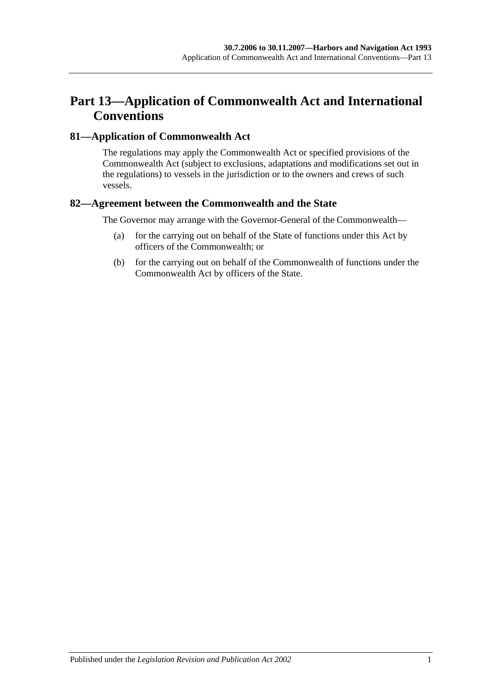# **Part 13—Application of Commonwealth Act and International Conventions**

## **81—Application of Commonwealth Act**

The regulations may apply the Commonwealth Act or specified provisions of the Commonwealth Act (subject to exclusions, adaptations and modifications set out in the regulations) to vessels in the jurisdiction or to the owners and crews of such vessels.

## **82—Agreement between the Commonwealth and the State**

The Governor may arrange with the Governor-General of the Commonwealth—

- (a) for the carrying out on behalf of the State of functions under this Act by officers of the Commonwealth; or
- (b) for the carrying out on behalf of the Commonwealth of functions under the Commonwealth Act by officers of the State.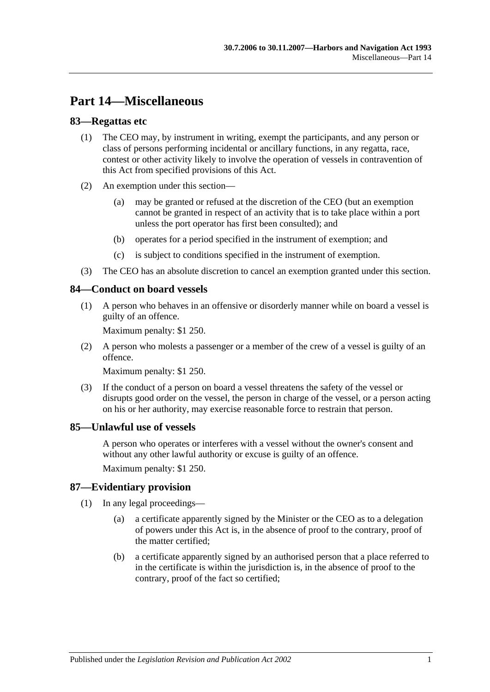# **Part 14—Miscellaneous**

## **83—Regattas etc**

- (1) The CEO may, by instrument in writing, exempt the participants, and any person or class of persons performing incidental or ancillary functions, in any regatta, race, contest or other activity likely to involve the operation of vessels in contravention of this Act from specified provisions of this Act.
- (2) An exemption under this section—
	- (a) may be granted or refused at the discretion of the CEO (but an exemption cannot be granted in respect of an activity that is to take place within a port unless the port operator has first been consulted); and
	- (b) operates for a period specified in the instrument of exemption; and
	- (c) is subject to conditions specified in the instrument of exemption.
- (3) The CEO has an absolute discretion to cancel an exemption granted under this section.

## **84—Conduct on board vessels**

(1) A person who behaves in an offensive or disorderly manner while on board a vessel is guilty of an offence.

Maximum penalty: \$1 250.

(2) A person who molests a passenger or a member of the crew of a vessel is guilty of an offence.

Maximum penalty: \$1 250.

(3) If the conduct of a person on board a vessel threatens the safety of the vessel or disrupts good order on the vessel, the person in charge of the vessel, or a person acting on his or her authority, may exercise reasonable force to restrain that person.

## **85—Unlawful use of vessels**

A person who operates or interferes with a vessel without the owner's consent and without any other lawful authority or excuse is guilty of an offence.

Maximum penalty: \$1 250.

## **87—Evidentiary provision**

- (1) In any legal proceedings—
	- (a) a certificate apparently signed by the Minister or the CEO as to a delegation of powers under this Act is, in the absence of proof to the contrary, proof of the matter certified;
	- (b) a certificate apparently signed by an authorised person that a place referred to in the certificate is within the jurisdiction is, in the absence of proof to the contrary, proof of the fact so certified;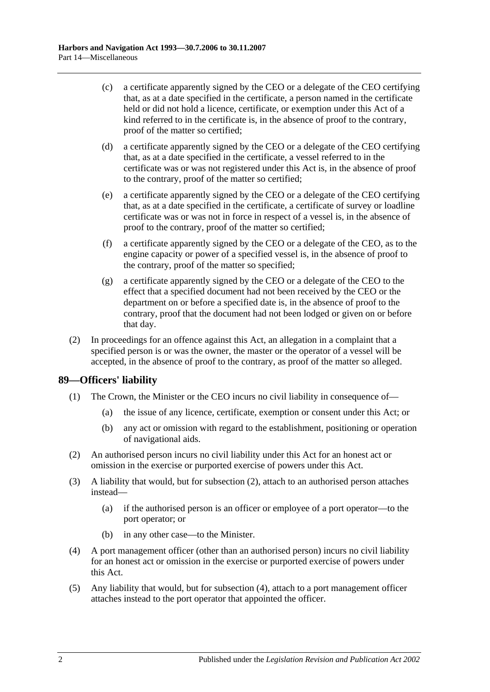- (c) a certificate apparently signed by the CEO or a delegate of the CEO certifying that, as at a date specified in the certificate, a person named in the certificate held or did not hold a licence, certificate, or exemption under this Act of a kind referred to in the certificate is, in the absence of proof to the contrary, proof of the matter so certified;
- (d) a certificate apparently signed by the CEO or a delegate of the CEO certifying that, as at a date specified in the certificate, a vessel referred to in the certificate was or was not registered under this Act is, in the absence of proof to the contrary, proof of the matter so certified;
- (e) a certificate apparently signed by the CEO or a delegate of the CEO certifying that, as at a date specified in the certificate, a certificate of survey or loadline certificate was or was not in force in respect of a vessel is, in the absence of proof to the contrary, proof of the matter so certified;
- (f) a certificate apparently signed by the CEO or a delegate of the CEO, as to the engine capacity or power of a specified vessel is, in the absence of proof to the contrary, proof of the matter so specified;
- (g) a certificate apparently signed by the CEO or a delegate of the CEO to the effect that a specified document had not been received by the CEO or the department on or before a specified date is, in the absence of proof to the contrary, proof that the document had not been lodged or given on or before that day.
- (2) In proceedings for an offence against this Act, an allegation in a complaint that a specified person is or was the owner, the master or the operator of a vessel will be accepted, in the absence of proof to the contrary, as proof of the matter so alleged.

## **89—Officers' liability**

- (1) The Crown, the Minister or the CEO incurs no civil liability in consequence of—
	- (a) the issue of any licence, certificate, exemption or consent under this Act; or
	- (b) any act or omission with regard to the establishment, positioning or operation of navigational aids.
- <span id="page-67-0"></span>(2) An authorised person incurs no civil liability under this Act for an honest act or omission in the exercise or purported exercise of powers under this Act.
- (3) A liability that would, but for [subsection](#page-67-0) (2), attach to an authorised person attaches instead—
	- (a) if the authorised person is an officer or employee of a port operator—to the port operator; or
	- (b) in any other case—to the Minister.
- <span id="page-67-1"></span>(4) A port management officer (other than an authorised person) incurs no civil liability for an honest act or omission in the exercise or purported exercise of powers under this Act.
- (5) Any liability that would, but for [subsection](#page-67-1) (4), attach to a port management officer attaches instead to the port operator that appointed the officer.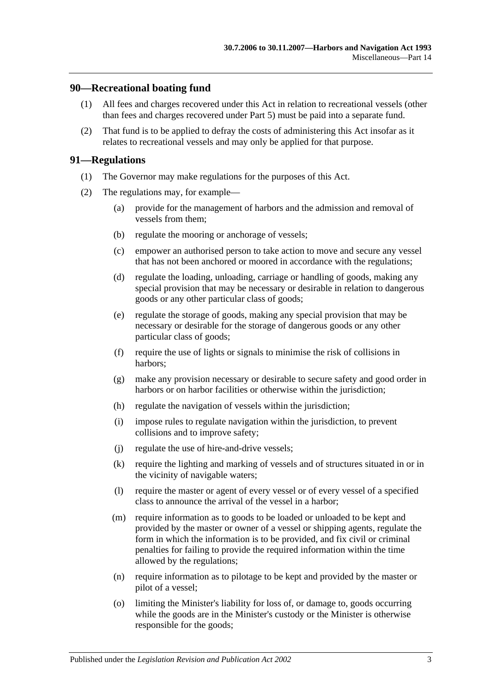#### **90—Recreational boating fund**

- (1) All fees and charges recovered under this Act in relation to recreational vessels (other than fees and charges recovered under [Part 5\)](#page-22-0) must be paid into a separate fund.
- (2) That fund is to be applied to defray the costs of administering this Act insofar as it relates to recreational vessels and may only be applied for that purpose.

#### **91—Regulations**

- (1) The Governor may make regulations for the purposes of this Act.
- (2) The regulations may, for example—
	- (a) provide for the management of harbors and the admission and removal of vessels from them;
	- (b) regulate the mooring or anchorage of vessels;
	- (c) empower an authorised person to take action to move and secure any vessel that has not been anchored or moored in accordance with the regulations;
	- (d) regulate the loading, unloading, carriage or handling of goods, making any special provision that may be necessary or desirable in relation to dangerous goods or any other particular class of goods;
	- (e) regulate the storage of goods, making any special provision that may be necessary or desirable for the storage of dangerous goods or any other particular class of goods;
	- (f) require the use of lights or signals to minimise the risk of collisions in harbors;
	- (g) make any provision necessary or desirable to secure safety and good order in harbors or on harbor facilities or otherwise within the jurisdiction;
	- (h) regulate the navigation of vessels within the jurisdiction;
	- (i) impose rules to regulate navigation within the jurisdiction, to prevent collisions and to improve safety;
	- (j) regulate the use of hire-and-drive vessels;
	- (k) require the lighting and marking of vessels and of structures situated in or in the vicinity of navigable waters;
	- (l) require the master or agent of every vessel or of every vessel of a specified class to announce the arrival of the vessel in a harbor;
	- (m) require information as to goods to be loaded or unloaded to be kept and provided by the master or owner of a vessel or shipping agents, regulate the form in which the information is to be provided, and fix civil or criminal penalties for failing to provide the required information within the time allowed by the regulations;
	- (n) require information as to pilotage to be kept and provided by the master or pilot of a vessel;
	- (o) limiting the Minister's liability for loss of, or damage to, goods occurring while the goods are in the Minister's custody or the Minister is otherwise responsible for the goods;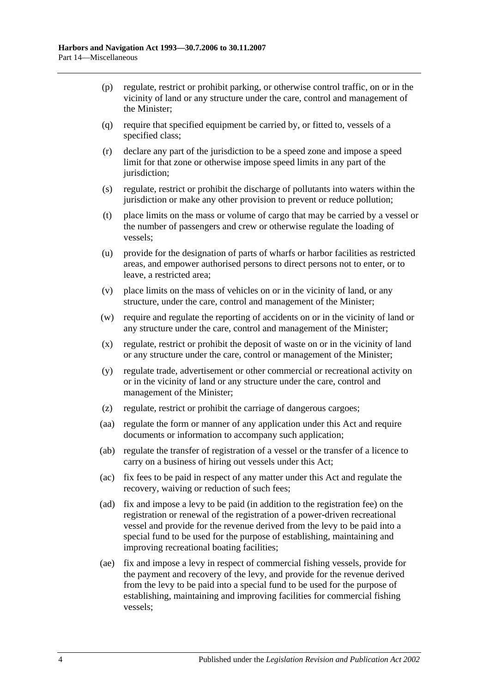- (p) regulate, restrict or prohibit parking, or otherwise control traffic, on or in the vicinity of land or any structure under the care, control and management of the Minister;
- (q) require that specified equipment be carried by, or fitted to, vessels of a specified class;
- (r) declare any part of the jurisdiction to be a speed zone and impose a speed limit for that zone or otherwise impose speed limits in any part of the jurisdiction;
- (s) regulate, restrict or prohibit the discharge of pollutants into waters within the jurisdiction or make any other provision to prevent or reduce pollution;
- (t) place limits on the mass or volume of cargo that may be carried by a vessel or the number of passengers and crew or otherwise regulate the loading of vessels;
- (u) provide for the designation of parts of wharfs or harbor facilities as restricted areas, and empower authorised persons to direct persons not to enter, or to leave, a restricted area;
- (v) place limits on the mass of vehicles on or in the vicinity of land, or any structure, under the care, control and management of the Minister;
- (w) require and regulate the reporting of accidents on or in the vicinity of land or any structure under the care, control and management of the Minister;
- (x) regulate, restrict or prohibit the deposit of waste on or in the vicinity of land or any structure under the care, control or management of the Minister;
- (y) regulate trade, advertisement or other commercial or recreational activity on or in the vicinity of land or any structure under the care, control and management of the Minister;
- (z) regulate, restrict or prohibit the carriage of dangerous cargoes;
- (aa) regulate the form or manner of any application under this Act and require documents or information to accompany such application;
- (ab) regulate the transfer of registration of a vessel or the transfer of a licence to carry on a business of hiring out vessels under this Act;
- (ac) fix fees to be paid in respect of any matter under this Act and regulate the recovery, waiving or reduction of such fees;
- <span id="page-69-0"></span>(ad) fix and impose a levy to be paid (in addition to the registration fee) on the registration or renewal of the registration of a power-driven recreational vessel and provide for the revenue derived from the levy to be paid into a special fund to be used for the purpose of establishing, maintaining and improving recreational boating facilities;
- <span id="page-69-1"></span>(ae) fix and impose a levy in respect of commercial fishing vessels, provide for the payment and recovery of the levy, and provide for the revenue derived from the levy to be paid into a special fund to be used for the purpose of establishing, maintaining and improving facilities for commercial fishing vessels;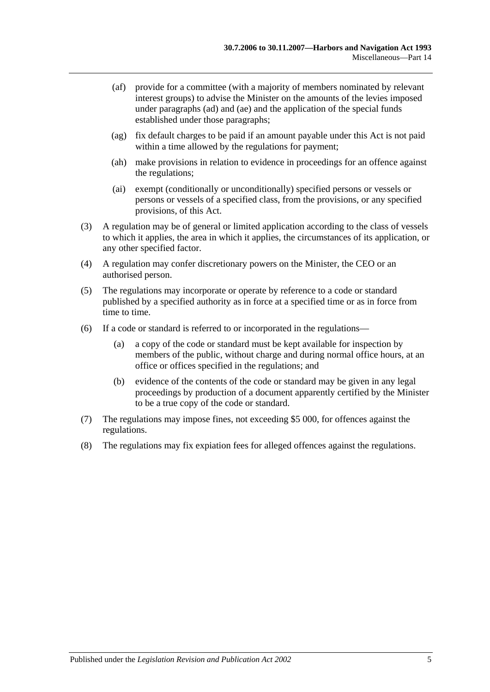- (af) provide for a committee (with a majority of members nominated by relevant interest groups) to advise the Minister on the amounts of the levies imposed under [paragraphs](#page-69-0) (ad) and [\(ae\)](#page-69-1) and the application of the special funds established under those paragraphs;
- (ag) fix default charges to be paid if an amount payable under this Act is not paid within a time allowed by the regulations for payment;
- (ah) make provisions in relation to evidence in proceedings for an offence against the regulations;
- (ai) exempt (conditionally or unconditionally) specified persons or vessels or persons or vessels of a specified class, from the provisions, or any specified provisions, of this Act.
- (3) A regulation may be of general or limited application according to the class of vessels to which it applies, the area in which it applies, the circumstances of its application, or any other specified factor.
- (4) A regulation may confer discretionary powers on the Minister, the CEO or an authorised person.
- (5) The regulations may incorporate or operate by reference to a code or standard published by a specified authority as in force at a specified time or as in force from time to time.
- (6) If a code or standard is referred to or incorporated in the regulations—
	- (a) a copy of the code or standard must be kept available for inspection by members of the public, without charge and during normal office hours, at an office or offices specified in the regulations; and
	- (b) evidence of the contents of the code or standard may be given in any legal proceedings by production of a document apparently certified by the Minister to be a true copy of the code or standard.
- (7) The regulations may impose fines, not exceeding \$5 000, for offences against the regulations.
- (8) The regulations may fix expiation fees for alleged offences against the regulations.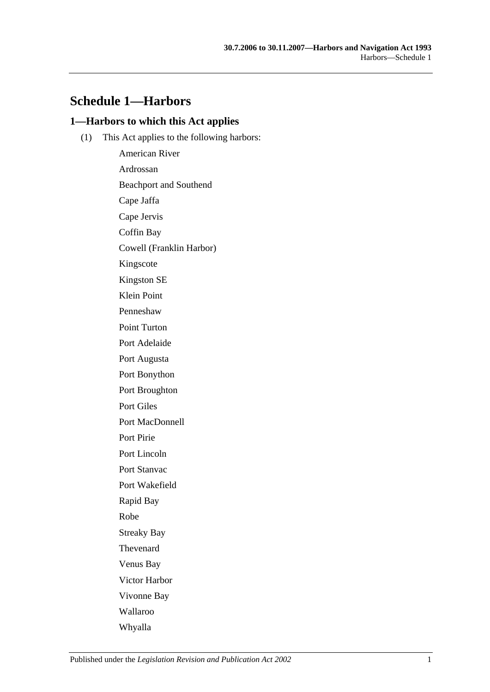# **Schedule 1—Harbors**

### **1—Harbors to which this Act applies**

(1) This Act applies to the following harbors:

American River Ardrossan Beachport and Southend Cape Jaffa Cape Jervis Coffin Bay Cowell (Franklin Harbor) Kingscote Kingston SE Klein Point Penneshaw Point Turton Port Adelaide Port Augusta Port Bonython Port Broughton Port Giles Port MacDonnell Port Pirie Port Lincoln Port Stanvac Port Wakefield Rapid Bay Robe Streaky Bay Thevenard Venus Bay Victor Harbor Vivonne Bay Wallaroo Whyalla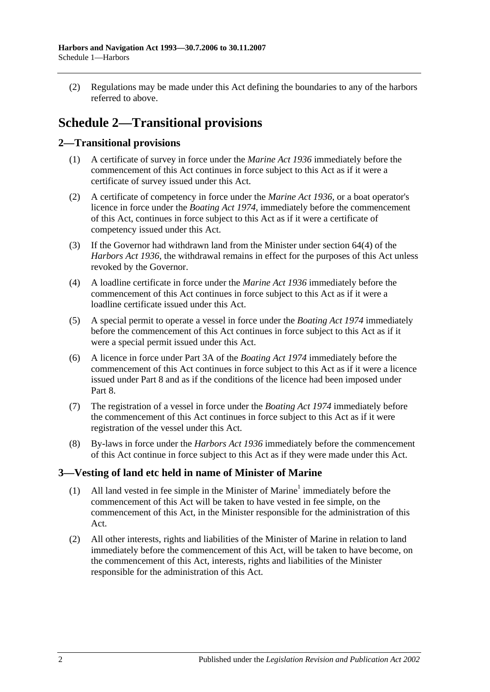(2) Regulations may be made under this Act defining the boundaries to any of the harbors referred to above.

# **Schedule 2—Transitional provisions**

## **2—Transitional provisions**

- (1) A certificate of survey in force under the *[Marine Act](http://www.legislation.sa.gov.au/index.aspx?action=legref&type=act&legtitle=Marine%20Act%201936) 1936* immediately before the commencement of this Act continues in force subject to this Act as if it were a certificate of survey issued under this Act.
- (2) A certificate of competency in force under the *[Marine Act](http://www.legislation.sa.gov.au/index.aspx?action=legref&type=act&legtitle=Marine%20Act%201936) 1936*, or a boat operator's licence in force under the *[Boating Act](http://www.legislation.sa.gov.au/index.aspx?action=legref&type=act&legtitle=Boating%20Act%201974) 1974*, immediately before the commencement of this Act, continues in force subject to this Act as if it were a certificate of competency issued under this Act.
- (3) If the Governor had withdrawn land from the Minister under section 64(4) of the *[Harbors Act](http://www.legislation.sa.gov.au/index.aspx?action=legref&type=act&legtitle=Harbors%20Act%201936) 1936*, the withdrawal remains in effect for the purposes of this Act unless revoked by the Governor.
- (4) A loadline certificate in force under the *[Marine Act](http://www.legislation.sa.gov.au/index.aspx?action=legref&type=act&legtitle=Marine%20Act%201936) 1936* immediately before the commencement of this Act continues in force subject to this Act as if it were a loadline certificate issued under this Act.
- (5) A special permit to operate a vessel in force under the *[Boating Act](http://www.legislation.sa.gov.au/index.aspx?action=legref&type=act&legtitle=Boating%20Act%201974) 1974* immediately before the commencement of this Act continues in force subject to this Act as if it were a special permit issued under this Act.
- (6) A licence in force under Part 3A of the *[Boating Act](http://www.legislation.sa.gov.au/index.aspx?action=legref&type=act&legtitle=Boating%20Act%201974) 1974* immediately before the commencement of this Act continues in force subject to this Act as if it were a licence issued under [Part 8](#page-40-0) and as if the conditions of the licence had been imposed under [Part](#page-40-0) 8.
- (7) The registration of a vessel in force under the *[Boating Act](http://www.legislation.sa.gov.au/index.aspx?action=legref&type=act&legtitle=Boating%20Act%201974) 1974* immediately before the commencement of this Act continues in force subject to this Act as if it were registration of the vessel under this Act.
- (8) By-laws in force under the *[Harbors Act](http://www.legislation.sa.gov.au/index.aspx?action=legref&type=act&legtitle=Harbors%20Act%201936) 1936* immediately before the commencement of this Act continue in force subject to this Act as if they were made under this Act.

# **3—Vesting of land etc held in name of Minister of Marine**

- (1) All land vested in fee simple in the Minister of Marine<sup>1</sup> immediately before the commencement of this Act will be taken to have vested in fee simple, on the commencement of this Act, in the Minister responsible for the administration of this Act.
- (2) All other interests, rights and liabilities of the Minister of Marine in relation to land immediately before the commencement of this Act, will be taken to have become, on the commencement of this Act, interests, rights and liabilities of the Minister responsible for the administration of this Act.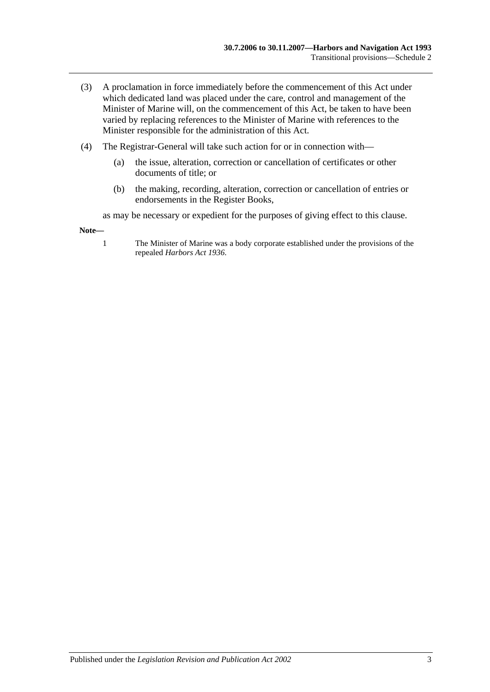- (3) A proclamation in force immediately before the commencement of this Act under which dedicated land was placed under the care, control and management of the Minister of Marine will, on the commencement of this Act, be taken to have been varied by replacing references to the Minister of Marine with references to the Minister responsible for the administration of this Act.
- (4) The Registrar-General will take such action for or in connection with—
	- (a) the issue, alteration, correction or cancellation of certificates or other documents of title; or
	- (b) the making, recording, alteration, correction or cancellation of entries or endorsements in the Register Books,

as may be necessary or expedient for the purposes of giving effect to this clause.

**Note—**

1 The Minister of Marine was a body corporate established under the provisions of the repealed *[Harbors Act](http://www.legislation.sa.gov.au/index.aspx?action=legref&type=act&legtitle=Harbors%20Act%201936) 1936*.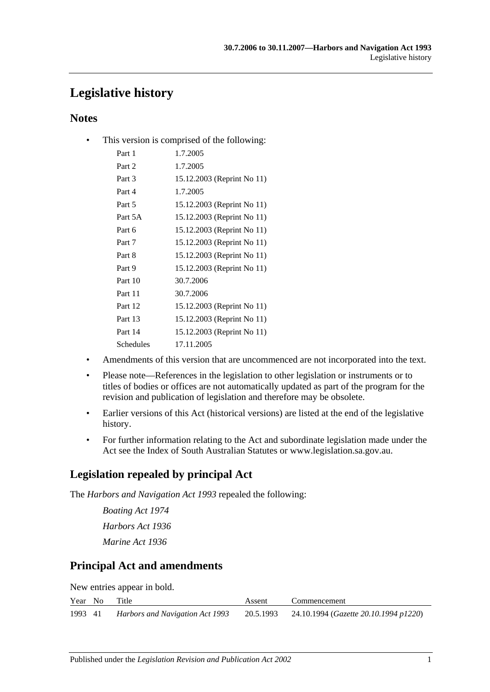# **Legislative history**

# **Notes**

• This version is comprised of the following:

| Part 1    | 1.7.2005                   |
|-----------|----------------------------|
| Part 2    | 1.7.2005                   |
| Part 3    | 15.12.2003 (Reprint No 11) |
| Part 4    | 1.7.2005                   |
| Part 5    | 15.12.2003 (Reprint No 11) |
| Part 5A   | 15.12.2003 (Reprint No 11) |
| Part 6    | 15.12.2003 (Reprint No 11) |
| Part 7    | 15.12.2003 (Reprint No 11) |
| Part 8    | 15.12.2003 (Reprint No 11) |
| Part 9    | 15.12.2003 (Reprint No 11) |
| Part 10   | 30.7.2006                  |
| Part 11   | 30.7.2006                  |
| Part 12   | 15.12.2003 (Reprint No 11) |
| Part 13   | 15.12.2003 (Reprint No 11) |
| Part 14   | 15.12.2003 (Reprint No 11) |
| Schedules | 17.11.2005                 |
|           |                            |

- Amendments of this version that are uncommenced are not incorporated into the text.
- Please note—References in the legislation to other legislation or instruments or to titles of bodies or offices are not automatically updated as part of the program for the revision and publication of legislation and therefore may be obsolete.
- Earlier versions of this Act (historical versions) are listed at the end of the legislative history.
- For further information relating to the Act and subordinate legislation made under the Act see the Index of South Australian Statutes or www.legislation.sa.gov.au.

# **Legislation repealed by principal Act**

The *Harbors and Navigation Act 1993* repealed the following:

*Boating Act 1974 Harbors Act 1936 Marine Act 1936*

# **Principal Act and amendments**

New entries appear in bold.

|         | Year No Title |                                 | Assent | Commencement                                             |
|---------|---------------|---------------------------------|--------|----------------------------------------------------------|
| 1993 41 |               | Harbors and Navigation Act 1993 |        | 20.5.1993 24.10.1994 ( <i>Gazette 20.10.1994 p1220</i> ) |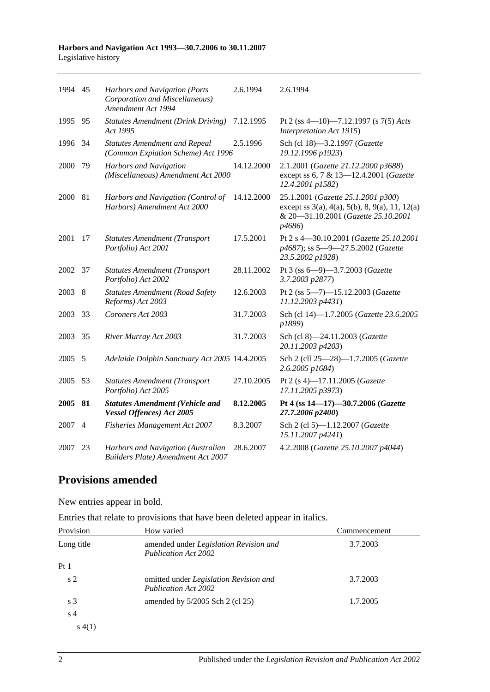#### **Harbors and Navigation Act 1993—30.7.2006 to 30.11.2007** Legislative history

| 1994 45 |                | Harbors and Navigation (Ports<br>Corporation and Miscellaneous)<br>Amendment Act 1994 | 2.6.1994   | 2.6.1994                                                                                                                                      |
|---------|----------------|---------------------------------------------------------------------------------------|------------|-----------------------------------------------------------------------------------------------------------------------------------------------|
| 1995 95 |                | <b>Statutes Amendment (Drink Driving)</b><br>Act 1995                                 | 7.12.1995  | Pt 2 (ss 4-10)-7.12.1997 (s 7(5) Acts<br>Interpretation Act 1915)                                                                             |
| 1996    | 34             | <b>Statutes Amendment and Repeal</b><br>(Common Expiation Scheme) Act 1996            | 2.5.1996   | Sch (cl 18)-3.2.1997 (Gazette<br>19.12.1996 p1923)                                                                                            |
| 2000    | 79             | <b>Harbors and Navigation</b><br>(Miscellaneous) Amendment Act 2000                   | 14.12.2000 | 2.1.2001 (Gazette 21.12.2000 p3688)<br>except ss 6, 7 & 13-12.4.2001 (Gazette<br>12.4.2001 p1582)                                             |
| 2000    | 81             | Harbors and Navigation (Control of<br>Harbors) Amendment Act 2000                     | 14.12.2000 | 25.1.2001 (Gazette 25.1.2001 p300)<br>except ss 3(a), 4(a), 5(b), 8, 9(a), 11, 12(a)<br>& 20-31.10.2001 (Gazette 25.10.2001<br><i>p</i> 4686) |
| 2001    | 17             | <b>Statutes Amendment (Transport</b><br>Portfolio) Act 2001                           | 17.5.2001  | Pt 2 s 4-30.10.2001 (Gazette 25.10.2001<br>p4687); ss 5-9-27.5.2002 (Gazette<br>23.5.2002 p1928)                                              |
| 2002    | 37             | <b>Statutes Amendment (Transport</b><br>Portfolio) Act 2002                           | 28.11.2002 | Pt 3 (ss 6-9)-3.7.2003 (Gazette<br>3.7.2003 p2877)                                                                                            |
| 2003    | 8              | <b>Statutes Amendment (Road Safety</b><br>Reforms) Act 2003                           | 12.6.2003  | Pt 2 (ss 5-7)-15.12.2003 (Gazette<br>11.12.2003 p4431)                                                                                        |
| 2003    | 33             | Coroners Act 2003                                                                     | 31.7.2003  | Sch (cl 14)-1.7.2005 (Gazette 23.6.2005<br>p1899)                                                                                             |
| 2003    | 35             | River Murray Act 2003                                                                 | 31.7.2003  | Sch (cl 8)-24.11.2003 (Gazette<br>20.11.2003 p4203)                                                                                           |
| 2005 5  |                | Adelaide Dolphin Sanctuary Act 2005 14.4.2005                                         |            | Sch 2 (cll 25-28)-1.7.2005 (Gazette<br>2.6.2005 p1684)                                                                                        |
| 2005    | 53             | <b>Statutes Amendment (Transport</b><br>Portfolio) Act 2005                           | 27.10.2005 | Pt 2 (s 4)-17.11.2005 (Gazette<br>17.11.2005 p3973)                                                                                           |
| 2005 81 |                | <b>Statutes Amendment (Vehicle and</b><br>Vessel Offences) Act 2005                   | 8.12.2005  | Pt 4 (ss 14-17)-30.7.2006 (Gazette<br>27.7.2006 p2400)                                                                                        |
| 2007    | $\overline{4}$ | Fisheries Management Act 2007                                                         | 8.3.2007   | Sch 2 (cl 5)-1.12.2007 (Gazette<br>15.11.2007 p4241)                                                                                          |
| 2007    | 23             | Harbors and Navigation (Australian<br><b>Builders Plate) Amendment Act 2007</b>       | 28.6.2007  | 4.2.2008 (Gazette 25.10.2007 p4044)                                                                                                           |

# **Provisions amended**

New entries appear in bold.

Entries that relate to provisions that have been deleted appear in italics.

| Provision       | How varied                                                                   | Commencement |
|-----------------|------------------------------------------------------------------------------|--------------|
| Long title      | amended under <i>Legislation Revision and</i><br><b>Publication Act 2002</b> | 3.7.2003     |
| Pt <sub>1</sub> |                                                                              |              |
| s <sub>2</sub>  | omitted under Legislation Revision and<br>Publication Act 2002               | 3.7.2003     |
| s <sub>3</sub>  | amended by 5/2005 Sch 2 (cl 25)                                              | 1.7.2005     |
| s <sub>4</sub>  |                                                                              |              |
| s(4(1))         |                                                                              |              |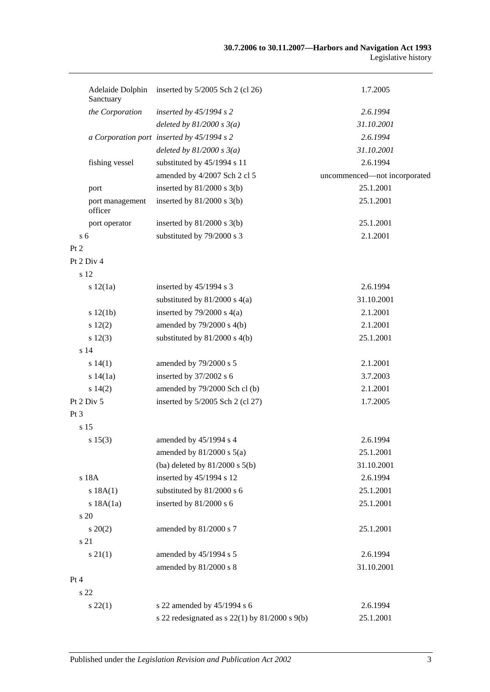| Adelaide Dolphin<br>Sanctuary | inserted by $5/2005$ Sch 2 (cl 26)                   | 1.7.2005                     |
|-------------------------------|------------------------------------------------------|------------------------------|
| the Corporation               | inserted by $45/1994$ s 2                            | 2.6.1994                     |
|                               | deleted by $81/2000 s 3(a)$                          | 31.10.2001                   |
|                               | a Corporation port inserted by 45/1994 s 2           | 2.6.1994                     |
|                               | deleted by $81/2000 s 3(a)$                          | 31.10.2001                   |
| fishing vessel                | substituted by 45/1994 s 11                          | 2.6.1994                     |
|                               | amended by 4/2007 Sch 2 cl 5                         | uncommenced-not incorporated |
| port                          | inserted by $81/2000$ s $3(b)$                       | 25.1.2001                    |
| port management<br>officer    | inserted by $81/2000$ s $3(b)$                       | 25.1.2001                    |
| port operator                 | inserted by $81/2000$ s $3(b)$                       | 25.1.2001                    |
| s <sub>6</sub>                | substituted by 79/2000 s 3                           | 2.1.2001                     |
| Pt 2                          |                                                      |                              |
| Pt 2 Div 4                    |                                                      |                              |
| s 12                          |                                                      |                              |
| s 12(1a)                      | inserted by 45/1994 s 3                              | 2.6.1994                     |
|                               | substituted by $81/2000$ s $4(a)$                    | 31.10.2001                   |
| s 12(1b)                      | inserted by $79/2000$ s $4(a)$                       | 2.1.2001                     |
| s 12(2)                       | amended by 79/2000 s 4(b)                            | 2.1.2001                     |
| s 12(3)                       | substituted by $81/2000$ s $4(b)$                    | 25.1.2001                    |
| s <sub>14</sub>               |                                                      |                              |
| s 14(1)                       | amended by 79/2000 s 5                               | 2.1.2001                     |
| s 14(1a)                      | inserted by 37/2002 s 6                              | 3.7.2003                     |
| s 14(2)                       | amended by 79/2000 Sch cl (b)                        | 2.1.2001                     |
| Pt 2 Div 5                    | inserted by $5/2005$ Sch 2 (cl 27)                   | 1.7.2005                     |
| Pt 3                          |                                                      |                              |
| s 15                          |                                                      |                              |
| s 15(3)                       | amended by 45/1994 s 4                               | 2.6.1994                     |
|                               | amended by $81/2000$ s $5(a)$                        | 25.1.2001                    |
|                               | (ba) deleted by $81/2000$ s $5(b)$                   | 31.10.2001                   |
| s 18A                         | inserted by 45/1994 s 12                             | 2.6.1994                     |
| s 18A(1)                      | substituted by 81/2000 s 6                           | 25.1.2001                    |
| s 18A(1a)                     | inserted by 81/2000 s 6                              | 25.1.2001                    |
| s 20                          |                                                      |                              |
| $s\,20(2)$                    | amended by 81/2000 s 7                               | 25.1.2001                    |
| s 21                          |                                                      |                              |
| $s \, 21(1)$                  | amended by 45/1994 s 5                               | 2.6.1994                     |
|                               | amended by 81/2000 s 8                               | 31.10.2001                   |
| Pt 4                          |                                                      |                              |
| s 22                          |                                                      |                              |
| $s\,22(1)$                    | s 22 amended by 45/1994 s 6                          | 2.6.1994                     |
|                               | s 22 redesignated as s $22(1)$ by $81/2000$ s $9(b)$ | 25.1.2001                    |
|                               |                                                      |                              |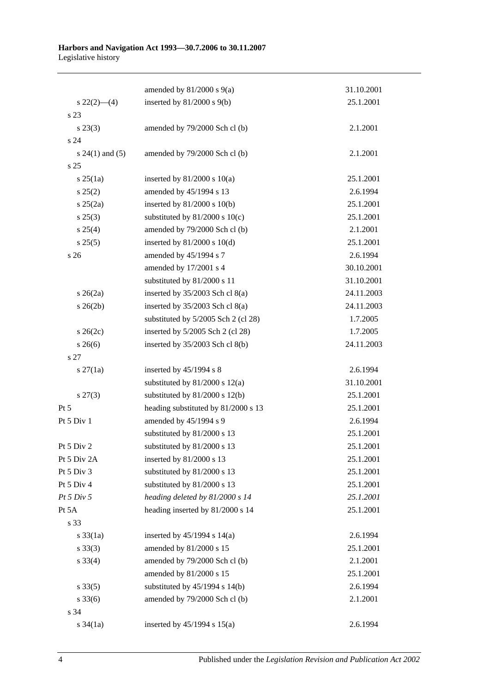#### **Harbors and Navigation Act 1993—30.7.2006 to 30.11.2007** Legislative history

|                   | amended by $81/2000$ s $9(a)$       | 31.10.2001 |
|-------------------|-------------------------------------|------------|
| $s\,22(2)$ - (4)  | inserted by $81/2000$ s $9(b)$      | 25.1.2001  |
| s 23              |                                     |            |
| $s\,23(3)$        | amended by 79/2000 Sch cl (b)       | 2.1.2001   |
| s 24              |                                     |            |
| $s 24(1)$ and (5) | amended by 79/2000 Sch cl (b)       | 2.1.2001   |
| s <sub>25</sub>   |                                     |            |
| $s \, 25(1a)$     | inserted by $81/2000$ s $10(a)$     | 25.1.2001  |
| s 25(2)           | amended by 45/1994 s 13             | 2.6.1994   |
| $s \; 25(2a)$     | inserted by $81/2000$ s $10(b)$     | 25.1.2001  |
| $s\,25(3)$        | substituted by $81/2000$ s $10(c)$  | 25.1.2001  |
| s 25(4)           | amended by 79/2000 Sch cl (b)       | 2.1.2001   |
| s 25(5)           | inserted by $81/2000$ s $10(d)$     | 25.1.2001  |
| s 26              | amended by 45/1994 s 7              | 2.6.1994   |
|                   | amended by 17/2001 s 4              | 30.10.2001 |
|                   | substituted by 81/2000 s 11         | 31.10.2001 |
| $s \; 26(2a)$     | inserted by $35/2003$ Sch cl $8(a)$ | 24.11.2003 |
| $s \; 26(2b)$     | inserted by $35/2003$ Sch cl $8(a)$ | 24.11.2003 |
|                   | substituted by 5/2005 Sch 2 (cl 28) | 1.7.2005   |
| $s \; 26(2c)$     | inserted by 5/2005 Sch 2 (cl 28)    | 1.7.2005   |
| $s \; 26(6)$      | inserted by 35/2003 Sch cl 8(b)     | 24.11.2003 |
| s 27              |                                     |            |
| $s \, 27(1a)$     | inserted by $45/1994$ s 8           | 2.6.1994   |
|                   | substituted by $81/2000$ s $12(a)$  | 31.10.2001 |
| $s\,27(3)$        | substituted by $81/2000$ s $12(b)$  | 25.1.2001  |
| Pt 5              | heading substituted by 81/2000 s 13 | 25.1.2001  |
| Pt 5 Div 1        | amended by 45/1994 s 9              | 2.6.1994   |
|                   | substituted by 81/2000 s 13         | 25.1.2001  |
| Pt 5 Div 2        | substituted by 81/2000 s 13         | 25.1.2001  |
| Pt 5 Div 2A       | inserted by 81/2000 s 13            | 25.1.2001  |
| Pt 5 Div 3        | substituted by 81/2000 s 13         | 25.1.2001  |
| Pt 5 Div 4        | substituted by 81/2000 s 13         | 25.1.2001  |
| Pt 5 Div 5        | heading deleted by 81/2000 s 14     | 25.1.2001  |
| Pt 5A             | heading inserted by 81/2000 s 14    | 25.1.2001  |
| s 33              |                                     |            |
| $s \frac{33}{1a}$ | inserted by $45/1994$ s $14(a)$     | 2.6.1994   |
| $s \, 33(3)$      | amended by 81/2000 s 15             | 25.1.2001  |
| $s \, 33(4)$      | amended by 79/2000 Sch cl (b)       | 2.1.2001   |
|                   | amended by 81/2000 s 15             | 25.1.2001  |
| $s \, 33(5)$      | substituted by $45/1994$ s $14(b)$  | 2.6.1994   |
| $s \, 33(6)$      | amended by 79/2000 Sch cl (b)       | 2.1.2001   |
| s 34              |                                     |            |
| s $34(1a)$        | inserted by $45/1994$ s $15(a)$     | 2.6.1994   |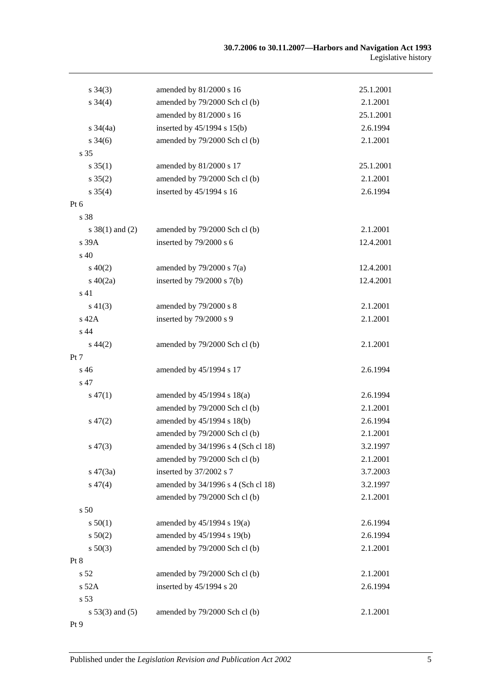| $s \; 34(3)$        | amended by 81/2000 s 16            | 25.1.2001 |
|---------------------|------------------------------------|-----------|
| $s \, 34(4)$        | amended by 79/2000 Sch cl (b)      | 2.1.2001  |
|                     | amended by 81/2000 s 16            | 25.1.2001 |
| $s \frac{34}{4a}$   | inserted by 45/1994 s 15(b)        | 2.6.1994  |
| $s \; 34(6)$        | amended by 79/2000 Sch cl (b)      | 2.1.2001  |
| s 35                |                                    |           |
| $s \, 35(1)$        | amended by 81/2000 s 17            | 25.1.2001 |
| $s \, 35(2)$        | amended by 79/2000 Sch cl (b)      | 2.1.2001  |
| $s \; 35(4)$        | inserted by 45/1994 s 16           | 2.6.1994  |
| Pt 6                |                                    |           |
| s 38                |                                    |           |
| $s \ 38(1)$ and (2) | amended by 79/2000 Sch cl (b)      | 2.1.2001  |
| s 39A               | inserted by 79/2000 s 6            | 12.4.2001 |
| s 40                |                                    |           |
| $s\ 40(2)$          | amended by $79/2000$ s $7(a)$      | 12.4.2001 |
| $s\ 40(2a)$         | inserted by $79/2000$ s $7(b)$     | 12.4.2001 |
| s 41                |                                    |           |
| $s\ 41(3)$          | amended by 79/2000 s 8             | 2.1.2001  |
| s 42A               | inserted by 79/2000 s 9            | 2.1.2001  |
| s 44                |                                    |           |
| $s\,44(2)$          | amended by 79/2000 Sch cl (b)      | 2.1.2001  |
| Pt 7                |                                    |           |
| s 46                | amended by 45/1994 s 17            | 2.6.1994  |
| s 47                |                                    |           |
| $s\,47(1)$          | amended by 45/1994 s 18(a)         | 2.6.1994  |
|                     | amended by 79/2000 Sch cl (b)      | 2.1.2001  |
| $s\,47(2)$          | amended by 45/1994 s 18(b)         | 2.6.1994  |
|                     | amended by 79/2000 Sch cl (b)      | 2.1.2001  |
| $s\,47(3)$          | amended by 34/1996 s 4 (Sch cl 18) | 3.2.1997  |
|                     | amended by 79/2000 Sch cl (b)      | 2.1.2001  |
| $s\,47(3a)$         | inserted by 37/2002 s 7            | 3.7.2003  |
| $s\,47(4)$          | amended by 34/1996 s 4 (Sch cl 18) | 3.2.1997  |
|                     | amended by 79/2000 Sch cl (b)      | 2.1.2001  |
| s 50                |                                    |           |
| s 50(1)             | amended by 45/1994 s 19(a)         | 2.6.1994  |
| s 50(2)             | amended by 45/1994 s 19(b)         | 2.6.1994  |
| $s\,50(3)$          | amended by 79/2000 Sch cl (b)      | 2.1.2001  |
| Pt 8                |                                    |           |
| s 52                | amended by 79/2000 Sch cl (b)      | 2.1.2001  |
| s 52A               | inserted by 45/1994 s 20           | 2.6.1994  |
| s 53                |                                    |           |
| $s 53(3)$ and $(5)$ | amended by 79/2000 Sch cl (b)      | 2.1.2001  |
| Pt 9                |                                    |           |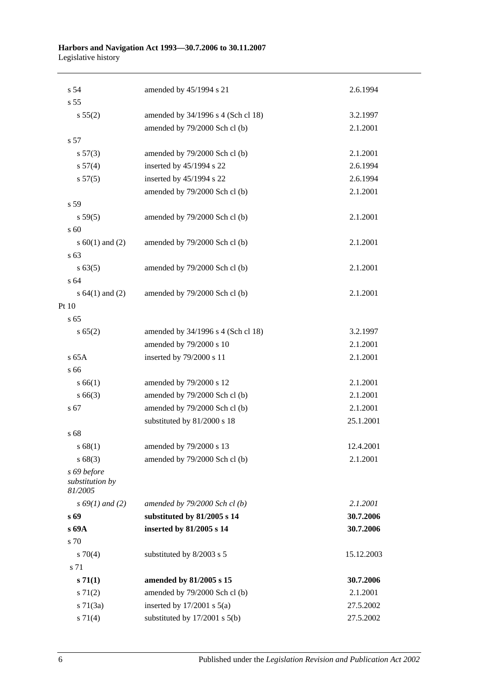#### **Harbors and Navigation Act 1993—30.7.2006 to 30.11.2007** Legislative history

| s <sub>54</sub>                           | amended by 45/1994 s 21            | 2.6.1994   |
|-------------------------------------------|------------------------------------|------------|
| s 55                                      |                                    |            |
| s 55(2)                                   | amended by 34/1996 s 4 (Sch cl 18) | 3.2.1997   |
|                                           | amended by 79/2000 Sch cl (b)      | 2.1.2001   |
| s 57                                      |                                    |            |
| s 57(3)                                   | amended by 79/2000 Sch cl (b)      | 2.1.2001   |
| s 57(4)                                   | inserted by 45/1994 s 22           | 2.6.1994   |
| s 57(5)                                   | inserted by 45/1994 s 22           | 2.6.1994   |
|                                           | amended by 79/2000 Sch cl (b)      | 2.1.2001   |
| s 59                                      |                                    |            |
| s 59(5)                                   | amended by 79/2000 Sch cl (b)      | 2.1.2001   |
| s 60                                      |                                    |            |
| s $60(1)$ and $(2)$                       | amended by 79/2000 Sch cl (b)      | 2.1.2001   |
| s 63                                      |                                    |            |
| s 63(5)                                   | amended by 79/2000 Sch cl (b)      | 2.1.2001   |
| s 64                                      |                                    |            |
| s $64(1)$ and $(2)$                       | amended by 79/2000 Sch cl (b)      | 2.1.2001   |
| Pt 10                                     |                                    |            |
| s <sub>65</sub>                           |                                    |            |
| s 65(2)                                   | amended by 34/1996 s 4 (Sch cl 18) | 3.2.1997   |
|                                           | amended by 79/2000 s 10            | 2.1.2001   |
| s 65A                                     | inserted by 79/2000 s 11           | 2.1.2001   |
| s 66                                      |                                    |            |
| s 66(1)                                   | amended by 79/2000 s 12            | 2.1.2001   |
| s66(3)                                    | amended by 79/2000 Sch cl (b)      | 2.1.2001   |
| s 67                                      | amended by 79/2000 Sch cl (b)      | 2.1.2001   |
|                                           | substituted by 81/2000 s 18        | 25.1.2001  |
| s 68                                      |                                    |            |
| s 68(1)                                   | amended by 79/2000 s 13            | 12.4.2001  |
| s68(3)                                    | amended by 79/2000 Sch cl (b)      | 2.1.2001   |
| s 69 before<br>substitution by<br>81/2005 |                                    |            |
| $s\,69(1)$ and (2)                        | amended by $79/2000$ Sch cl(b)     | 2.1.2001   |
| s 69                                      | substituted by 81/2005 s 14        | 30.7.2006  |
| s 69A                                     | inserted by 81/2005 s 14           | 30.7.2006  |
| s 70                                      |                                    |            |
| $s \, 70(4)$                              | substituted by 8/2003 s 5          | 15.12.2003 |
| s 71                                      |                                    |            |
| s 71(1)                                   | amended by 81/2005 s 15            | 30.7.2006  |
| $s \, 71(2)$                              | amended by 79/2000 Sch cl (b)      | 2.1.2001   |
| $s \, 71(3a)$                             | inserted by $17/2001$ s $5(a)$     | 27.5.2002  |
| s 71(4)                                   | substituted by $17/2001$ s $5(b)$  | 27.5.2002  |
|                                           |                                    |            |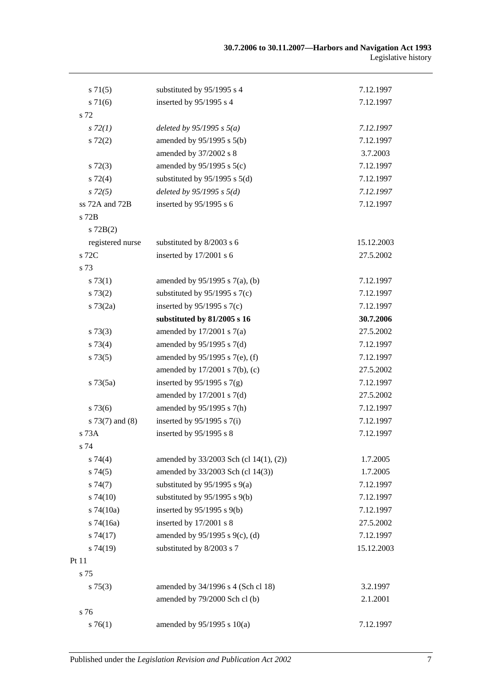| $s \, 71(5)$      | substituted by 95/1995 s 4             | 7.12.1997  |
|-------------------|----------------------------------------|------------|
| $s \, 71(6)$      | inserted by 95/1995 s 4                | 7.12.1997  |
| s 72              |                                        |            |
| $s\,72(1)$        | deleted by $95/1995 s 5(a)$            | 7.12.1997  |
| $s\ 72(2)$        | amended by $95/1995$ s $5(b)$          | 7.12.1997  |
|                   | amended by 37/2002 s 8                 | 3.7.2003   |
| $s\ 72(3)$        | amended by $95/1995$ s $5(c)$          | 7.12.1997  |
| $s \, 72(4)$      | substituted by $95/1995$ s $5(d)$      | 7.12.1997  |
| $s\,72(5)$        | deleted by $95/1995 s 5(d)$            | 7.12.1997  |
| ss 72A and 72B    | inserted by 95/1995 s 6                | 7.12.1997  |
| s 72B             |                                        |            |
| $s$ 72B(2)        |                                        |            |
| registered nurse  | substituted by 8/2003 s 6              | 15.12.2003 |
| s 72C             | inserted by 17/2001 s 6                | 27.5.2002  |
| s 73              |                                        |            |
| s 73(1)           | amended by $95/1995$ s $7(a)$ , (b)    | 7.12.1997  |
| s 73(2)           | substituted by $95/1995$ s $7(c)$      | 7.12.1997  |
| $s \, 73(2a)$     | inserted by $95/1995$ s $7(c)$         | 7.12.1997  |
|                   | substituted by 81/2005 s 16            | 30.7.2006  |
| s 73(3)           | amended by $17/2001$ s $7(a)$          | 27.5.2002  |
| s 73(4)           | amended by $95/1995$ s $7(d)$          | 7.12.1997  |
| s 73(5)           | amended by $95/1995$ s 7(e), (f)       | 7.12.1997  |
|                   | amended by 17/2001 s 7(b), (c)         | 27.5.2002  |
| $s \, 73(5a)$     | inserted by $95/1995$ s $7(g)$         | 7.12.1997  |
|                   | amended by $17/2001$ s $7(d)$          | 27.5.2002  |
| $s\,73(6)$        | amended by 95/1995 s 7(h)              | 7.12.1997  |
| $s$ 73(7) and (8) | inserted by $95/1995$ s $7(i)$         | 7.12.1997  |
| s 73A             | inserted by 95/1995 s 8                | 7.12.1997  |
| s 74              |                                        |            |
| $s \, 74(4)$      | amended by 33/2003 Sch (cl 14(1), (2)) | 1.7.2005   |
| s74(5)            | amended by 33/2003 Sch (cl 14(3))      | 1.7.2005   |
| s74(7)            | substituted by $95/1995$ s $9(a)$      | 7.12.1997  |
| $s\,74(10)$       | substituted by $95/1995$ s $9(b)$      | 7.12.1997  |
| $s$ 74(10a)       | inserted by 95/1995 s 9(b)             | 7.12.1997  |
| $s$ 74(16a)       | inserted by 17/2001 s 8                | 27.5.2002  |
| s74(17)           | amended by 95/1995 s 9(c), (d)         | 7.12.1997  |
| $s\,74(19)$       | substituted by 8/2003 s 7              | 15.12.2003 |
| Pt 11             |                                        |            |
| s 75              |                                        |            |
| $s \, 75(3)$      | amended by 34/1996 s 4 (Sch cl 18)     | 3.2.1997   |
|                   | amended by 79/2000 Sch cl (b)          | 2.1.2001   |
| s 76              |                                        |            |
| $s \, 76(1)$      | amended by 95/1995 s 10(a)             | 7.12.1997  |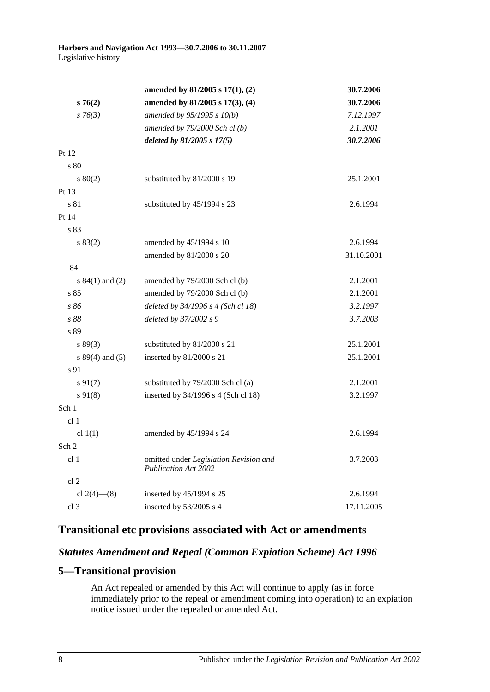|                     | amended by $81/2005$ s $17(1)$ , (2)                                  | 30.7.2006  |
|---------------------|-----------------------------------------------------------------------|------------|
| s76(2)              | amended by 81/2005 s 17(3), (4)                                       | 30.7.2006  |
| $s \, 76(3)$        | amended by 95/1995 s 10(b)                                            | 7.12.1997  |
|                     | amended by $79/2000$ Sch cl(b)                                        | 2.1.2001   |
|                     | deleted by 81/2005 s 17(5)                                            | 30.7.2006  |
| Pt 12               |                                                                       |            |
| s 80                |                                                                       |            |
| 80(2)               | substituted by 81/2000 s 19                                           | 25.1.2001  |
| Pt 13               |                                                                       |            |
| s 81                | substituted by 45/1994 s 23                                           | 2.6.1994   |
| Pt 14               |                                                                       |            |
| s 83                |                                                                       |            |
| s 83(2)             | amended by 45/1994 s 10                                               | 2.6.1994   |
|                     | amended by 81/2000 s 20                                               | 31.10.2001 |
| 84                  |                                                                       |            |
| s $84(1)$ and $(2)$ | amended by 79/2000 Sch cl (b)                                         | 2.1.2001   |
| s 85                | amended by 79/2000 Sch cl (b)                                         | 2.1.2001   |
| s 86                | deleted by 34/1996 s 4 (Sch cl 18)                                    | 3.2.1997   |
| s 88                | deleted by 37/2002 s 9                                                | 3.7.2003   |
| s 89                |                                                                       |            |
| s 89(3)             | substituted by 81/2000 s 21                                           | 25.1.2001  |
| $s 89(4)$ and (5)   | inserted by 81/2000 s 21                                              | 25.1.2001  |
| s 91                |                                                                       |            |
| $s\,91(7)$          | substituted by 79/2000 Sch cl (a)                                     | 2.1.2001   |
| $s\,91(8)$          | inserted by 34/1996 s 4 (Sch cl 18)                                   | 3.2.1997   |
| Sch 1               |                                                                       |            |
| cl 1                |                                                                       |            |
| cl $1(1)$           | amended by 45/1994 s 24                                               | 2.6.1994   |
| Sch 2               |                                                                       |            |
| cl <sub>1</sub>     | omitted under Legislation Revision and<br><b>Publication Act 2002</b> | 3.7.2003   |
| cl 2                |                                                                       |            |
| cl $2(4)$ — $(8)$   | inserted by 45/1994 s 25                                              | 2.6.1994   |
| cl 3                | inserted by 53/2005 s 4                                               | 17.11.2005 |

# **Transitional etc provisions associated with Act or amendments**

# *Statutes Amendment and Repeal (Common Expiation Scheme) Act 1996*

# **5—Transitional provision**

An Act repealed or amended by this Act will continue to apply (as in force immediately prior to the repeal or amendment coming into operation) to an expiation notice issued under the repealed or amended Act.